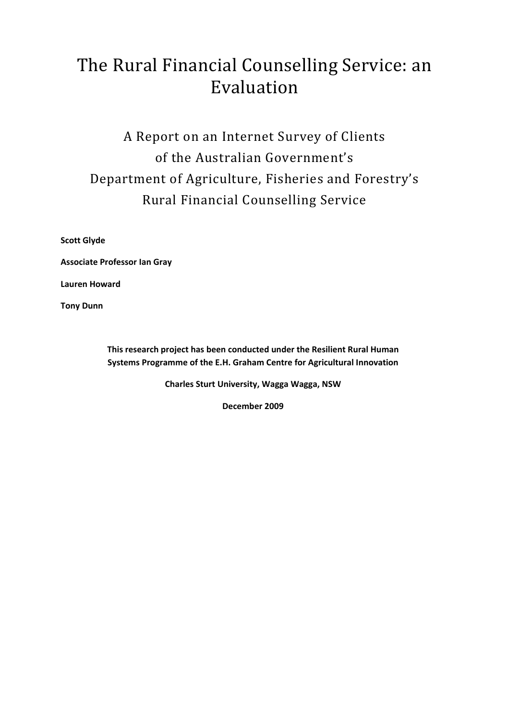# The Rural Financial Counselling Service: an Evaluation

# A Report on an Internet Survey of Clients of the Australian Government's Department of Agriculture, Fisheries and Forestry's Rural Financial Counselling Service

**Scott Glyde**

**Associate Professor Ian Gray**

**Lauren Howard**

**Tony Dunn**

**This research project has been conducted under the Resilient Rural Human Systems Programme of the E.H. Graham Centre for Agricultural Innovation**

**Charles Sturt University, Wagga Wagga, NSW**

**December 2009**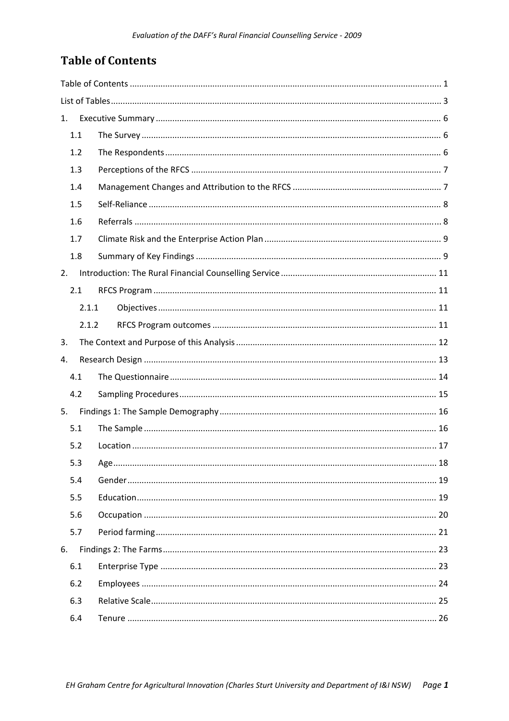# **Table of Contents**

| 1.    |  |
|-------|--|
| 1.1   |  |
| 1.2   |  |
| 1.3   |  |
| 1.4   |  |
| 1.5   |  |
| 1.6   |  |
| 1.7   |  |
| 1.8   |  |
| 2.    |  |
| 2.1   |  |
| 2.1.1 |  |
| 2.1.2 |  |
| 3.    |  |
| 4.    |  |
| 4.1   |  |
| 4.2   |  |
| 5.    |  |
| 5.1   |  |
| 5.2   |  |
| 5.3   |  |
| 5.4   |  |
| 5.5   |  |
| 5.6   |  |
| 5.7   |  |
| 6.    |  |
| 6.1   |  |
| 6.2   |  |
| 6.3   |  |
| 6.4   |  |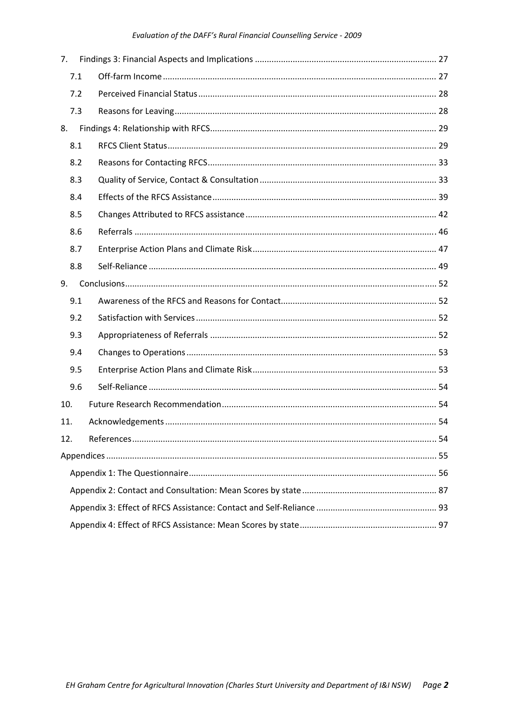#### Evaluation of the DAFF's Rural Financial Counselling Service - 2009

| 7.  |  |  |  |
|-----|--|--|--|
| 7.1 |  |  |  |
| 7.2 |  |  |  |
| 7.3 |  |  |  |
| 8.  |  |  |  |
| 8.1 |  |  |  |
| 8.2 |  |  |  |
| 8.3 |  |  |  |
| 8.4 |  |  |  |
| 8.5 |  |  |  |
| 8.6 |  |  |  |
| 8.7 |  |  |  |
| 8.8 |  |  |  |
| 9.  |  |  |  |
| 9.1 |  |  |  |
| 9.2 |  |  |  |
| 9.3 |  |  |  |
| 9.4 |  |  |  |
| 9.5 |  |  |  |
| 9.6 |  |  |  |
| 10. |  |  |  |
| 11. |  |  |  |
| 12. |  |  |  |
|     |  |  |  |
|     |  |  |  |
|     |  |  |  |
|     |  |  |  |
|     |  |  |  |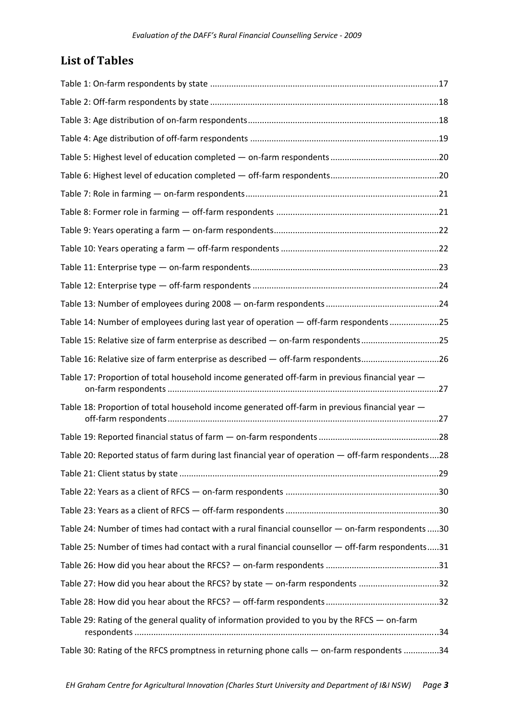# **List of Tables**

| Table 14: Number of employees during last year of operation - off-farm respondents25               |  |
|----------------------------------------------------------------------------------------------------|--|
| Table 15: Relative size of farm enterprise as described - on-farm respondents25                    |  |
| Table 16: Relative size of farm enterprise as described - off-farm respondents26                   |  |
| Table 17: Proportion of total household income generated off-farm in previous financial year -     |  |
| Table 18: Proportion of total household income generated off-farm in previous financial year -     |  |
|                                                                                                    |  |
| Table 20: Reported status of farm during last financial year of operation - off-farm respondents28 |  |
|                                                                                                    |  |
|                                                                                                    |  |
|                                                                                                    |  |
| Table 24: Number of times had contact with a rural financial counsellor - on-farm respondents 30   |  |
| Table 25: Number of times had contact with a rural financial counsellor - off-farm respondents31   |  |
|                                                                                                    |  |
| Table 27: How did you hear about the RFCS? by state - on-farm respondents 32                       |  |
|                                                                                                    |  |
| Table 29: Rating of the general quality of information provided to you by the RFCS - on-farm       |  |
| Table 30: Rating of the RFCS promptness in returning phone calls - on-farm respondents 34          |  |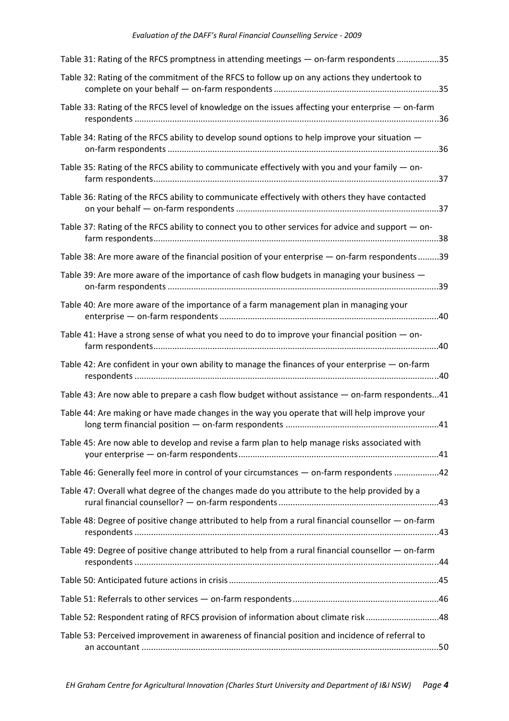| Table 31: Rating of the RFCS promptness in attending meetings - on-farm respondents 35               |  |
|------------------------------------------------------------------------------------------------------|--|
| Table 32: Rating of the commitment of the RFCS to follow up on any actions they undertook to         |  |
| Table 33: Rating of the RFCS level of knowledge on the issues affecting your enterprise - on-farm    |  |
| Table 34: Rating of the RFCS ability to develop sound options to help improve your situation -       |  |
| Table 35: Rating of the RFCS ability to communicate effectively with you and your family $-$ on-     |  |
| Table 36: Rating of the RFCS ability to communicate effectively with others they have contacted      |  |
| Table 37: Rating of the RFCS ability to connect you to other services for advice and support - on-   |  |
| Table 38: Are more aware of the financial position of your enterprise — on-farm respondents39        |  |
| Table 39: Are more aware of the importance of cash flow budgets in managing your business -          |  |
| Table 40: Are more aware of the importance of a farm management plan in managing your                |  |
| Table 41: Have a strong sense of what you need to do to improve your financial position $-$ on-      |  |
| Table 42: Are confident in your own ability to manage the finances of your enterprise - on-farm      |  |
| Table 43: Are now able to prepare a cash flow budget without assistance - on-farm respondents41      |  |
| Table 44: Are making or have made changes in the way you operate that will help improve your         |  |
| Table 45: Are now able to develop and revise a farm plan to help manage risks associated with        |  |
| Table 46: Generally feel more in control of your circumstances - on-farm respondents 42              |  |
| Table 47: Overall what degree of the changes made do you attribute to the help provided by a         |  |
| Table 48: Degree of positive change attributed to help from a rural financial counsellor $-$ on-farm |  |
| Table 49: Degree of positive change attributed to help from a rural financial counsellor - on-farm   |  |
|                                                                                                      |  |
|                                                                                                      |  |
| Table 52: Respondent rating of RFCS provision of information about climate risk48                    |  |
| Table 53: Perceived improvement in awareness of financial position and incidence of referral to      |  |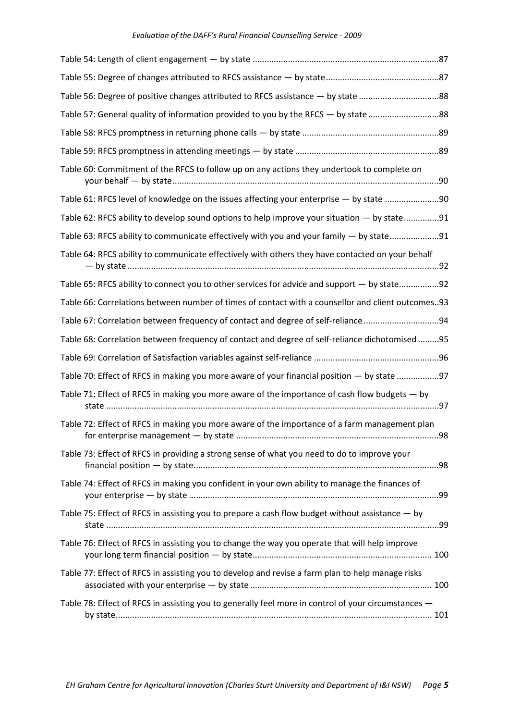| Table 56: Degree of positive changes attributed to RFCS assistance - by state 88                    |  |
|-----------------------------------------------------------------------------------------------------|--|
| Table 57: General quality of information provided to you by the RFCS - by state 88                  |  |
|                                                                                                     |  |
|                                                                                                     |  |
| Table 60: Commitment of the RFCS to follow up on any actions they undertook to complete on          |  |
| Table 61: RFCS level of knowledge on the issues affecting your enterprise - by state 90             |  |
| Table 62: RFCS ability to develop sound options to help improve your situation - by state91         |  |
| Table 63: RFCS ability to communicate effectively with you and your family - by state91             |  |
| Table 64: RFCS ability to communicate effectively with others they have contacted on your behalf    |  |
| Table 65: RFCS ability to connect you to other services for advice and support — by state92         |  |
| Table 66: Correlations between number of times of contact with a counsellor and client outcomes. 93 |  |
| Table 67: Correlation between frequency of contact and degree of self-reliance94                    |  |
| Table 68: Correlation between frequency of contact and degree of self-reliance dichotomised95       |  |
|                                                                                                     |  |
| Table 70: Effect of RFCS in making you more aware of your financial position - by state 97          |  |
| Table 71: Effect of RFCS in making you more aware of the importance of cash flow budgets - by       |  |
| Table 72: Effect of RFCS in making you more aware of the importance of a farm management plan       |  |
| Table 73: Effect of RFCS in providing a strong sense of what you need to do to improve your         |  |
| Table 74: Effect of RFCS in making you confident in your own ability to manage the finances of      |  |
| Table 75: Effect of RFCS in assisting you to prepare a cash flow budget without assistance - by     |  |
| Table 76: Effect of RFCS in assisting you to change the way you operate that will help improve      |  |
| Table 77: Effect of RFCS in assisting you to develop and revise a farm plan to help manage risks    |  |
| Table 78: Effect of RFCS in assisting you to generally feel more in control of your circumstances - |  |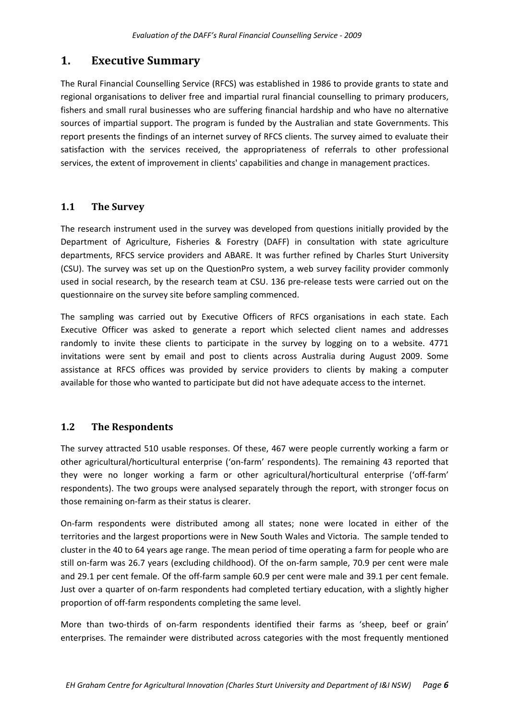## **1. Executive Summary**

The Rural Financial Counselling Service (RFCS) was established in 1986 to provide grants to state and regional organisations to deliver free and impartial rural financial counselling to primary producers, fishers and small rural businesses who are suffering financial hardship and who have no alternative sources of impartial support. The program is funded by the Australian and state Governments. This report presents the findings of an internet survey of RFCS clients. The survey aimed to evaluate their satisfaction with the services received, the appropriateness of referrals to other professional services, the extent of improvement in clients' capabilities and change in management practices.

## **1.1 The Survey**

The research instrument used in the survey was developed from questions initially provided by the Department of Agriculture, Fisheries & Forestry (DAFF) in consultation with state agriculture departments, RFCS service providers and ABARE. It was further refined by Charles Sturt University (CSU). The survey was set up on the QuestionPro system, a web survey facility provider commonly used in social research, by the research team at CSU. 136 pre-release tests were carried out on the questionnaire on the survey site before sampling commenced.

The sampling was carried out by Executive Officers of RFCS organisations in each state. Each Executive Officer was asked to generate a report which selected client names and addresses randomly to invite these clients to participate in the survey by logging on to a website. 4771 invitations were sent by email and post to clients across Australia during August 2009. Some assistance at RFCS offices was provided by service providers to clients by making a computer available for those who wanted to participate but did not have adequate access to the internet.

## **1.2 The Respondents**

The survey attracted 510 usable responses. Of these, 467 were people currently working a farm or other agricultural/horticultural enterprise ('on‐farm' respondents). The remaining 43 reported that they were no longer working a farm or other agricultural/horticultural enterprise ('off-farm' respondents). The two groups were analysed separately through the report, with stronger focus on those remaining on‐farm as their status is clearer.

On‐farm respondents were distributed among all states; none were located in either of the territories and the largest proportions were in New South Wales and Victoria. The sample tended to cluster in the 40 to 64 years age range. The mean period of time operating a farm for people who are still on-farm was 26.7 years (excluding childhood). Of the on-farm sample, 70.9 per cent were male and 29.1 per cent female. Of the off-farm sample 60.9 per cent were male and 39.1 per cent female. Just over a quarter of on‐farm respondents had completed tertiary education, with a slightly higher proportion of off‐farm respondents completing the same level.

More than two-thirds of on-farm respondents identified their farms as 'sheep, beef or grain' enterprises. The remainder were distributed across categories with the most frequently mentioned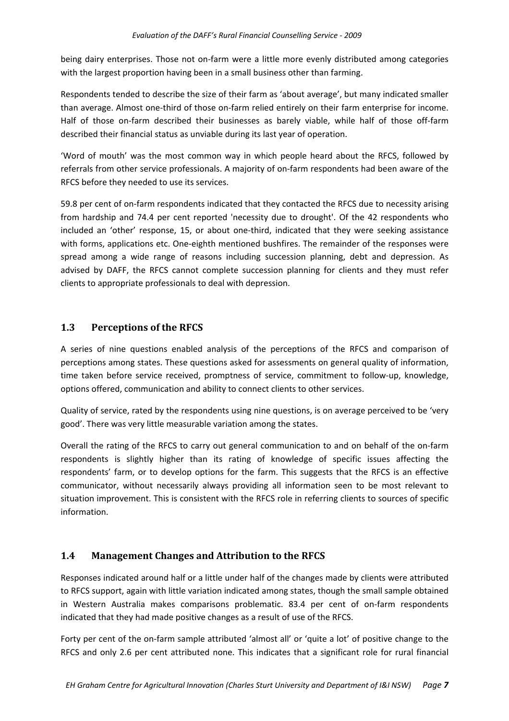being dairy enterprises. Those not on‐farm were a little more evenly distributed among categories with the largest proportion having been in a small business other than farming.

Respondents tended to describe the size of their farm as 'about average', but many indicated smaller than average. Almost one-third of those on-farm relied entirely on their farm enterprise for income. Half of those on-farm described their businesses as barely viable, while half of those off-farm described their financial status as unviable during its last year of operation.

'Word of mouth' was the most common way in which people heard about the RFCS, followed by referrals from other service professionals. A majority of on‐farm respondents had been aware of the RFCS before they needed to use its services.

59.8 per cent of on‐farm respondents indicated that they contacted the RFCS due to necessity arising from hardship and 74.4 per cent reported 'necessity due to drought'. Of the 42 respondents who included an 'other' response, 15, or about one‐third, indicated that they were seeking assistance with forms, applications etc. One-eighth mentioned bushfires. The remainder of the responses were spread among a wide range of reasons including succession planning, debt and depression. As advised by DAFF, the RFCS cannot complete succession planning for clients and they must refer clients to appropriate professionals to deal with depression.

## **1.3 Perceptions of the RFCS**

A series of nine questions enabled analysis of the perceptions of the RFCS and comparison of perceptions among states. These questions asked for assessments on general quality of information, time taken before service received, promptness of service, commitment to follow‐up, knowledge, options offered, communication and ability to connect clients to other services.

Quality of service, rated by the respondents using nine questions, is on average perceived to be 'very good'. There was very little measurable variation among the states.

Overall the rating of the RFCS to carry out general communication to and on behalf of the on‐farm respondents is slightly higher than its rating of knowledge of specific issues affecting the respondents' farm, or to develop options for the farm. This suggests that the RFCS is an effective communicator, without necessarily always providing all information seen to be most relevant to situation improvement. This is consistent with the RFCS role in referring clients to sources of specific information.

## **1.4 Management Changes and Attribution to the RFCS**

Responses indicated around half or a little under half of the changes made by clients were attributed to RFCS support, again with little variation indicated among states, though the small sample obtained in Western Australia makes comparisons problematic. 83.4 per cent of on-farm respondents indicated that they had made positive changes as a result of use of the RFCS.

Forty per cent of the on‐farm sample attributed 'almost all' or 'quite a lot' of positive change to the RFCS and only 2.6 per cent attributed none. This indicates that a significant role for rural financial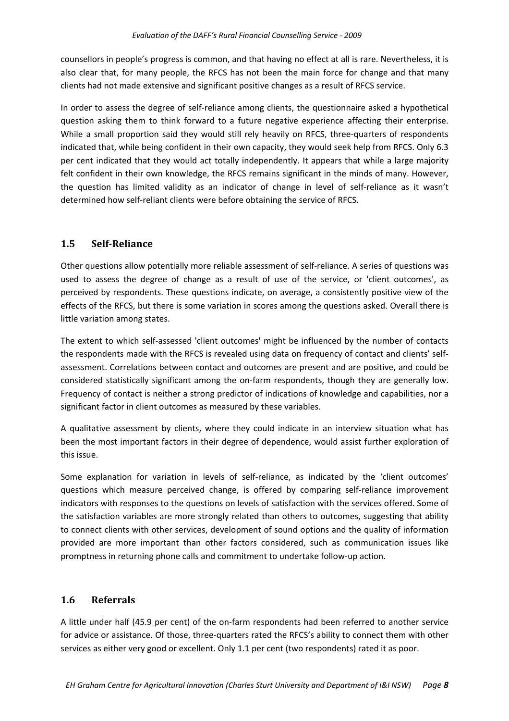counsellors in people's progress is common, and that having no effect at all is rare. Nevertheless, it is also clear that, for many people, the RFCS has not been the main force for change and that many clients had not made extensive and significant positive changes as a result of RFCS service.

In order to assess the degree of self-reliance among clients, the questionnaire asked a hypothetical question asking them to think forward to a future negative experience affecting their enterprise. While a small proportion said they would still rely heavily on RFCS, three-quarters of respondents indicated that, while being confident in their own capacity, they would seek help from RFCS. Only 6.3 per cent indicated that they would act totally independently. It appears that while a large majority felt confident in their own knowledge, the RFCS remains significant in the minds of many. However, the question has limited validity as an indicator of change in level of self-reliance as it wasn't determined how self‐reliant clients were before obtaining the service of RFCS.

## **1.5 SelfReliance**

Other questions allow potentially more reliable assessment of self‐reliance. A series of questions was used to assess the degree of change as a result of use of the service, or 'client outcomes', as perceived by respondents. These questions indicate, on average, a consistently positive view of the effects of the RFCS, but there is some variation in scores among the questions asked. Overall there is little variation among states.

The extent to which self‐assessed 'client outcomes' might be influenced by the number of contacts the respondents made with the RFCS is revealed using data on frequency of contact and clients' self‐ assessment. Correlations between contact and outcomes are present and are positive, and could be considered statistically significant among the on-farm respondents, though they are generally low. Frequency of contact is neither a strong predictor of indications of knowledge and capabilities, nor a significant factor in client outcomes as measured by these variables.

A qualitative assessment by clients, where they could indicate in an interview situation what has been the most important factors in their degree of dependence, would assist further exploration of this issue.

Some explanation for variation in levels of self-reliance, as indicated by the 'client outcomes' questions which measure perceived change, is offered by comparing self‐reliance improvement indicators with responses to the questions on levels of satisfaction with the services offered. Some of the satisfaction variables are more strongly related than others to outcomes, suggesting that ability to connect clients with other services, development of sound options and the quality of information provided are more important than other factors considered, such as communication issues like promptness in returning phone calls and commitment to undertake follow‐up action.

## **1.6 Referrals**

A little under half (45.9 per cent) of the on‐farm respondents had been referred to another service for advice or assistance. Of those, three-quarters rated the RFCS's ability to connect them with other services as either very good or excellent. Only 1.1 per cent (two respondents) rated it as poor.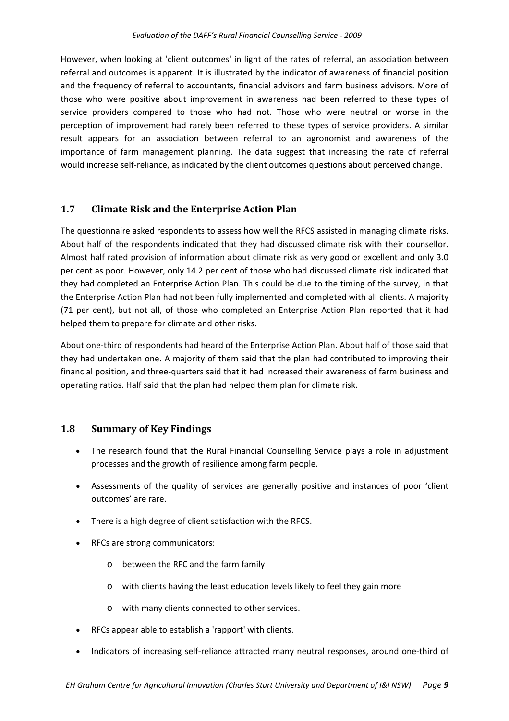However, when looking at 'client outcomes' in light of the rates of referral, an association between referral and outcomes is apparent. It is illustrated by the indicator of awareness of financial position and the frequency of referral to accountants, financial advisors and farm business advisors. More of those who were positive about improvement in awareness had been referred to these types of service providers compared to those who had not. Those who were neutral or worse in the perception of improvement had rarely been referred to these types of service providers. A similar result appears for an association between referral to an agronomist and awareness of the importance of farm management planning. The data suggest that increasing the rate of referral would increase self-reliance, as indicated by the client outcomes questions about perceived change.

## **1.7 Climate Risk and the Enterprise Action Plan**

The questionnaire asked respondents to assess how well the RFCS assisted in managing climate risks. About half of the respondents indicated that they had discussed climate risk with their counsellor. Almost half rated provision of information about climate risk as very good or excellent and only 3.0 per cent as poor. However, only 14.2 per cent of those who had discussed climate risk indicated that they had completed an Enterprise Action Plan. This could be due to the timing of the survey, in that the Enterprise Action Plan had not been fully implemented and completed with all clients. A majority (71 per cent), but not all, of those who completed an Enterprise Action Plan reported that it had helped them to prepare for climate and other risks.

About one‐third of respondents had heard of the Enterprise Action Plan. About half of those said that they had undertaken one. A majority of them said that the plan had contributed to improving their financial position, and three‐quarters said that it had increased their awareness of farm business and operating ratios. Half said that the plan had helped them plan for climate risk.

## **1.8 Summary of Key Findings**

- The research found that the Rural Financial Counselling Service plays a role in adjustment processes and the growth of resilience among farm people.
- Assessments of the quality of services are generally positive and instances of poor 'client outcomes' are rare.
- There is a high degree of client satisfaction with the RFCS.
- RFCs are strong communicators:
	- o between the RFC and the farm family
	- o with clients having the least education levels likely to feel they gain more
	- o with many clients connected to other services.
- RFCs appear able to establish a 'rapport' with clients.
- Indicators of increasing self‐reliance attracted many neutral responses, around one‐third of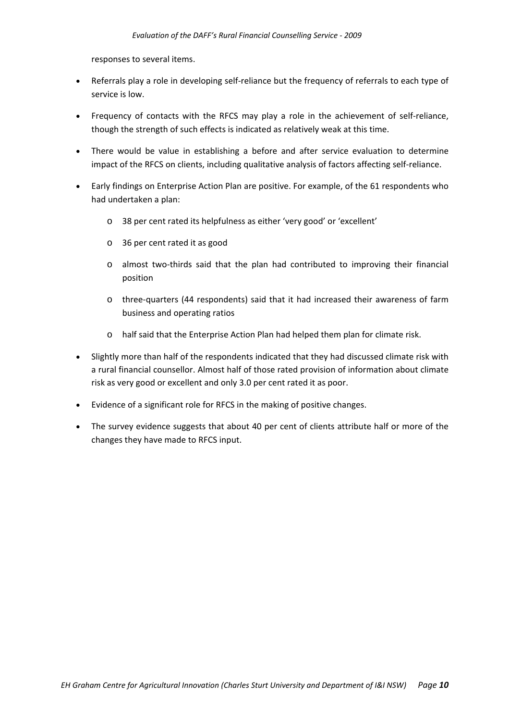responses to several items.

- Referrals play a role in developing self-reliance but the frequency of referrals to each type of service is low.
- Frequency of contacts with the RFCS may play a role in the achievement of self-reliance, though the strength of such effects is indicated as relatively weak at this time.
- There would be value in establishing a before and after service evaluation to determine impact of the RFCS on clients, including qualitative analysis of factors affecting self-reliance.
- Early findings on Enterprise Action Plan are positive. For example, of the 61 respondents who had undertaken a plan:
	- o 38 per cent rated its helpfulness as either 'very good' or 'excellent'
	- o 36 per cent rated it as good
	- o almost two‐thirds said that the plan had contributed to improving their financial position
	- o three‐quarters (44 respondents) said that it had increased their awareness of farm business and operating ratios
	- o half said that the Enterprise Action Plan had helped them plan for climate risk.
- Slightly more than half of the respondents indicated that they had discussed climate risk with a rural financial counsellor. Almost half of those rated provision of information about climate risk as very good or excellent and only 3.0 per cent rated it as poor.
- Evidence of a significant role for RFCS in the making of positive changes.
- The survey evidence suggests that about 40 per cent of clients attribute half or more of the changes they have made to RFCS input.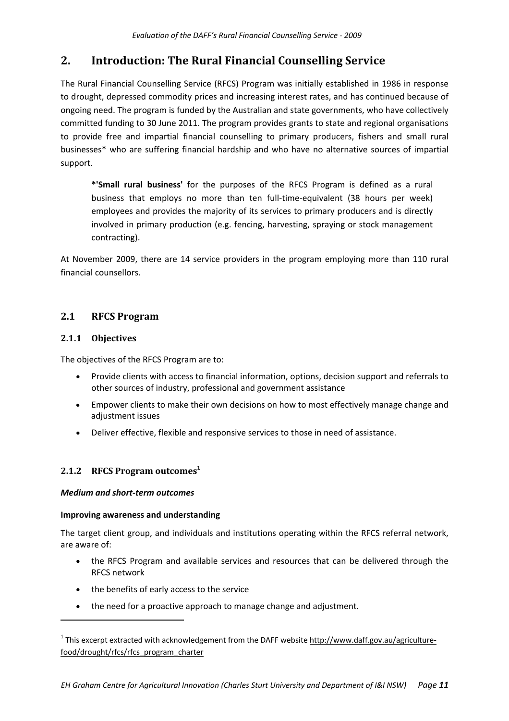# **2. Introduction: The Rural Financial Counselling Service**

The Rural Financial Counselling Service (RFCS) Program was initially established in 1986 in response to drought, depressed commodity prices and increasing interest rates, and has continued because of ongoing need. The program is funded by the Australian and state governments, who have collectively committed funding to 30 June 2011. The program provides grants to state and regional organisations to provide free and impartial financial counselling to primary producers, fishers and small rural businesses\* who are suffering financial hardship and who have no alternative sources of impartial support.

**\*'Small rural business'** for the purposes of the RFCS Program is defined as a rural business that employs no more than ten full‐time‐equivalent (38 hours per week) employees and provides the majority of its services to primary producers and is directly involved in primary production (e.g. fencing, harvesting, spraying or stock management contracting).

At November 2009, there are 14 service providers in the program employing more than 110 rural financial counsellors.

## **2.1 RFCS Program**

## **2.1.1 Objectives**

The objectives of the RFCS Program are to:

- Provide clients with access to financial information, options, decision support and referrals to other sources of industry, professional and government assistance
- Empower clients to make their own decisions on how to most effectively manage change and adjustment issues
- Deliver effective, flexible and responsive services to those in need of assistance.

## **2.1.2 RFCS Program outcomes<sup>1</sup>**

## *Medium and short‐term outcomes*

## **Improving awareness and understanding**

The target client group, and individuals and institutions operating within the RFCS referral network, are aware of:

- the RFCS Program and available services and resources that can be delivered through the RFCS network
- the benefits of early access to the service
- the need for a proactive approach to manage change and adjustment.

 $1$  This excerpt extracted with acknowledgement from the DAFF website http://www.daff.gov.au/agriculturefood/drought/rfcs/rfcs\_program\_charter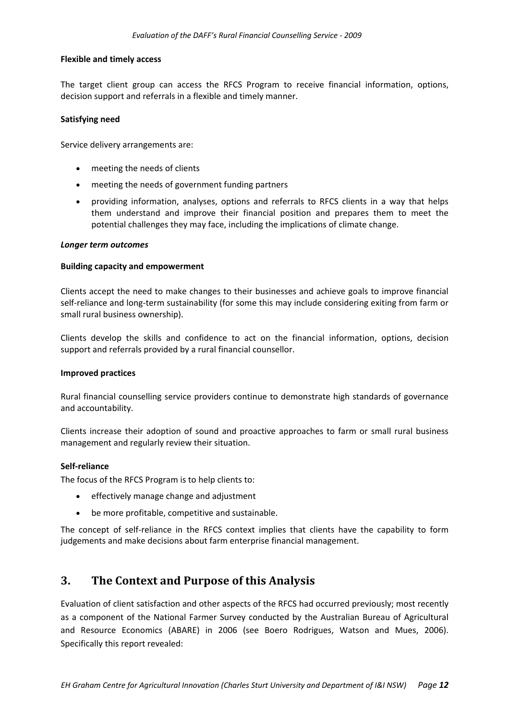#### **Flexible and timely access**

The target client group can access the RFCS Program to receive financial information, options, decision support and referrals in a flexible and timely manner.

#### **Satisfying need**

Service delivery arrangements are:

- meeting the needs of clients
- meeting the needs of government funding partners
- providing information, analyses, options and referrals to RFCS clients in a way that helps them understand and improve their financial position and prepares them to meet the potential challenges they may face, including the implications of climate change.

#### *Longer term outcomes*

#### **Building capacity and empowerment**

Clients accept the need to make changes to their businesses and achieve goals to improve financial self-reliance and long-term sustainability (for some this may include considering exiting from farm or small rural business ownership).

Clients develop the skills and confidence to act on the financial information, options, decision support and referrals provided by a rural financial counsellor.

#### **Improved practices**

Rural financial counselling service providers continue to demonstrate high standards of governance and accountability.

Clients increase their adoption of sound and proactive approaches to farm or small rural business management and regularly review their situation.

#### **Self‐reliance**

The focus of the RFCS Program is to help clients to:

- effectively manage change and adjustment
- be more profitable, competitive and sustainable.

The concept of self-reliance in the RFCS context implies that clients have the capability to form judgements and make decisions about farm enterprise financial management.

## **3. The Context and Purpose of this Analysis**

Evaluation of client satisfaction and other aspects of the RFCS had occurred previously; most recently as a component of the National Farmer Survey conducted by the Australian Bureau of Agricultural and Resource Economics (ABARE) in 2006 (see Boero Rodrigues, Watson and Mues, 2006). Specifically this report revealed: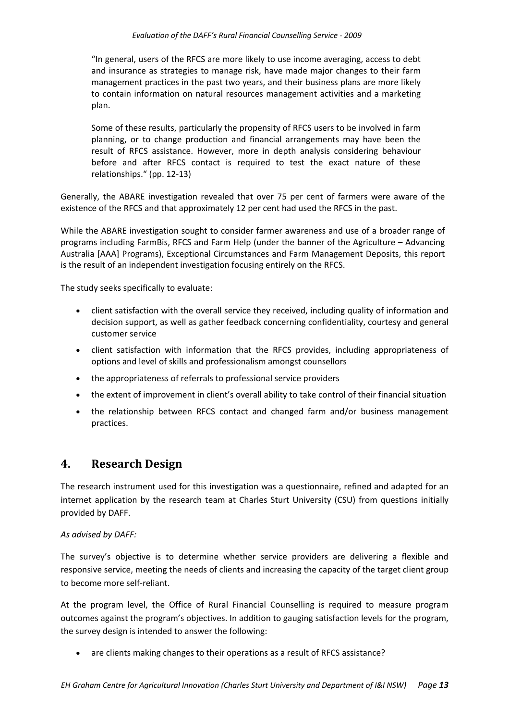"In general, users of the RFCS are more likely to use income averaging, access to debt and insurance as strategies to manage risk, have made major changes to their farm management practices in the past two years, and their business plans are more likely to contain information on natural resources management activities and a marketing plan.

Some of these results, particularly the propensity of RFCS users to be involved in farm planning, or to change production and financial arrangements may have been the result of RFCS assistance. However, more in depth analysis considering behaviour before and after RFCS contact is required to test the exact nature of these relationships." (pp. 12‐13)

Generally, the ABARE investigation revealed that over 75 per cent of farmers were aware of the existence of the RFCS and that approximately 12 per cent had used the RFCS in the past.

While the ABARE investigation sought to consider farmer awareness and use of a broader range of programs including FarmBis, RFCS and Farm Help (under the banner of the Agriculture – Advancing Australia [AAA] Programs), Exceptional Circumstances and Farm Management Deposits, this report is the result of an independent investigation focusing entirely on the RFCS.

The study seeks specifically to evaluate:

- client satisfaction with the overall service they received, including quality of information and decision support, as well as gather feedback concerning confidentiality, courtesy and general customer service
- client satisfaction with information that the RFCS provides, including appropriateness of options and level of skills and professionalism amongst counsellors
- the appropriateness of referrals to professional service providers
- the extent of improvement in client's overall ability to take control of their financial situation
- the relationship between RFCS contact and changed farm and/or business management practices.

## **4. Research Design**

The research instrument used for this investigation was a questionnaire, refined and adapted for an internet application by the research team at Charles Sturt University (CSU) from questions initially provided by DAFF.

#### *As advised by DAFF:*

The survey's objective is to determine whether service providers are delivering a flexible and responsive service, meeting the needs of clients and increasing the capacity of the target client group to become more self‐reliant.

At the program level, the Office of Rural Financial Counselling is required to measure program outcomes against the program's objectives. In addition to gauging satisfaction levels for the program, the survey design is intended to answer the following:

• are clients making changes to their operations as a result of RFCS assistance?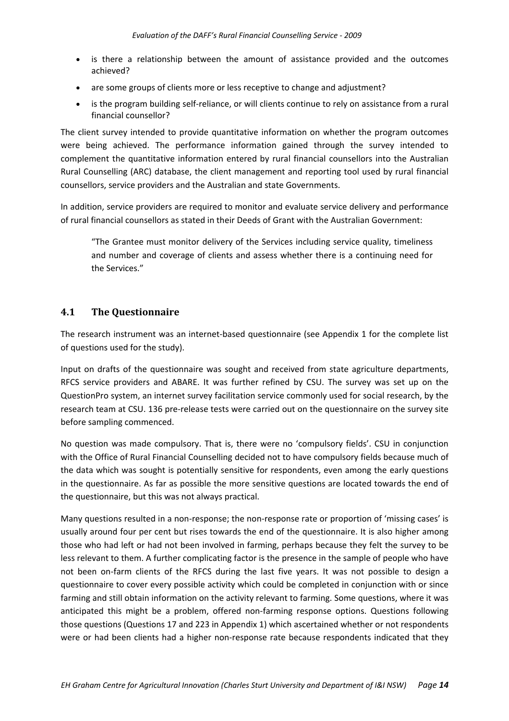- is there a relationship between the amount of assistance provided and the outcomes achieved?
- are some groups of clients more or less receptive to change and adjustment?
- is the program building self-reliance, or will clients continue to rely on assistance from a rural financial counsellor?

The client survey intended to provide quantitative information on whether the program outcomes were being achieved. The performance information gained through the survey intended to complement the quantitative information entered by rural financial counsellors into the Australian Rural Counselling (ARC) database, the client management and reporting tool used by rural financial counsellors, service providers and the Australian and state Governments.

In addition, service providers are required to monitor and evaluate service delivery and performance of rural financial counsellors as stated in their Deeds of Grant with the Australian Government:

"The Grantee must monitor delivery of the Services including service quality, timeliness and number and coverage of clients and assess whether there is a continuing need for the Services."

## **4.1 The Questionnaire**

The research instrument was an internet-based questionnaire (see Appendix 1 for the complete list of questions used for the study).

Input on drafts of the questionnaire was sought and received from state agriculture departments, RFCS service providers and ABARE. It was further refined by CSU. The survey was set up on the QuestionPro system, an internet survey facilitation service commonly used for social research, by the research team at CSU. 136 pre-release tests were carried out on the questionnaire on the survey site before sampling commenced.

No question was made compulsory. That is, there were no 'compulsory fields'. CSU in conjunction with the Office of Rural Financial Counselling decided not to have compulsory fields because much of the data which was sought is potentially sensitive for respondents, even among the early questions in the questionnaire. As far as possible the more sensitive questions are located towards the end of the questionnaire, but this was not always practical.

Many questions resulted in a non-response; the non-response rate or proportion of 'missing cases' is usually around four per cent but rises towards the end of the questionnaire. It is also higher among those who had left or had not been involved in farming, perhaps because they felt the survey to be less relevant to them. A further complicating factor is the presence in the sample of people who have not been on‐farm clients of the RFCS during the last five years. It was not possible to design a questionnaire to cover every possible activity which could be completed in conjunction with or since farming and still obtain information on the activity relevant to farming. Some questions, where it was anticipated this might be a problem, offered non‐farming response options. Questions following those questions (Questions 17 and 223 in Appendix 1) which ascertained whether or not respondents were or had been clients had a higher non-response rate because respondents indicated that they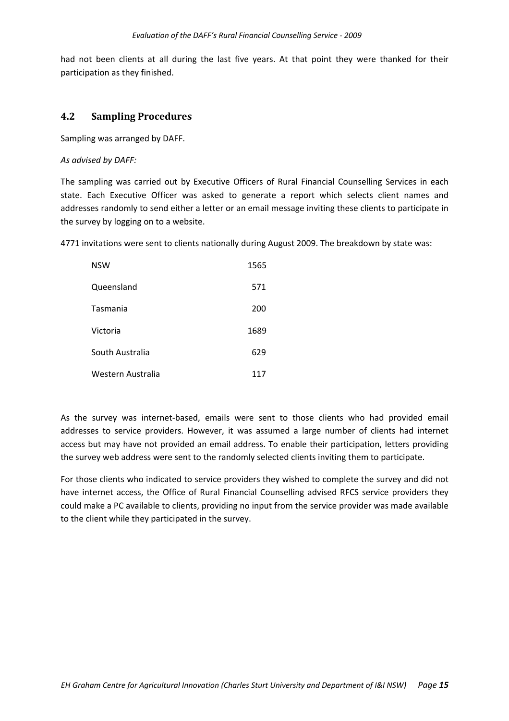had not been clients at all during the last five years. At that point they were thanked for their participation as they finished.

## **4.2 Sampling Procedures**

Sampling was arranged by DAFF.

*As advised by DAFF:*

The sampling was carried out by Executive Officers of Rural Financial Counselling Services in each state. Each Executive Officer was asked to generate a report which selects client names and addresses randomly to send either a letter or an email message inviting these clients to participate in the survey by logging on to a website.

4771 invitations were sent to clients nationally during August 2009. The breakdown by state was:

| <b>NSW</b>        | 1565 |
|-------------------|------|
| Queensland        | 571  |
| Tasmania          | 200  |
| Victoria          | 1689 |
| South Australia   | 629  |
| Western Australia | 117  |

As the survey was internet‐based, emails were sent to those clients who had provided email addresses to service providers. However, it was assumed a large number of clients had internet access but may have not provided an email address. To enable their participation, letters providing the survey web address were sent to the randomly selected clients inviting them to participate.

For those clients who indicated to service providers they wished to complete the survey and did not have internet access, the Office of Rural Financial Counselling advised RFCS service providers they could make a PC available to clients, providing no input from the service provider was made available to the client while they participated in the survey.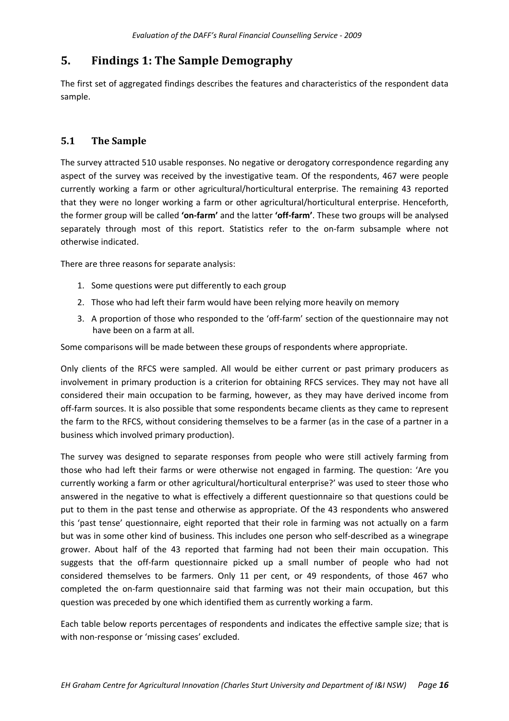# **5. Findings 1: The Sample Demography**

The first set of aggregated findings describes the features and characteristics of the respondent data sample.

## **5.1 The Sample**

The survey attracted 510 usable responses. No negative or derogatory correspondence regarding any aspect of the survey was received by the investigative team. Of the respondents, 467 were people currently working a farm or other agricultural/horticultural enterprise. The remaining 43 reported that they were no longer working a farm or other agricultural/horticultural enterprise. Henceforth, the former group will be called **'on‐farm'** and the latter **'off‐farm'**. These two groups will be analysed separately through most of this report. Statistics refer to the on-farm subsample where not otherwise indicated.

There are three reasons for separate analysis:

- 1. Some questions were put differently to each group
- 2. Those who had left their farm would have been relying more heavily on memory
- 3. A proportion of those who responded to the 'off-farm' section of the questionnaire may not have been on a farm at all.

Some comparisons will be made between these groups of respondents where appropriate.

Only clients of the RFCS were sampled. All would be either current or past primary producers as involvement in primary production is a criterion for obtaining RFCS services. They may not have all considered their main occupation to be farming, however, as they may have derived income from off-farm sources. It is also possible that some respondents became clients as they came to represent the farm to the RFCS, without considering themselves to be a farmer (as in the case of a partner in a business which involved primary production).

The survey was designed to separate responses from people who were still actively farming from those who had left their farms or were otherwise not engaged in farming. The question: 'Are you currently working a farm or other agricultural/horticultural enterprise?' was used to steer those who answered in the negative to what is effectively a different questionnaire so that questions could be put to them in the past tense and otherwise as appropriate. Of the 43 respondents who answered this 'past tense' questionnaire, eight reported that their role in farming was not actually on a farm but was in some other kind of business. This includes one person who self‐described as a winegrape grower. About half of the 43 reported that farming had not been their main occupation. This suggests that the off-farm questionnaire picked up a small number of people who had not considered themselves to be farmers. Only 11 per cent, or 49 respondents, of those 467 who completed the on-farm questionnaire said that farming was not their main occupation, but this question was preceded by one which identified them as currently working a farm.

Each table below reports percentages of respondents and indicates the effective sample size; that is with non-response or 'missing cases' excluded.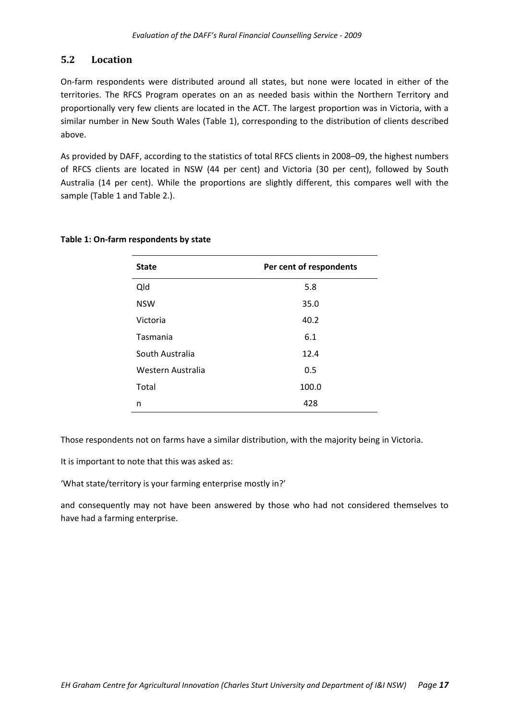## **5.2 Location**

On‐farm respondents were distributed around all states, but none were located in either of the territories. The RFCS Program operates on an as needed basis within the Northern Territory and proportionally very few clients are located in the ACT. The largest proportion was in Victoria, with a similar number in New South Wales (Table 1), corresponding to the distribution of clients described above.

As provided by DAFF, according to the statistics of total RFCS clients in 2008–09, the highest numbers of RFCS clients are located in NSW (44 per cent) and Victoria (30 per cent), followed by South Australia (14 per cent). While the proportions are slightly different, this compares well with the sample (Table 1 and Table 2.).

| <b>State</b>      | Per cent of respondents |
|-------------------|-------------------------|
| Qld               | 5.8                     |
| <b>NSW</b>        | 35.0                    |
| Victoria          | 40.2                    |
| Tasmania          | 6.1                     |
| South Australia   | 12.4                    |
| Western Australia | 0.5                     |
| Total             | 100.0                   |
| n                 | 428                     |

#### **Table 1: On‐farm respondents by state**

Those respondents not on farms have a similar distribution, with the majority being in Victoria.

It is important to note that this was asked as:

'What state/territory is your farming enterprise mostly in?'

and consequently may not have been answered by those who had not considered themselves to have had a farming enterprise.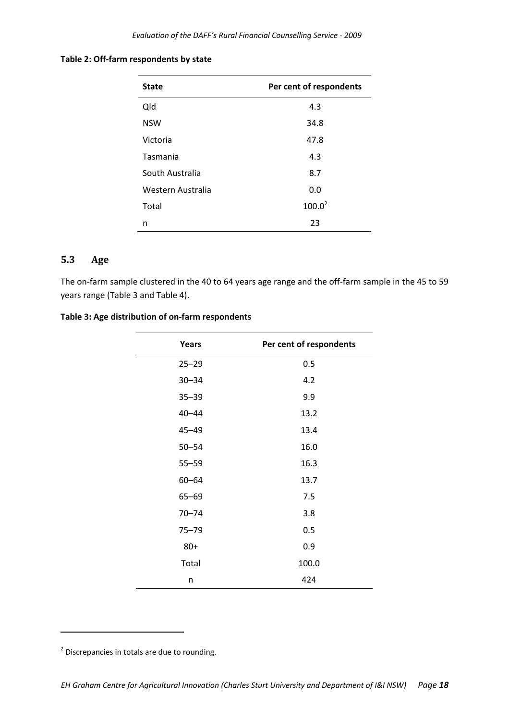#### **Table 2: Off‐farm respondents by state**

| <b>State</b>      | Per cent of respondents |
|-------------------|-------------------------|
| Qld               | 4.3                     |
| <b>NSW</b>        | 34.8                    |
| Victoria          | 47.8                    |
| Tasmania          | 4.3                     |
| South Australia   | 8.7                     |
| Western Australia | 0.0                     |
| Total             | $100.0^2$               |
| n                 | 23                      |

## **5.3 Age**

The on-farm sample clustered in the 40 to 64 years age range and the off-farm sample in the 45 to 59 years range (Table 3 and Table 4).

#### **Table 3: Age distribution of on‐farm respondents**

| <b>Years</b> | Per cent of respondents |
|--------------|-------------------------|
| $25 - 29$    | 0.5                     |
| $30 - 34$    | 4.2                     |
| $35 - 39$    | 9.9                     |
| $40 - 44$    | 13.2                    |
| $45 - 49$    | 13.4                    |
| $50 - 54$    | 16.0                    |
| $55 - 59$    | 16.3                    |
| $60 - 64$    | 13.7                    |
| $65 - 69$    | 7.5                     |
| $70 - 74$    | 3.8                     |
| $75 - 79$    | 0.5                     |
| $80+$        | 0.9                     |
| Total        | 100.0                   |
| n            | 424                     |

<u> 1990 - Johann Barbara, martin a</u>

<sup>&</sup>lt;sup>2</sup> Discrepancies in totals are due to rounding.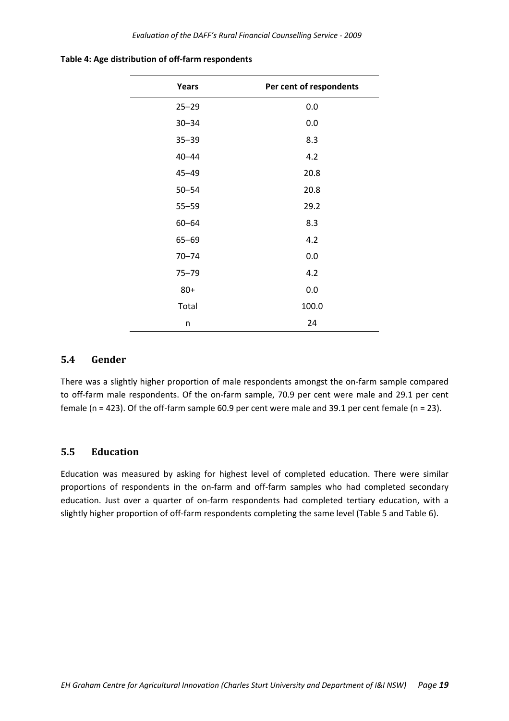| <b>Years</b> | Per cent of respondents |
|--------------|-------------------------|
| $25 - 29$    | 0.0                     |
| $30 - 34$    | 0.0                     |
| $35 - 39$    | 8.3                     |
| $40 - 44$    | 4.2                     |
| $45 - 49$    | 20.8                    |
| $50 - 54$    | 20.8                    |
| $55 - 59$    | 29.2                    |
| $60 - 64$    | 8.3                     |
| $65 - 69$    | 4.2                     |
| $70 - 74$    | 0.0                     |
| $75 - 79$    | 4.2                     |
| $80+$        | 0.0                     |
| Total        | 100.0                   |
| n            | 24                      |

**Table 4: Age distribution of off‐farm respondents**

#### **5.4 Gender**

There was a slightly higher proportion of male respondents amongst the on‐farm sample compared to off-farm male respondents. Of the on-farm sample, 70.9 per cent were male and 29.1 per cent female (n = 423). Of the off-farm sample 60.9 per cent were male and 39.1 per cent female (n = 23).

## **5.5 Education**

Education was measured by asking for highest level of completed education. There were similar proportions of respondents in the on‐farm and off‐farm samples who had completed secondary education. Just over a quarter of on-farm respondents had completed tertiary education, with a slightly higher proportion of off-farm respondents completing the same level (Table 5 and Table 6).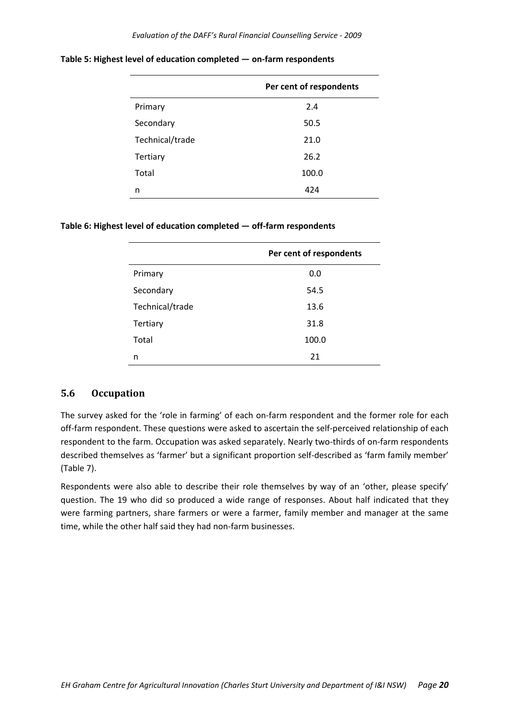|                 | Per cent of respondents |
|-----------------|-------------------------|
| Primary         | 2.4                     |
| Secondary       | 50.5                    |
| Technical/trade | 21.0                    |
| <b>Tertiary</b> | 26.2                    |
| Total           | 100.0                   |
| n               | 424                     |

**Table 5: Highest level of education completed — on‐farm respondents**

#### **Table 6: Highest level of education completed — off‐farm respondents**

|                 | Per cent of respondents |
|-----------------|-------------------------|
| Primary         | 0.0                     |
| Secondary       | 54.5                    |
| Technical/trade | 13.6                    |
| Tertiary        | 31.8                    |
| Total           | 100.0                   |
| n               | 21                      |

## **5.6 Occupation**

The survey asked for the 'role in farming' of each on-farm respondent and the former role for each off-farm respondent. These questions were asked to ascertain the self-perceived relationship of each respondent to the farm. Occupation was asked separately. Nearly two-thirds of on-farm respondents described themselves as 'farmer' but a significant proportion self‐described as 'farm family member' (Table 7).

Respondents were also able to describe their role themselves by way of an 'other, please specify' question. The 19 who did so produced a wide range of responses. About half indicated that they were farming partners, share farmers or were a farmer, family member and manager at the same time, while the other half said they had non-farm businesses.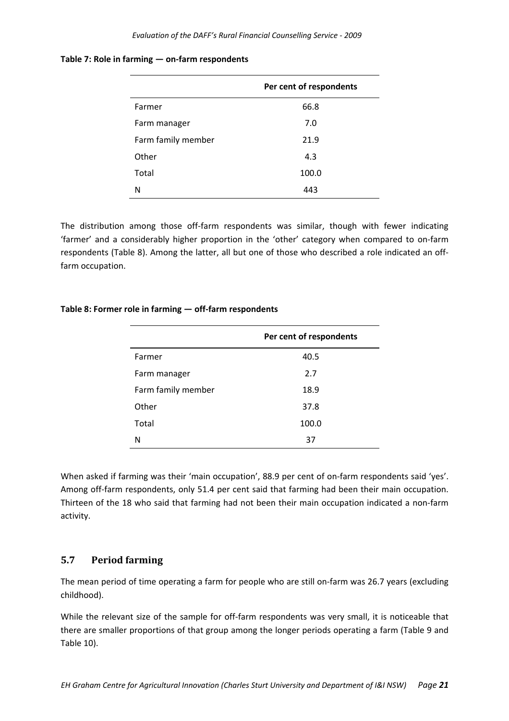|                    | Per cent of respondents |
|--------------------|-------------------------|
| Farmer             | 66.8                    |
| Farm manager       | 7.0                     |
| Farm family member | 21.9                    |
| Other              | 4.3                     |
| Total              | 100.0                   |
| N                  | 443                     |

#### **Table 7: Role in farming — on‐farm respondents**

The distribution among those off-farm respondents was similar, though with fewer indicating 'farmer' and a considerably higher proportion in the 'other' category when compared to on‐farm respondents (Table 8). Among the latter, all but one of those who described a role indicated an off‐ farm occupation.

|                    | Per cent of respondents |
|--------------------|-------------------------|
| Farmer             | 40.5                    |
| Farm manager       | 2.7                     |
| Farm family member | 18.9                    |
| Other              | 37.8                    |
| Total              | 100.0                   |
| N                  | 37                      |

#### **Table 8: Former role in farming — off‐farm respondents**

When asked if farming was their 'main occupation', 88.9 per cent of on-farm respondents said 'yes'. Among off-farm respondents, only 51.4 per cent said that farming had been their main occupation. Thirteen of the 18 who said that farming had not been their main occupation indicated a non‐farm activity.

## **5.7 Period farming**

The mean period of time operating a farm for people who are still on-farm was 26.7 years (excluding childhood).

While the relevant size of the sample for off-farm respondents was very small, it is noticeable that there are smaller proportions of that group among the longer periods operating a farm (Table 9 and Table 10).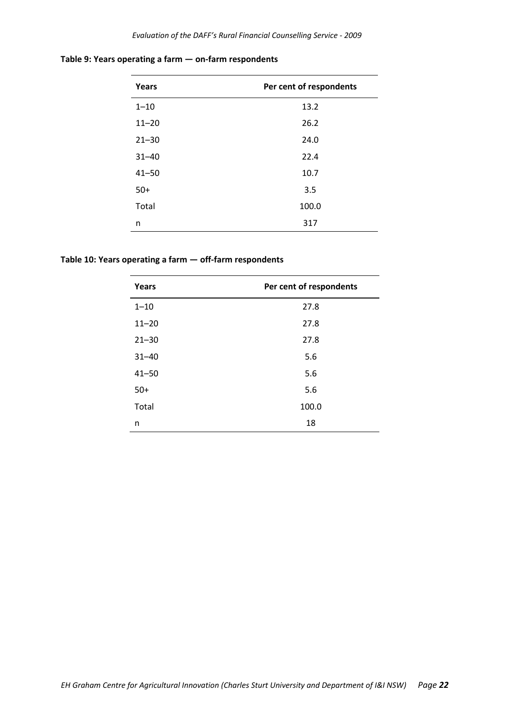| Years     | Per cent of respondents |
|-----------|-------------------------|
| $1 - 10$  | 13.2                    |
| $11 - 20$ | 26.2                    |
| $21 - 30$ | 24.0                    |
| $31 - 40$ | 22.4                    |
| $41 - 50$ | 10.7                    |
| $50+$     | 3.5                     |
| Total     | 100.0                   |
| n         | 317                     |

**Table 9: Years operating a farm — on‐farm respondents**

**Table 10: Years operating a farm — off‐farm respondents**

| Years     | Per cent of respondents |
|-----------|-------------------------|
| $1 - 10$  | 27.8                    |
| $11 - 20$ | 27.8                    |
| $21 - 30$ | 27.8                    |
| $31 - 40$ | 5.6                     |
| $41 - 50$ | 5.6                     |
| $50+$     | 5.6                     |
| Total     | 100.0                   |
| n         | 18                      |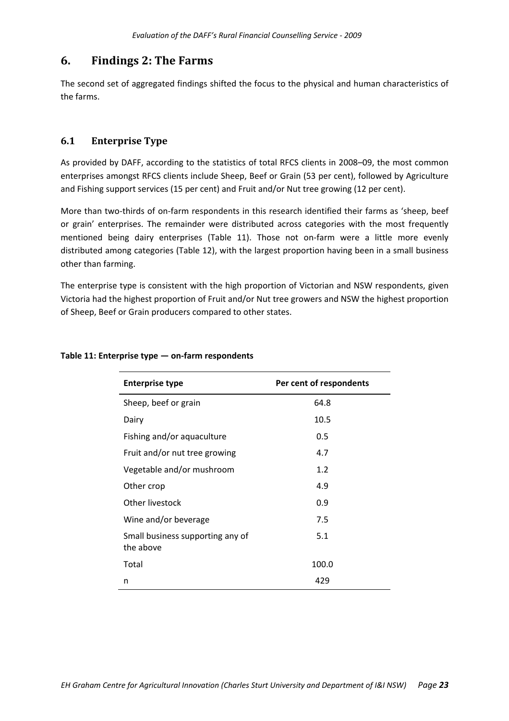# **6. Findings 2: The Farms**

The second set of aggregated findings shifted the focus to the physical and human characteristics of the farms.

## **6.1 Enterprise Type**

As provided by DAFF, according to the statistics of total RFCS clients in 2008–09, the most common enterprises amongst RFCS clients include Sheep, Beef or Grain (53 per cent), followed by Agriculture and Fishing support services (15 per cent) and Fruit and/or Nut tree growing (12 per cent).

More than two-thirds of on-farm respondents in this research identified their farms as 'sheep, beef or grain' enterprises. The remainder were distributed across categories with the most frequently mentioned being dairy enterprises (Table 11). Those not on-farm were a little more evenly distributed among categories (Table 12), with the largest proportion having been in a small business other than farming.

The enterprise type is consistent with the high proportion of Victorian and NSW respondents, given Victoria had the highest proportion of Fruit and/or Nut tree growers and NSW the highest proportion of Sheep, Beef or Grain producers compared to other states.

| <b>Enterprise type</b>                        | Per cent of respondents |
|-----------------------------------------------|-------------------------|
| Sheep, beef or grain                          | 64.8                    |
| Dairy                                         | 10.5                    |
| Fishing and/or aquaculture                    | 0.5                     |
| Fruit and/or nut tree growing                 | 4.7                     |
| Vegetable and/or mushroom                     | 1.2                     |
| Other crop                                    | 4.9                     |
| Other livestock                               | 0.9                     |
| Wine and/or beverage                          | 7.5                     |
| Small business supporting any of<br>the above | 5.1                     |
| Total                                         | 100.0                   |
| n                                             | 429                     |

#### **Table 11: Enterprise type — on‐farm respondents**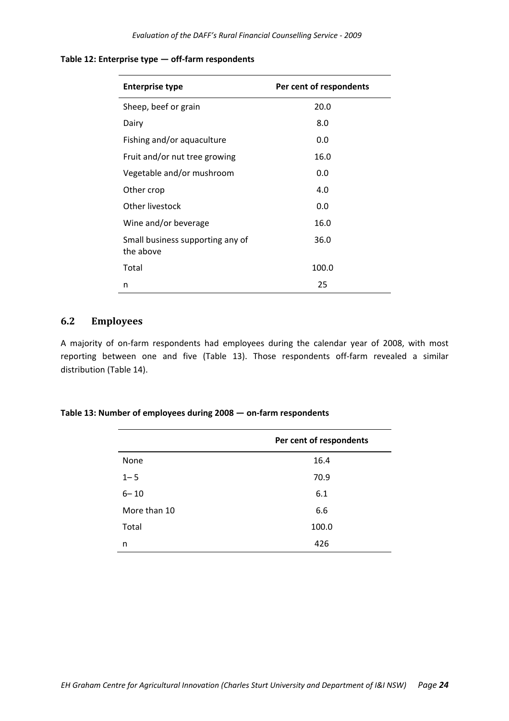| <b>Enterprise type</b>                        | Per cent of respondents |
|-----------------------------------------------|-------------------------|
| Sheep, beef or grain                          | 20.0                    |
| Dairy                                         | 8.0                     |
| Fishing and/or aquaculture                    | 0.0                     |
| Fruit and/or nut tree growing                 | 16.0                    |
| Vegetable and/or mushroom                     | 0.0                     |
| Other crop                                    | 4.0                     |
| Other livestock                               | 0.0                     |
| Wine and/or beverage                          | 16.0                    |
| Small business supporting any of<br>the above | 36.0                    |
| Total                                         | 100.0                   |
| n                                             | 25                      |

#### **Table 12: Enterprise type — off‐farm respondents**

#### **6.2 Employees**

A majority of on‐farm respondents had employees during the calendar year of 2008, with most reporting between one and five (Table 13). Those respondents off-farm revealed a similar distribution (Table 14).

#### **Table 13: Number of employees during 2008 — on‐farm respondents**

|              | Per cent of respondents |
|--------------|-------------------------|
| None         | 16.4                    |
| $1 - 5$      | 70.9                    |
| $6 - 10$     | 6.1                     |
| More than 10 | 6.6                     |
| Total        | 100.0                   |
| n            | 426                     |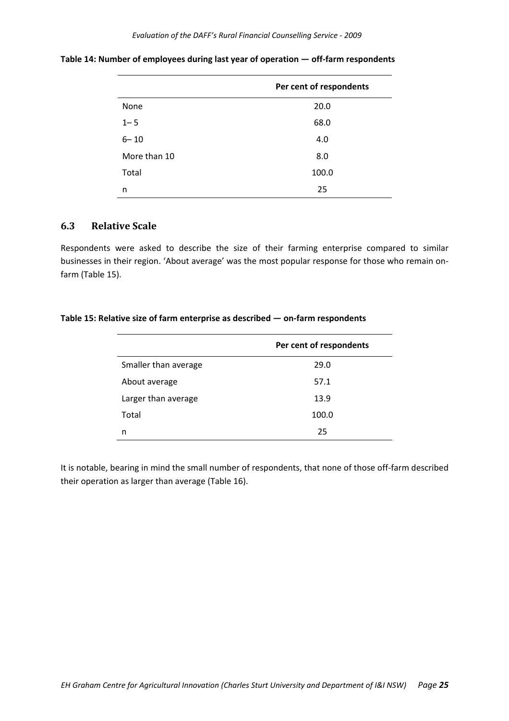|              | Per cent of respondents |
|--------------|-------------------------|
| None         | 20.0                    |
| $1 - 5$      | 68.0                    |
| $6 - 10$     | 4.0                     |
| More than 10 | 8.0                     |
| Total        | 100.0                   |
| n            | 25                      |

**Table 14: Number of employees during last year of operation — off‐farm respondents**

#### **6.3 Relative Scale**

Respondents were asked to describe the size of their farming enterprise compared to similar businesses in their region. 'About average' was the most popular response for those who remain on‐ farm (Table 15).

#### **Table 15: Relative size of farm enterprise as described — on‐farm respondents**

|                      | Per cent of respondents |
|----------------------|-------------------------|
| Smaller than average | 29.0                    |
| About average        | 57.1                    |
| Larger than average  | 13.9                    |
| Total                | 100.0                   |
| n                    | 25                      |

It is notable, bearing in mind the small number of respondents, that none of those off-farm described their operation as larger than average (Table 16).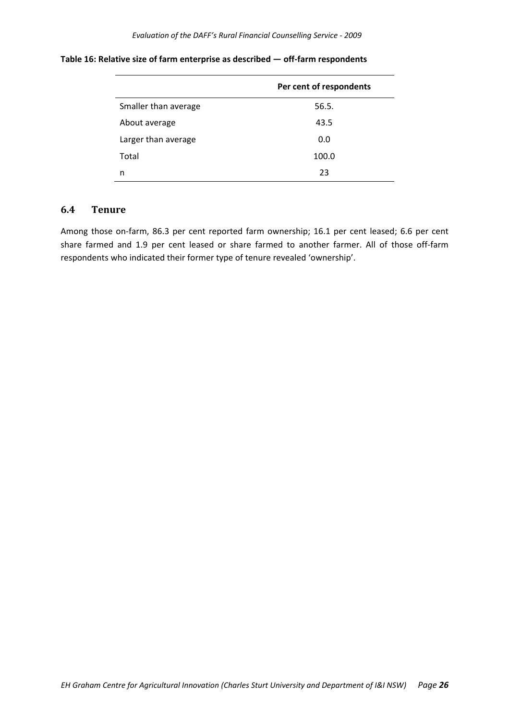|                      | Per cent of respondents |
|----------------------|-------------------------|
| Smaller than average | 56.5.                   |
| About average        | 43.5                    |
| Larger than average  | 0.0                     |
| Total                | 100.0                   |
| n                    | 23                      |

#### **Table 16: Relative size of farm enterprise as described — off‐farm respondents**

#### **6.4 Tenure**

Among those on‐farm, 86.3 per cent reported farm ownership; 16.1 per cent leased; 6.6 per cent share farmed and 1.9 per cent leased or share farmed to another farmer. All of those off-farm respondents who indicated their former type of tenure revealed 'ownership'.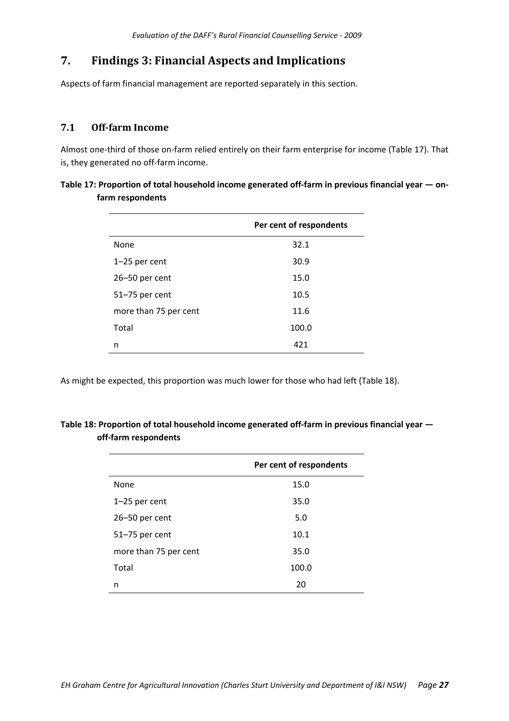# **7. Findings 3: Financial Aspects and Implications**

Aspects of farm financial management are reported separately in this section.

## **7.1 Offfarm Income**

Almost one‐third of those on‐farm relied entirely on their farm enterprise for income (Table 17). That is, they generated no off-farm income.

| Table 17: Proportion of total household income generated off-farm in previous financial year $-$ on- |  |
|------------------------------------------------------------------------------------------------------|--|
| farm respondents                                                                                     |  |

|                       | Per cent of respondents |
|-----------------------|-------------------------|
| None                  | 32.1                    |
| 1-25 per cent         | 30.9                    |
| 26-50 per cent        | 15.0                    |
| 51-75 per cent        | 10.5                    |
| more than 75 per cent | 11.6                    |
| Total                 | 100.0                   |
| n                     | 421                     |

As might be expected, this proportion was much lower for those who had left (Table 18).

|                       | Per cent of respondents |
|-----------------------|-------------------------|
| None                  | 15.0                    |
| 1-25 per cent         | 35.0                    |
| 26-50 per cent        | 5.0                     |
| 51-75 per cent        | 10.1                    |
| more than 75 per cent | 35.0                    |
| Total                 | 100.0                   |
| n                     | 20                      |

| Table 18: Proportion of total household income generated off-farm in previous financial year – |  |
|------------------------------------------------------------------------------------------------|--|
| off-farm respondents                                                                           |  |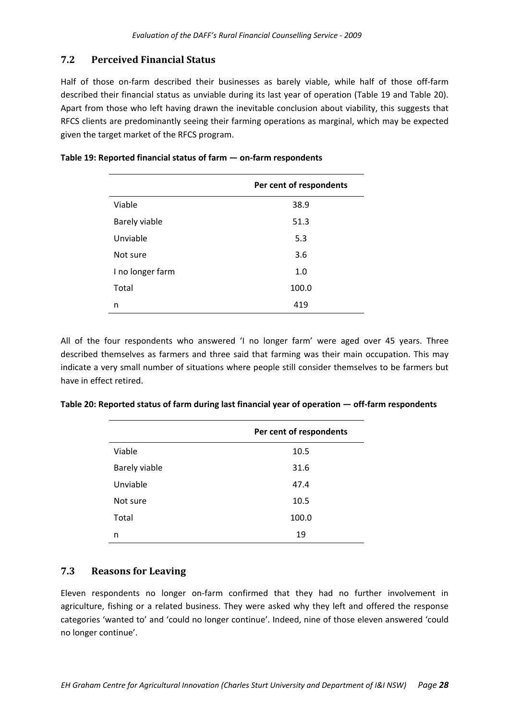## **7.2 Perceived Financial Status**

Half of those on-farm described their businesses as barely viable, while half of those off-farm described their financial status as unviable during its last year of operation (Table 19 and Table 20). Apart from those who left having drawn the inevitable conclusion about viability, this suggests that RFCS clients are predominantly seeing their farming operations as marginal, which may be expected given the target market of the RFCS program.

|                  | Per cent of respondents |
|------------------|-------------------------|
| Viable           | 38.9                    |
| Barely viable    | 51.3                    |
| Unviable         | 5.3                     |
| Not sure         | 3.6                     |
| I no longer farm | 1.0                     |
| Total            | 100.0                   |
| n                | 419                     |

| Table 19: Reported financial status of farm - on-farm respondents |  |
|-------------------------------------------------------------------|--|
|-------------------------------------------------------------------|--|

All of the four respondents who answered 'I no longer farm' were aged over 45 years. Three described themselves as farmers and three said that farming was their main occupation. This may indicate a very small number of situations where people still consider themselves to be farmers but have in effect retired.

|               | Per cent of respondents |
|---------------|-------------------------|
| Viable        | 10.5                    |
| Barely viable | 31.6                    |
| Unviable      | 47.4                    |
| Not sure      | 10.5                    |
| Total         | 100.0                   |
| n             | 19                      |
|               |                         |

| Table 20: Reported status of farm during last financial year of operation - off-farm respondents |  |  |  |
|--------------------------------------------------------------------------------------------------|--|--|--|
|--------------------------------------------------------------------------------------------------|--|--|--|

## **7.3 Reasons for Leaving**

Eleven respondents no longer on-farm confirmed that they had no further involvement in agriculture, fishing or a related business. They were asked why they left and offered the response categories 'wanted to' and 'could no longer continue'. Indeed, nine of those eleven answered 'could no longer continue'.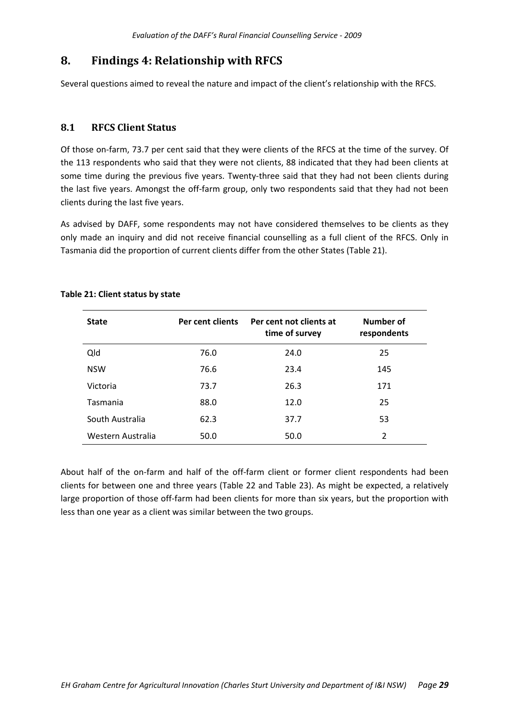# **8. Findings 4: Relationship with RFCS**

Several questions aimed to reveal the nature and impact of the client's relationship with the RFCS.

## **8.1 RFCS Client Status**

Of those on‐farm, 73.7 per cent said that they were clients of the RFCS at the time of the survey. Of the 113 respondents who said that they were not clients, 88 indicated that they had been clients at some time during the previous five years. Twenty-three said that they had not been clients during the last five years. Amongst the off‐farm group, only two respondents said that they had not been clients during the last five years.

As advised by DAFF, some respondents may not have considered themselves to be clients as they only made an inquiry and did not receive financial counselling as a full client of the RFCS. Only in Tasmania did the proportion of current clients differ from the other States (Table 21).

| <b>State</b>      | Per cent clients | Per cent not clients at<br>time of survey | Number of<br>respondents |
|-------------------|------------------|-------------------------------------------|--------------------------|
| Qld               | 76.0             | 24.0                                      | 25                       |
| <b>NSW</b>        | 76.6             | 23.4                                      | 145                      |
| Victoria          | 73.7             | 26.3                                      | 171                      |
| Tasmania          | 88.0             | 12.0                                      | 25                       |
| South Australia   | 62.3             | 37.7                                      | 53                       |
| Western Australia | 50.0             | 50.0                                      | $\overline{2}$           |

## **Table 21: Client status by state**

About half of the on-farm and half of the off-farm client or former client respondents had been clients for between one and three years (Table 22 and Table 23). As might be expected, a relatively large proportion of those off-farm had been clients for more than six years, but the proportion with less than one year as a client was similar between the two groups.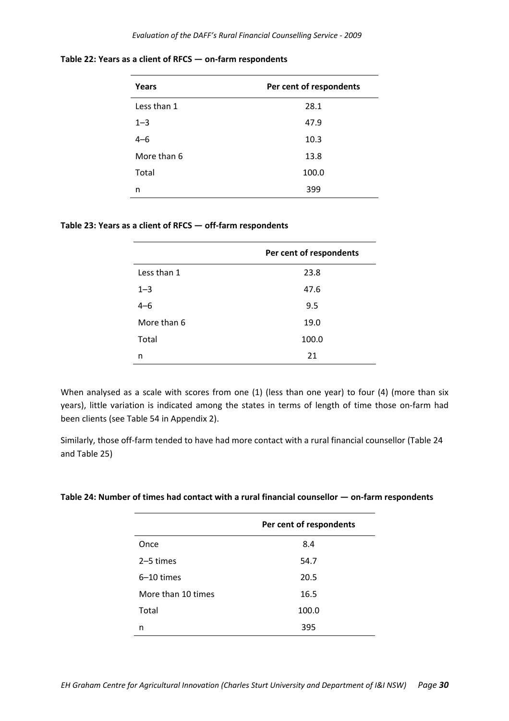| Years       | Per cent of respondents |
|-------------|-------------------------|
| Less than 1 | 28.1                    |
| $1 - 3$     | 47.9                    |
| $4 - 6$     | 10.3                    |
| More than 6 | 13.8                    |
| Total       | 100.0                   |
| n           | 399                     |

**Table 22: Years as a client of RFCS — on‐farm respondents**

#### **Table 23: Years as a client of RFCS — off‐farm respondents**

|             | Per cent of respondents |
|-------------|-------------------------|
| Less than 1 | 23.8                    |
| $1 - 3$     | 47.6                    |
| $4 - 6$     | 9.5                     |
| More than 6 | 19.0                    |
| Total       | 100.0                   |
| n           | 21                      |

When analysed as a scale with scores from one (1) (less than one year) to four (4) (more than six years), little variation is indicated among the states in terms of length of time those on‐farm had been clients (see Table 54 in Appendix 2).

Similarly, those off‐farm tended to have had more contact with a rural financial counsellor (Table 24 and Table 25)

| Table 24: Number of times had contact with a rural financial counsellor — on-farm respondents |  |
|-----------------------------------------------------------------------------------------------|--|
|-----------------------------------------------------------------------------------------------|--|

|                    | Per cent of respondents |
|--------------------|-------------------------|
| Once               | 8.4                     |
| 2–5 times          | 54.7                    |
| $6-10$ times       | 20.5                    |
| More than 10 times | 16.5                    |
| Total              | 100.0                   |
| n                  | 395                     |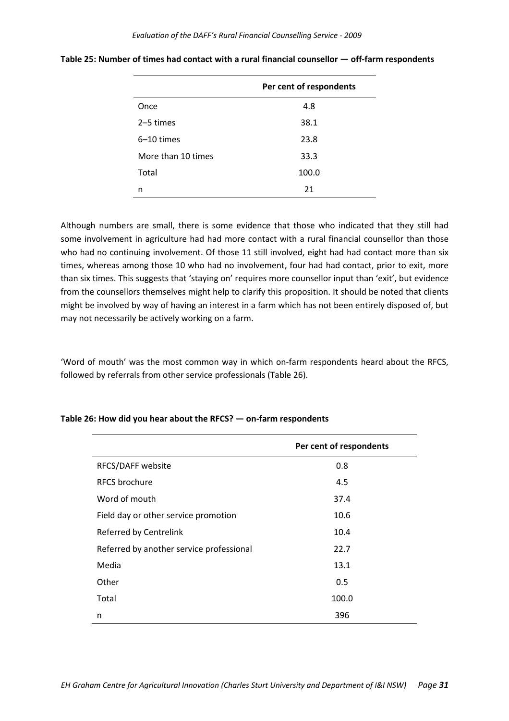|                    | Per cent of respondents |
|--------------------|-------------------------|
| Once               | 4.8                     |
| 2-5 times          | 38.1                    |
| $6-10$ times       | 23.8                    |
| More than 10 times | 33.3                    |
| Total              | 100.0                   |
| n                  | 21                      |

**Table 25: Number of times had contact with a rural financial counsellor — off‐farm respondents**

Although numbers are small, there is some evidence that those who indicated that they still had some involvement in agriculture had had more contact with a rural financial counsellor than those who had no continuing involvement. Of those 11 still involved, eight had had contact more than six times, whereas among those 10 who had no involvement, four had had contact, prior to exit, more than six times. This suggests that 'staying on' requires more counsellor input than 'exit', but evidence from the counsellors themselves might help to clarify this proposition. It should be noted that clients might be involved by way of having an interest in a farm which has not been entirely disposed of, but may not necessarily be actively working on a farm.

'Word of mouth' was the most common way in which on‐farm respondents heard about the RFCS, followed by referrals from other service professionals (Table 26).

|                                          | Per cent of respondents |
|------------------------------------------|-------------------------|
| RFCS/DAFF website                        | 0.8                     |
| <b>RFCS</b> brochure                     | 4.5                     |
| Word of mouth                            | 37.4                    |
| Field day or other service promotion     | 10.6                    |
| Referred by Centrelink                   | 10.4                    |
| Referred by another service professional | 22.7                    |
| Media                                    | 13.1                    |
| Other                                    | 0.5                     |
| Total                                    | 100.0                   |
| n                                        | 396                     |

#### **Table 26: How did you hear about the RFCS? — on‐farm respondents**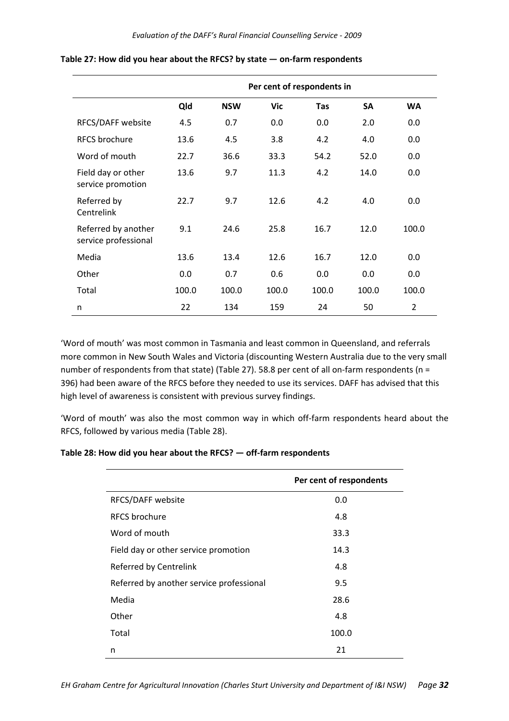|                                             |       |            | Per cent of respondents in |            |       |           |
|---------------------------------------------|-------|------------|----------------------------|------------|-------|-----------|
|                                             | Qld   | <b>NSW</b> | Vic                        | <b>Tas</b> | SA    | <b>WA</b> |
| RFCS/DAFF website                           | 4.5   | 0.7        | 0.0                        | 0.0        | 2.0   | 0.0       |
| <b>RFCS</b> brochure                        | 13.6  | 4.5        | 3.8                        | 4.2        | 4.0   | 0.0       |
| Word of mouth                               | 22.7  | 36.6       | 33.3                       | 54.2       | 52.0  | 0.0       |
| Field day or other<br>service promotion     | 13.6  | 9.7        | 11.3                       | 4.2        | 14.0  | 0.0       |
| Referred by<br>Centrelink                   | 22.7  | 9.7        | 12.6                       | 4.2        | 4.0   | 0.0       |
| Referred by another<br>service professional | 9.1   | 24.6       | 25.8                       | 16.7       | 12.0  | 100.0     |
| Media                                       | 13.6  | 13.4       | 12.6                       | 16.7       | 12.0  | 0.0       |
| Other                                       | 0.0   | 0.7        | 0.6                        | 0.0        | 0.0   | 0.0       |
| Total                                       | 100.0 | 100.0      | 100.0                      | 100.0      | 100.0 | 100.0     |
| n                                           | 22    | 134        | 159                        | 24         | 50    | 2         |

#### **Table 27: How did you hear about the RFCS? by state — on‐farm respondents**

'Word of mouth' was most common in Tasmania and least common in Queensland, and referrals more common in New South Wales and Victoria (discounting Western Australia due to the very small number of respondents from that state) (Table 27). 58.8 per cent of all on-farm respondents (n = 396) had been aware of the RFCS before they needed to use its services. DAFF has advised that this high level of awareness is consistent with previous survey findings.

'Word of mouth' was also the most common way in which off‐farm respondents heard about the RFCS, followed by various media (Table 28).

#### **Table 28: How did you hear about the RFCS? — off‐farm respondents**

|                                          | Per cent of respondents |
|------------------------------------------|-------------------------|
| RFCS/DAFF website                        | 0.0                     |
| <b>RECS</b> brochure                     | 4.8                     |
| Word of mouth                            | 33.3                    |
| Field day or other service promotion     | 14.3                    |
| Referred by Centrelink                   | 4.8                     |
| Referred by another service professional | 9.5                     |
| Media                                    | 28.6                    |
| Other                                    | 4.8                     |
| Total                                    | 100.0                   |
| n                                        | 21                      |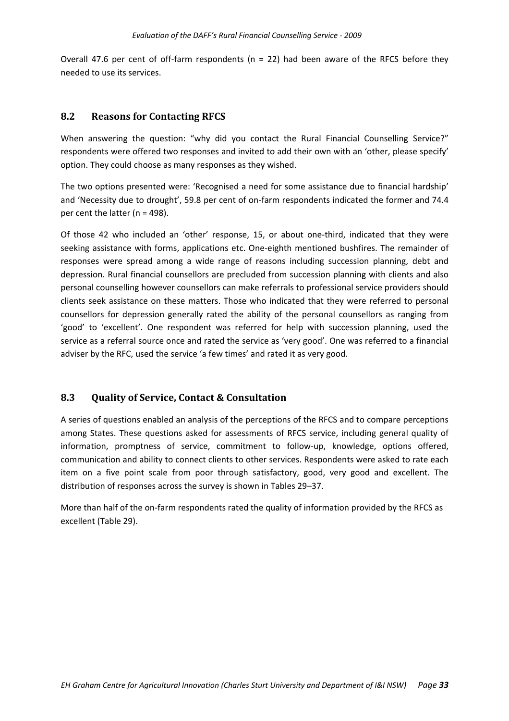Overall 47.6 per cent of off-farm respondents ( $n = 22$ ) had been aware of the RFCS before they needed to use its services.

## **8.2 Reasons for Contacting RFCS**

When answering the question: "why did you contact the Rural Financial Counselling Service?" respondents were offered two responses and invited to add their own with an 'other, please specify' option. They could choose as many responses as they wished.

The two options presented were: 'Recognised a need for some assistance due to financial hardship' and 'Necessity due to drought', 59.8 per cent of on‐farm respondents indicated the former and 74.4 per cent the latter (n = 498).

Of those 42 who included an 'other' response, 15, or about one‐third, indicated that they were seeking assistance with forms, applications etc. One-eighth mentioned bushfires. The remainder of responses were spread among a wide range of reasons including succession planning, debt and depression. Rural financial counsellors are precluded from succession planning with clients and also personal counselling however counsellors can make referrals to professional service providers should clients seek assistance on these matters. Those who indicated that they were referred to personal counsellors for depression generally rated the ability of the personal counsellors as ranging from 'good' to 'excellent'. One respondent was referred for help with succession planning, used the service as a referral source once and rated the service as 'very good'. One was referred to a financial adviser by the RFC, used the service 'a few times' and rated it as very good.

## **8.3 Quality of Service, Contact & Consultation**

A series of questions enabled an analysis of the perceptions of the RFCS and to compare perceptions among States. These questions asked for assessments of RFCS service, including general quality of information, promptness of service, commitment to follow-up, knowledge, options offered, communication and ability to connect clients to other services. Respondents were asked to rate each item on a five point scale from poor through satisfactory, good, very good and excellent. The distribution of responses across the survey is shown in Tables 29–37.

More than half of the on-farm respondents rated the quality of information provided by the RFCS as excellent (Table 29).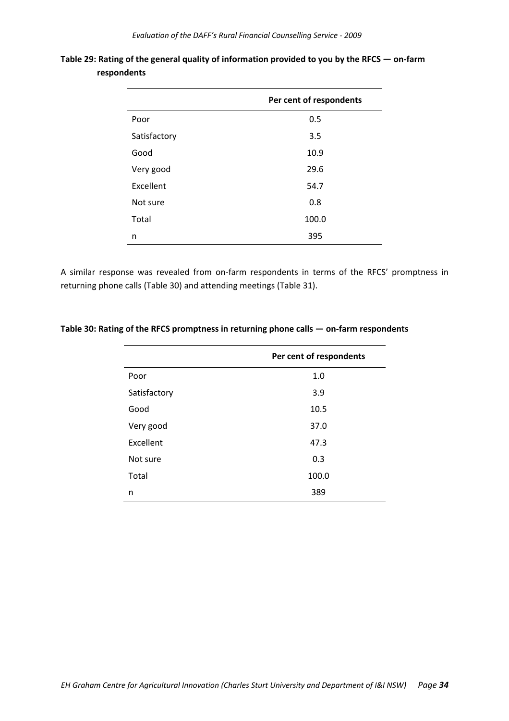|              | Per cent of respondents |
|--------------|-------------------------|
| Poor         | 0.5                     |
| Satisfactory | 3.5                     |
| Good         | 10.9                    |
| Very good    | 29.6                    |
| Excellent    | 54.7                    |
| Not sure     | 0.8                     |
| Total        | 100.0                   |
| n            | 395                     |

|             | Table 29: Rating of the general quality of information provided to you by the RFCS $-$ on-farm |
|-------------|------------------------------------------------------------------------------------------------|
| respondents |                                                                                                |

A similar response was revealed from on-farm respondents in terms of the RFCS' promptness in returning phone calls (Table 30) and attending meetings (Table 31).

| Table 30: Rating of the RFCS promptness in returning phone calls $-$ on-farm respondents |  |
|------------------------------------------------------------------------------------------|--|
|------------------------------------------------------------------------------------------|--|

|              | Per cent of respondents |
|--------------|-------------------------|
| Poor         | 1.0                     |
| Satisfactory | 3.9                     |
| Good         | 10.5                    |
| Very good    | 37.0                    |
| Excellent    | 47.3                    |
| Not sure     | 0.3                     |
| Total        | 100.0                   |
| n            | 389                     |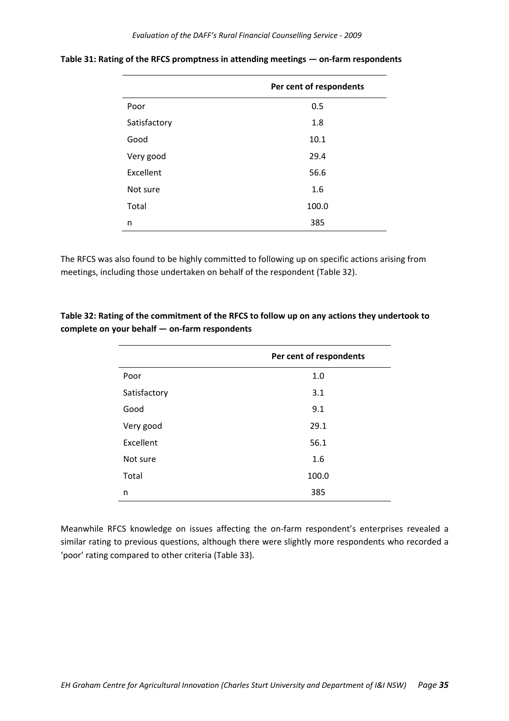|              | Per cent of respondents |
|--------------|-------------------------|
| Poor         | 0.5                     |
| Satisfactory | 1.8                     |
| Good         | 10.1                    |
| Very good    | 29.4                    |
| Excellent    | 56.6                    |
| Not sure     | 1.6                     |
| Total        | 100.0                   |
| n            | 385                     |

**Table 31: Rating of the RFCS promptness in attending meetings — on‐farm respondents**

The RFCS was also found to be highly committed to following up on specific actions arising from meetings, including those undertaken on behalf of the respondent (Table 32).

**Table 32: Rating of the commitment of the RFCS to follow up on any actions they undertook to complete on your behalf — on‐farm respondents**

|              | Per cent of respondents |
|--------------|-------------------------|
| Poor         | 1.0                     |
| Satisfactory | 3.1                     |
| Good         | 9.1                     |
| Very good    | 29.1                    |
| Excellent    | 56.1                    |
| Not sure     | 1.6                     |
| Total        | 100.0                   |
| n            | 385                     |

Meanwhile RFCS knowledge on issues affecting the on‐farm respondent's enterprises revealed a similar rating to previous questions, although there were slightly more respondents who recorded a 'poor' rating compared to other criteria (Table 33).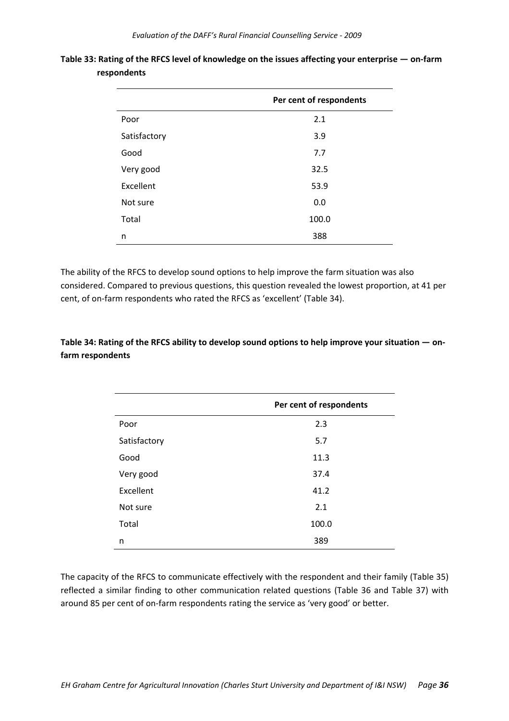|              | Per cent of respondents |
|--------------|-------------------------|
| Poor         | 2.1                     |
| Satisfactory | 3.9                     |
| Good         | 7.7                     |
| Very good    | 32.5                    |
| Excellent    | 53.9                    |
| Not sure     | 0.0                     |
| Total        | 100.0                   |
| n            | 388                     |

Table 33: Rating of the RFCS level of knowledge on the issues affecting your enterprise - on-farm **respondents**

The ability of the RFCS to develop sound options to help improve the farm situation was also considered. Compared to previous questions, this question revealed the lowest proportion, at 41 per cent, of on-farm respondents who rated the RFCS as 'excellent' (Table 34).

# Table 34: Rating of the RFCS ability to develop sound options to help improve your situation - on**farm respondents**

|              | Per cent of respondents |
|--------------|-------------------------|
| Poor         | 2.3                     |
| Satisfactory | 5.7                     |
| Good         | 11.3                    |
| Very good    | 37.4                    |
| Excellent    | 41.2                    |
| Not sure     | 2.1                     |
| Total        | 100.0                   |
| n            | 389                     |

The capacity of the RFCS to communicate effectively with the respondent and their family (Table 35) reflected a similar finding to other communication related questions (Table 36 and Table 37) with around 85 per cent of on-farm respondents rating the service as 'very good' or better.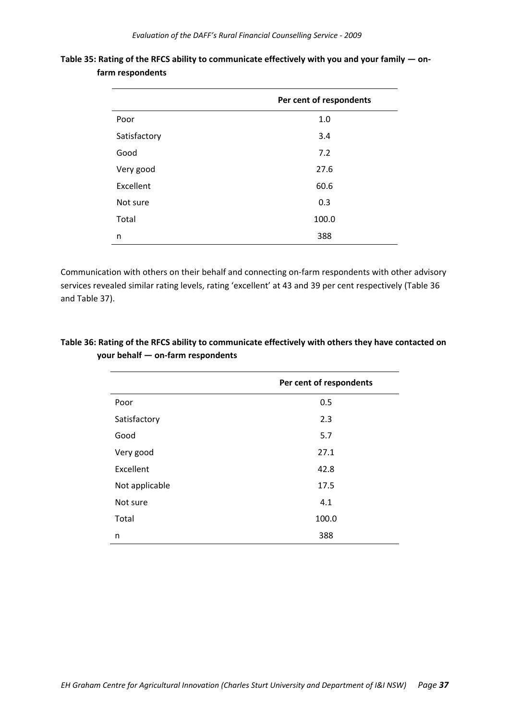|              | Per cent of respondents |
|--------------|-------------------------|
| Poor         | 1.0                     |
| Satisfactory | 3.4                     |
| Good         | 7.2                     |
| Very good    | 27.6                    |
| Excellent    | 60.6                    |
| Not sure     | 0.3                     |
| Total        | 100.0                   |
| n            | 388                     |

**Table 35: Rating of the RFCS ability to communicate effectively with you and your family — on‐ farm respondents**

Communication with others on their behalf and connecting on‐farm respondents with other advisory services revealed similar rating levels, rating 'excellent' at 43 and 39 per cent respectively (Table 36 and Table 37).

|                | Per cent of respondents |
|----------------|-------------------------|
| Poor           | 0.5                     |
| Satisfactory   | 2.3                     |
| Good           | 5.7                     |
| Very good      | 27.1                    |
| Excellent      | 42.8                    |
| Not applicable | 17.5                    |
| Not sure       | 4.1                     |
| Total          | 100.0                   |
| n              | 388                     |

# **Table 36: Rating of the RFCS ability to communicate effectively with others they have contacted on your behalf — on‐farm respondents**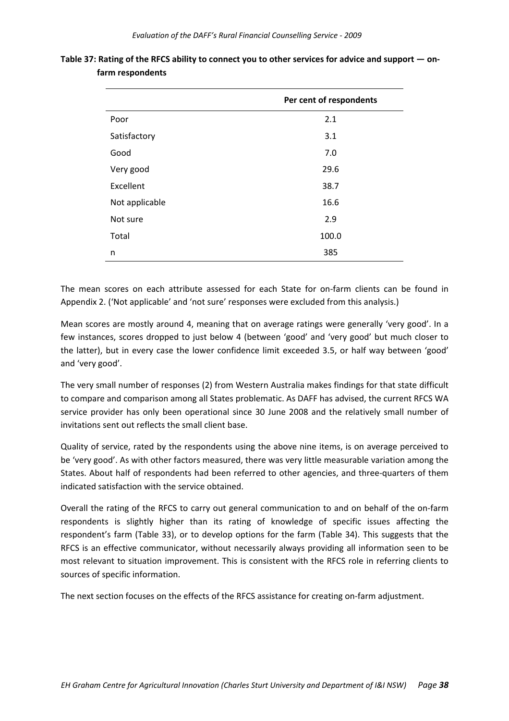|                | Per cent of respondents |
|----------------|-------------------------|
| Poor           | 2.1                     |
| Satisfactory   | 3.1                     |
| Good           | 7.0                     |
| Very good      | 29.6                    |
| Excellent      | 38.7                    |
| Not applicable | 16.6                    |
| Not sure       | 2.9                     |
| Total          | 100.0                   |
| n              | 385                     |

Table 37: Rating of the RFCS ability to connect you to other services for advice and support  $-$  on**farm respondents**

The mean scores on each attribute assessed for each State for on-farm clients can be found in Appendix 2. ('Not applicable' and 'not sure' responses were excluded from this analysis.)

Mean scores are mostly around 4, meaning that on average ratings were generally 'very good'. In a few instances, scores dropped to just below 4 (between 'good' and 'very good' but much closer to the latter), but in every case the lower confidence limit exceeded 3.5, or half way between 'good' and 'very good'.

The very small number of responses (2) from Western Australia makes findings for that state difficult to compare and comparison among all States problematic. As DAFF has advised, the current RFCS WA service provider has only been operational since 30 June 2008 and the relatively small number of invitations sent out reflects the small client base.

Quality of service, rated by the respondents using the above nine items, is on average perceived to be 'very good'. As with other factors measured, there was very little measurable variation among the States. About half of respondents had been referred to other agencies, and three‐quarters of them indicated satisfaction with the service obtained.

Overall the rating of the RFCS to carry out general communication to and on behalf of the on‐farm respondents is slightly higher than its rating of knowledge of specific issues affecting the respondent's farm (Table 33), or to develop options for the farm (Table 34). This suggests that the RFCS is an effective communicator, without necessarily always providing all information seen to be most relevant to situation improvement. This is consistent with the RFCS role in referring clients to sources of specific information.

The next section focuses on the effects of the RFCS assistance for creating on‐farm adjustment.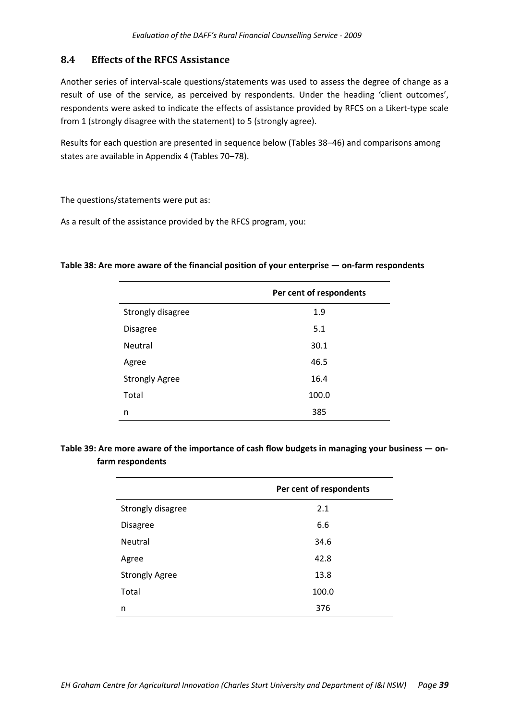#### **8.4 Effects of the RFCS Assistance**

Another series of interval‐scale questions/statements was used to assess the degree of change as a result of use of the service, as perceived by respondents. Under the heading 'client outcomes', respondents were asked to indicate the effects of assistance provided by RFCS on a Likert-type scale from 1 (strongly disagree with the statement) to 5 (strongly agree).

Results for each question are presented in sequence below (Tables 38–46) and comparisons among states are available in Appendix 4 (Tables 70–78).

The questions/statements were put as:

As a result of the assistance provided by the RFCS program, you:

#### **Table 38: Are more aware of the financial position of your enterprise — on‐farm respondents**

|                       | Per cent of respondents |
|-----------------------|-------------------------|
| Strongly disagree     | 1.9                     |
| <b>Disagree</b>       | 5.1                     |
| <b>Neutral</b>        | 30.1                    |
| Agree                 | 46.5                    |
| <b>Strongly Agree</b> | 16.4                    |
| Total                 | 100.0                   |
| n                     | 385                     |

# Table 39: Are more aware of the importance of cash flow budgets in managing your business - on**farm respondents**

|                       | Per cent of respondents |
|-----------------------|-------------------------|
| Strongly disagree     | 2.1                     |
| <b>Disagree</b>       | 6.6                     |
| Neutral               | 34.6                    |
| Agree                 | 42.8                    |
| <b>Strongly Agree</b> | 13.8                    |
| Total                 | 100.0                   |
| n                     | 376                     |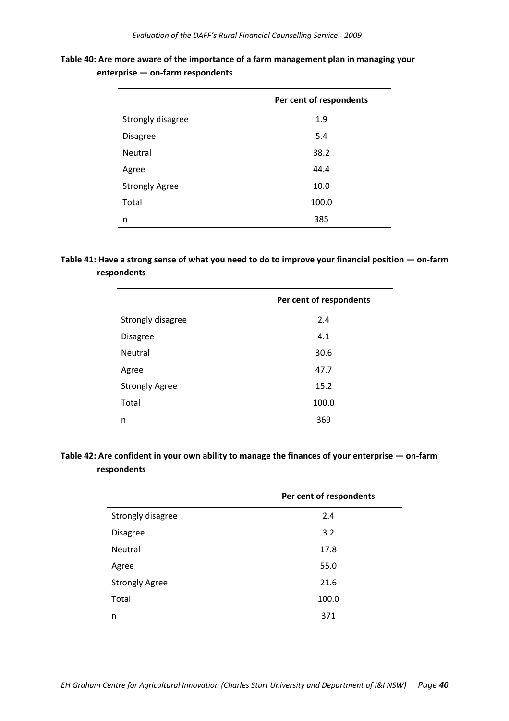| Table 40: Are more aware of the importance of a farm management plan in managing your |  |
|---------------------------------------------------------------------------------------|--|
| $enterprise - on-farm$ respondents                                                    |  |

|                       | Per cent of respondents |
|-----------------------|-------------------------|
| Strongly disagree     | 1.9                     |
| <b>Disagree</b>       | 5.4                     |
| <b>Neutral</b>        | 38.2                    |
| Agree                 | 44.4                    |
| <b>Strongly Agree</b> | 10.0                    |
| Total                 | 100.0                   |
| n                     | 385                     |
|                       |                         |

# Table 41: Have a strong sense of what you need to do to improve your financial position - on-farm **respondents**

|                       | Per cent of respondents |
|-----------------------|-------------------------|
| Strongly disagree     | 2.4                     |
| <b>Disagree</b>       | 4.1                     |
| <b>Neutral</b>        | 30.6                    |
| Agree                 | 47.7                    |
| <b>Strongly Agree</b> | 15.2                    |
| Total                 | 100.0                   |
| n                     | 369                     |

# Table 42: Are confident in your own ability to manage the finances of your enterprise - on-farm **respondents**

|                       | Per cent of respondents |
|-----------------------|-------------------------|
| Strongly disagree     | 2.4                     |
| <b>Disagree</b>       | 3.2                     |
| <b>Neutral</b>        | 17.8                    |
| Agree                 | 55.0                    |
| <b>Strongly Agree</b> | 21.6                    |
| Total                 | 100.0                   |
| n                     | 371                     |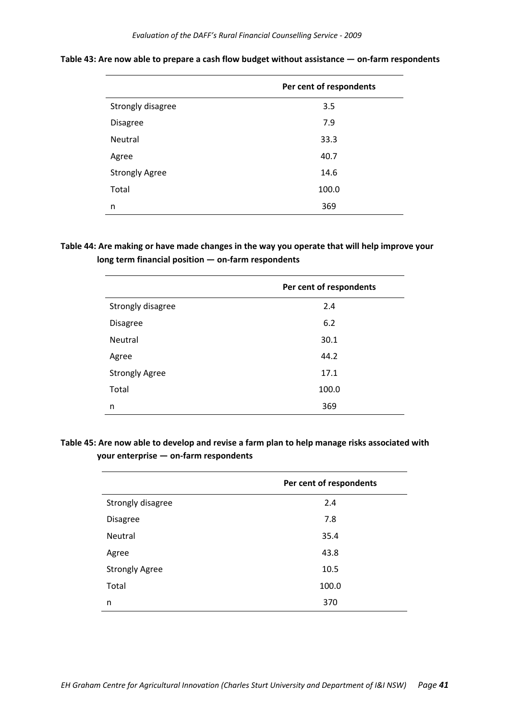|                       | Per cent of respondents |
|-----------------------|-------------------------|
| Strongly disagree     | 3.5                     |
| <b>Disagree</b>       | 7.9                     |
| Neutral               | 33.3                    |
| Agree                 | 40.7                    |
| <b>Strongly Agree</b> | 14.6                    |
| Total                 | 100.0                   |
| n                     | 369                     |

**Table 43: Are now able to prepare a cash flow budget without assistance — on‐farm respondents**

**Table 44: Are making or have made changes in the way you operate that will help improve your long term financial position — on‐farm respondents**

|                       | Per cent of respondents |
|-----------------------|-------------------------|
| Strongly disagree     | 2.4                     |
| <b>Disagree</b>       | 6.2                     |
| Neutral               | 30.1                    |
| Agree                 | 44.2                    |
| <b>Strongly Agree</b> | 17.1                    |
| Total                 | 100.0                   |
| n                     | 369                     |

# **Table 45: Are now able to develop and revise a farm plan to help manage risks associated with your enterprise — on‐farm respondents**

|                       | Per cent of respondents |
|-----------------------|-------------------------|
| Strongly disagree     | 2.4                     |
| <b>Disagree</b>       | 7.8                     |
| Neutral               | 35.4                    |
| Agree                 | 43.8                    |
| <b>Strongly Agree</b> | 10.5                    |
| Total                 | 100.0                   |
| n                     | 370                     |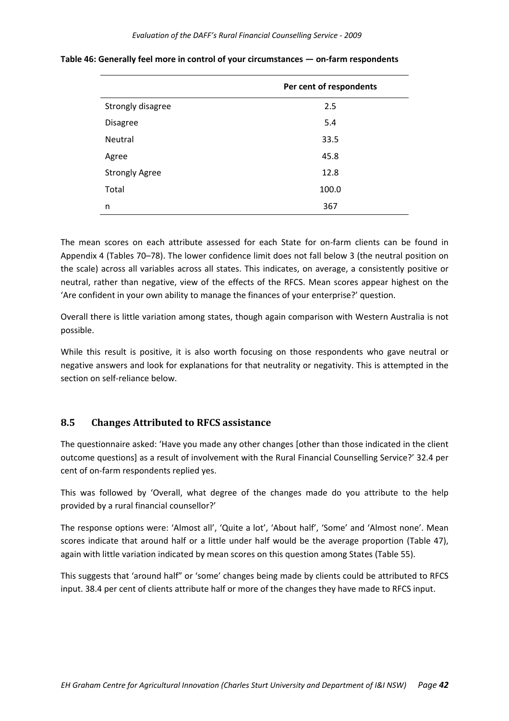|                       | Per cent of respondents |
|-----------------------|-------------------------|
| Strongly disagree     | 2.5                     |
| <b>Disagree</b>       | 5.4                     |
| Neutral               | 33.5                    |
| Agree                 | 45.8                    |
| <b>Strongly Agree</b> | 12.8                    |
| Total                 | 100.0                   |
| n                     | 367                     |

**Table 46: Generally feel more in control of your circumstances — on‐farm respondents**

The mean scores on each attribute assessed for each State for on-farm clients can be found in Appendix 4 (Tables 70–78). The lower confidence limit does not fall below 3 (the neutral position on the scale) across all variables across all states. This indicates, on average, a consistently positive or neutral, rather than negative, view of the effects of the RFCS. Mean scores appear highest on the 'Are confident in your own ability to manage the finances of your enterprise?' question.

Overall there is little variation among states, though again comparison with Western Australia is not possible.

While this result is positive, it is also worth focusing on those respondents who gave neutral or negative answers and look for explanations for that neutrality or negativity. This is attempted in the section on self-reliance below.

#### **8.5 Changes Attributed to RFCS assistance**

The questionnaire asked: 'Have you made any other changes [other than those indicated in the client outcome questions] as a result of involvement with the Rural Financial Counselling Service?' 32.4 per cent of on‐farm respondents replied yes.

This was followed by 'Overall, what degree of the changes made do you attribute to the help provided by a rural financial counsellor?'

The response options were: 'Almost all', 'Quite a lot', 'About half', 'Some' and 'Almost none'. Mean scores indicate that around half or a little under half would be the average proportion (Table 47), again with little variation indicated by mean scores on this question among States (Table 55).

This suggests that 'around half" or 'some' changes being made by clients could be attributed to RFCS input. 38.4 per cent of clients attribute half or more of the changes they have made to RFCS input.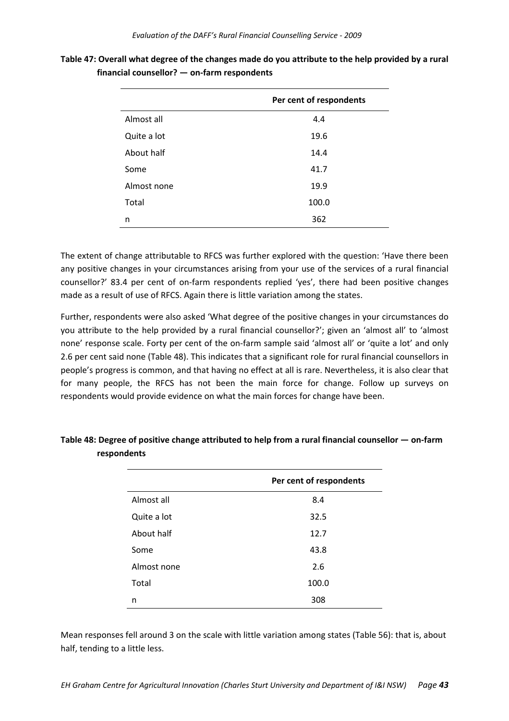|             | Per cent of respondents |
|-------------|-------------------------|
| Almost all  | 4.4                     |
| Quite a lot | 19.6                    |
| About half  | 14.4                    |
| Some        | 41.7                    |
| Almost none | 19.9                    |
| Total       | 100.0                   |
| n           | 362                     |

Table 47: Overall what degree of the changes made do you attribute to the help provided by a rural **financial counsellor? — on‐farm respondents**

The extent of change attributable to RFCS was further explored with the question: 'Have there been any positive changes in your circumstances arising from your use of the services of a rural financial counsellor?' 83.4 per cent of on‐farm respondents replied 'yes', there had been positive changes made as a result of use of RFCS. Again there is little variation among the states.

Further, respondents were also asked 'What degree of the positive changes in your circumstances do you attribute to the help provided by a rural financial counsellor?'; given an 'almost all' to 'almost none' response scale. Forty per cent of the on‐farm sample said 'almost all' or 'quite a lot' and only 2.6 per cent said none (Table 48). This indicates that a significant role for rural financial counsellors in people's progress is common, and that having no effect at all is rare. Nevertheless, it is also clear that for many people, the RFCS has not been the main force for change. Follow up surveys on respondents would provide evidence on what the main forces for change have been.

|             | Per cent of respondents |
|-------------|-------------------------|
| Almost all  | 8.4                     |
| Quite a lot | 32.5                    |
| About half  | 12.7                    |
| Some        | 43.8                    |
| Almost none | 2.6                     |
| Total       | 100.0                   |
| n           | 308                     |

**Table 48: Degree of positive change attributed to help from a rural financial counsellor — on‐farm respondents**

Mean responses fell around 3 on the scale with little variation among states (Table 56): that is, about half, tending to a little less.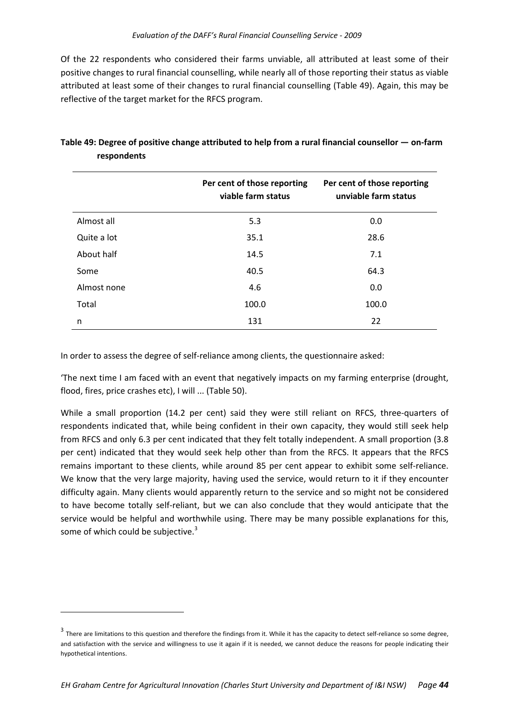Of the 22 respondents who considered their farms unviable, all attributed at least some of their positive changes to rural financial counselling, while nearly all of those reporting their status as viable attributed at least some of their changes to rural financial counselling (Table 49). Again, this may be reflective of the target market for the RFCS program.

|             | Per cent of those reporting<br>viable farm status | Per cent of those reporting<br>unviable farm status |
|-------------|---------------------------------------------------|-----------------------------------------------------|
| Almost all  | 5.3                                               | 0.0                                                 |
| Quite a lot | 35.1                                              | 28.6                                                |
| About half  | 14.5                                              | 7.1                                                 |
| Some        | 40.5                                              | 64.3                                                |
| Almost none | 4.6                                               | 0.0                                                 |
| Total       | 100.0                                             | 100.0                                               |
| n           | 131                                               | 22                                                  |

|             | Table 49: Degree of positive change attributed to help from a rural financial counsellor — on-farm |
|-------------|----------------------------------------------------------------------------------------------------|
| respondents |                                                                                                    |

In order to assess the degree of self-reliance among clients, the questionnaire asked:

'The next time I am faced with an event that negatively impacts on my farming enterprise (drought, flood, fires, price crashes etc), I will ... (Table 50).

While a small proportion (14.2 per cent) said they were still reliant on RFCS, three-quarters of respondents indicated that, while being confident in their own capacity, they would still seek help from RFCS and only 6.3 per cent indicated that they felt totally independent. A small proportion (3.8 per cent) indicated that they would seek help other than from the RFCS. It appears that the RFCS remains important to these clients, while around 85 per cent appear to exhibit some self-reliance. We know that the very large majority, having used the service, would return to it if they encounter difficulty again. Many clients would apparently return to the service and so might not be considered to have become totally self‐reliant, but we can also conclude that they would anticipate that the service would be helpful and worthwhile using. There may be many possible explanations for this, some of which could be subjective. $3$ 

 $3$  There are limitations to this question and therefore the findings from it. While it has the capacity to detect self-reliance so some degree, and satisfaction with the service and willingness to use it again if it is needed, we cannot deduce the reasons for people indicating their hypothetical intentions.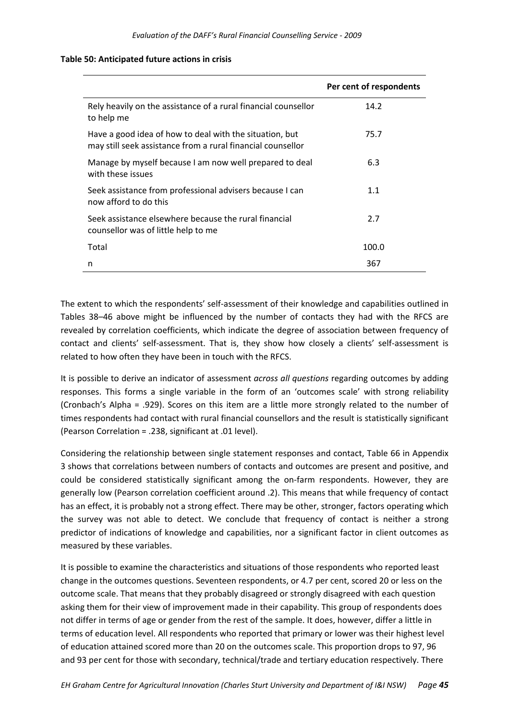|                                                                                                                        | Per cent of respondents |
|------------------------------------------------------------------------------------------------------------------------|-------------------------|
| Rely heavily on the assistance of a rural financial counsellor<br>to help me                                           | 14.2                    |
| Have a good idea of how to deal with the situation, but<br>may still seek assistance from a rural financial counsellor | 75.7                    |
| Manage by myself because I am now well prepared to deal<br>with these issues                                           | 6.3                     |
| Seek assistance from professional advisers because I can<br>now afford to do this                                      | 1.1                     |
| Seek assistance elsewhere because the rural financial<br>counsellor was of little help to me                           | 2.7                     |
| Total                                                                                                                  | 100.0                   |
| n                                                                                                                      | 367                     |

#### **Table 50: Anticipated future actions in crisis**

The extent to which the respondents' self-assessment of their knowledge and capabilities outlined in Tables 38–46 above might be influenced by the number of contacts they had with the RFCS are revealed by correlation coefficients, which indicate the degree of association between frequency of contact and clients' self‐assessment. That is, they show how closely a clients' self‐assessment is related to how often they have been in touch with the RFCS.

It is possible to derive an indicator of assessment *across all questions* regarding outcomes by adding responses. This forms a single variable in the form of an 'outcomes scale' with strong reliability (Cronbach's Alpha = .929). Scores on this item are a little more strongly related to the number of times respondents had contact with rural financial counsellors and the result is statistically significant (Pearson Correlation = .238, significant at .01 level).

Considering the relationship between single statement responses and contact, Table 66 in Appendix 3 shows that correlations between numbers of contacts and outcomes are present and positive, and could be considered statistically significant among the on-farm respondents. However, they are generally low (Pearson correlation coefficient around .2). This means that while frequency of contact has an effect, it is probably not a strong effect. There may be other, stronger, factors operating which the survey was not able to detect. We conclude that frequency of contact is neither a strong predictor of indications of knowledge and capabilities, nor a significant factor in client outcomes as measured by these variables.

It is possible to examine the characteristics and situations of those respondents who reported least change in the outcomes questions. Seventeen respondents, or 4.7 per cent, scored 20 or less on the outcome scale. That means that they probably disagreed or strongly disagreed with each question asking them for their view of improvement made in their capability. This group of respondents does not differ in terms of age or gender from the rest of the sample. It does, however, differ a little in terms of education level. All respondents who reported that primary or lower was their highest level of education attained scored more than 20 on the outcomes scale. This proportion drops to 97, 96 and 93 per cent for those with secondary, technical/trade and tertiary education respectively. There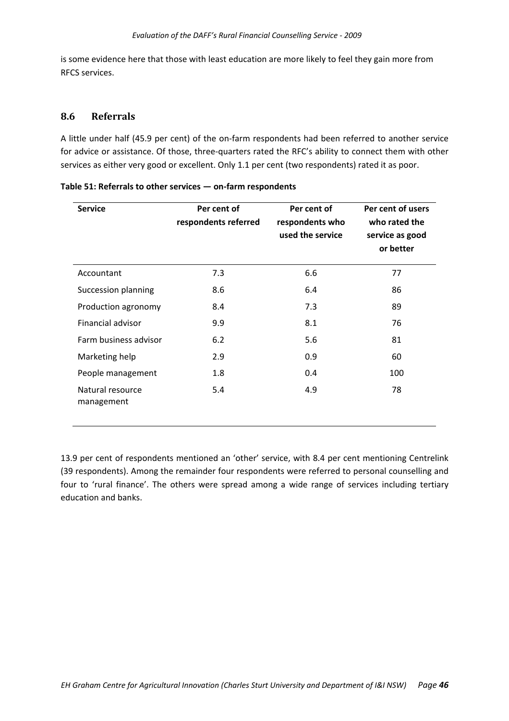is some evidence here that those with least education are more likely to feel they gain more from RFCS services.

#### **8.6 Referrals**

A little under half (45.9 per cent) of the on-farm respondents had been referred to another service for advice or assistance. Of those, three‐quarters rated the RFC's ability to connect them with other services as either very good or excellent. Only 1.1 per cent (two respondents) rated it as poor.

| <b>Service</b>                 | Per cent of<br>respondents referred | Per cent of<br>respondents who<br>used the service | Per cent of users<br>who rated the<br>service as good<br>or better |
|--------------------------------|-------------------------------------|----------------------------------------------------|--------------------------------------------------------------------|
| Accountant                     | 7.3                                 | 6.6                                                | 77                                                                 |
| Succession planning            | 8.6                                 | 6.4                                                | 86                                                                 |
| Production agronomy            | 8.4                                 | 7.3                                                | 89                                                                 |
| Financial advisor              | 9.9                                 | 8.1                                                | 76                                                                 |
| Farm business advisor          | 6.2                                 | 5.6                                                | 81                                                                 |
| Marketing help                 | 2.9                                 | 0.9                                                | 60                                                                 |
| People management              | 1.8                                 | 0.4                                                | 100                                                                |
| Natural resource<br>management | 5.4                                 | 4.9                                                | 78                                                                 |

|  | Table 51: Referrals to other services - on-farm respondents |  |  |
|--|-------------------------------------------------------------|--|--|
|--|-------------------------------------------------------------|--|--|

13.9 per cent of respondents mentioned an 'other' service, with 8.4 per cent mentioning Centrelink (39 respondents). Among the remainder four respondents were referred to personal counselling and four to 'rural finance'. The others were spread among a wide range of services including tertiary education and banks.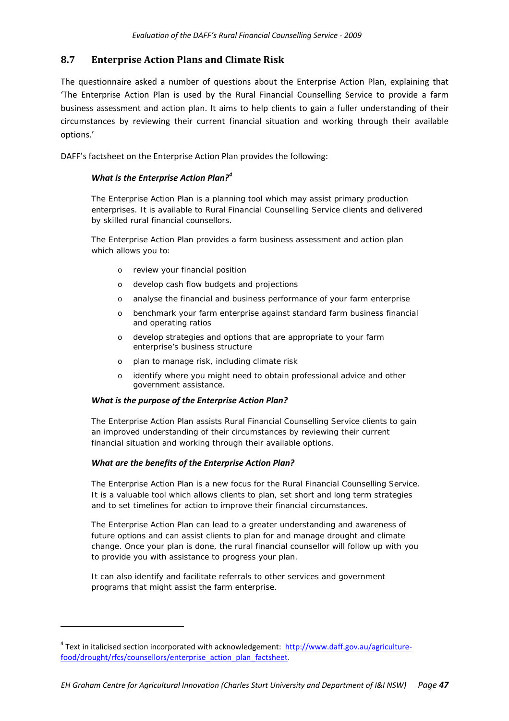#### **8.7 Enterprise Action Plans and Climate Risk**

The questionnaire asked a number of questions about the Enterprise Action Plan, explaining that 'The Enterprise Action Plan is used by the Rural Financial Counselling Service to provide a farm business assessment and action plan. It aims to help clients to gain a fuller understanding of their circumstances by reviewing their current financial situation and working through their available options.'

DAFF's factsheet on the Enterprise Action Plan provides the following:

#### *What is the Enterprise Action Plan?<sup>4</sup>*

*The Enterprise Action Plan is a planning tool which may assist primary production enterprises. It is available to Rural Financial Counselling Service clients and delivered by skilled rural financial counsellors.* 

*The Enterprise Action Plan provides a farm business assessment and action plan which allows you to:* 

- o *review your financial position*
- o *develop cash flow budgets and projections*
- o *analyse the financial and business performance of your farm enterprise*
- o *benchmark your farm enterprise against standard farm business financial and operating ratios*
- o *develop strategies and options that are appropriate to your farm enterprise's business structure*
- o *plan to manage risk, including climate risk*
- o *identify where you might need to obtain professional advice and other government assistance.*

#### *What is the purpose of the Enterprise Action Plan?*

*The Enterprise Action Plan assists Rural Financial Counselling Service clients to gain an improved understanding of their circumstances by reviewing their current financial situation and working through their available options.* 

#### *What are the benefits of the Enterprise Action Plan?*

*The Enterprise Action Plan is a new focus for the Rural Financial Counselling Service. It is a valuable tool which allows clients to plan, set short and long term strategies and to set timelines for action to improve their financial circumstances.* 

*The Enterprise Action Plan can lead to a greater understanding and awareness of future options and can assist clients to plan for and manage drought and climate change. Once your plan is done, the rural financial counsellor will follow up with you to provide you with assistance to progress your plan.* 

*It can also identify and facilitate referrals to other services and government programs that might assist the farm enterprise.* 

<sup>&</sup>lt;sup>4</sup> Text in italicised section incorporated with acknowledgement: http://www.daff.gov.au/agriculturefood/drought/rfcs/counsellors/enterprise\_action\_plan\_factsheet.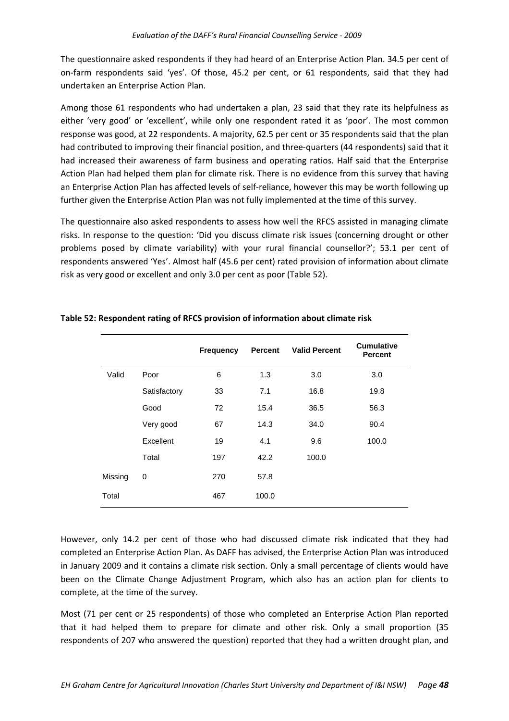The questionnaire asked respondents if they had heard of an Enterprise Action Plan. 34.5 per cent of on-farm respondents said 'yes'. Of those, 45.2 per cent, or 61 respondents, said that they had undertaken an Enterprise Action Plan.

Among those 61 respondents who had undertaken a plan, 23 said that they rate its helpfulness as either 'very good' or 'excellent', while only one respondent rated it as 'poor'. The most common response was good, at 22 respondents. A majority, 62.5 per cent or 35 respondents said that the plan had contributed to improving their financial position, and three-quarters (44 respondents) said that it had increased their awareness of farm business and operating ratios. Half said that the Enterprise Action Plan had helped them plan for climate risk. There is no evidence from this survey that having an Enterprise Action Plan has affected levels of self-reliance, however this may be worth following up further given the Enterprise Action Plan was not fully implemented at the time of this survey.

The questionnaire also asked respondents to assess how well the RFCS assisted in managing climate risks. In response to the question: 'Did you discuss climate risk issues (concerning drought or other problems posed by climate variability) with your rural financial counsellor?'; 53.1 per cent of respondents answered 'Yes'. Almost half (45.6 per cent) rated provision of information about climate risk as very good or excellent and only 3.0 per cent as poor (Table 52).

|         |              | <b>Frequency</b> | <b>Percent</b> | <b>Valid Percent</b> | <b>Cumulative</b><br><b>Percent</b> |
|---------|--------------|------------------|----------------|----------------------|-------------------------------------|
| Valid   | Poor         | 6                | 1.3            | 3.0                  | 3.0                                 |
|         | Satisfactory | 33               | 7.1            | 16.8                 | 19.8                                |
|         | Good         | 72               | 15.4           | 36.5                 | 56.3                                |
|         | Very good    | 67               | 14.3           | 34.0                 | 90.4                                |
|         | Excellent    | 19               | 4.1            | 9.6                  | 100.0                               |
|         | Total        | 197              | 42.2           | 100.0                |                                     |
| Missing | 0            | 270              | 57.8           |                      |                                     |
| Total   |              | 467              | 100.0          |                      |                                     |

#### **Table 52: Respondent rating of RFCS provision of information about climate risk**

However, only 14.2 per cent of those who had discussed climate risk indicated that they had completed an Enterprise Action Plan. As DAFF has advised, the Enterprise Action Plan was introduced in January 2009 and it contains a climate risk section. Only a small percentage of clients would have been on the Climate Change Adjustment Program, which also has an action plan for clients to complete, at the time of the survey.

Most (71 per cent or 25 respondents) of those who completed an Enterprise Action Plan reported that it had helped them to prepare for climate and other risk. Only a small proportion (35 respondents of 207 who answered the question) reported that they had a written drought plan, and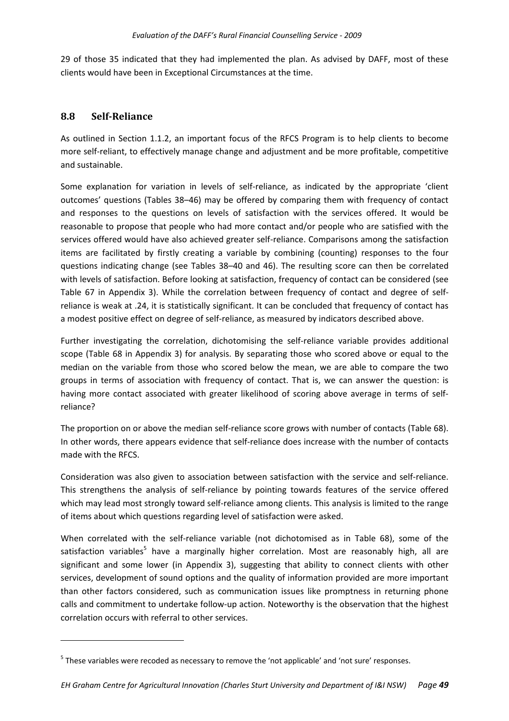29 of those 35 indicated that they had implemented the plan. As advised by DAFF, most of these clients would have been in Exceptional Circumstances at the time.

#### **8.8 SelfReliance**

As outlined in Section 1.1.2, an important focus of the RFCS Program is to help clients to become more self-reliant, to effectively manage change and adjustment and be more profitable, competitive and sustainable.

Some explanation for variation in levels of self-reliance, as indicated by the appropriate 'client outcomes' questions (Tables 38–46) may be offered by comparing them with frequency of contact and responses to the questions on levels of satisfaction with the services offered. It would be reasonable to propose that people who had more contact and/or people who are satisfied with the services offered would have also achieved greater self-reliance. Comparisons among the satisfaction items are facilitated by firstly creating a variable by combining (counting) responses to the four questions indicating change (see Tables 38–40 and 46). The resulting score can then be correlated with levels of satisfaction. Before looking at satisfaction, frequency of contact can be considered (see Table 67 in Appendix 3). While the correlation between frequency of contact and degree of self‐ reliance is weak at .24, it is statistically significant. It can be concluded that frequency of contact has a modest positive effect on degree of self-reliance, as measured by indicators described above.

Further investigating the correlation, dichotomising the self-reliance variable provides additional scope (Table 68 in Appendix 3) for analysis. By separating those who scored above or equal to the median on the variable from those who scored below the mean, we are able to compare the two groups in terms of association with frequency of contact. That is, we can answer the question: is having more contact associated with greater likelihood of scoring above average in terms of selfreliance?

The proportion on or above the median self-reliance score grows with number of contacts (Table 68). In other words, there appears evidence that self-reliance does increase with the number of contacts made with the RFCS.

Consideration was also given to association between satisfaction with the service and self-reliance. This strengthens the analysis of self‐reliance by pointing towards features of the service offered which may lead most strongly toward self-reliance among clients. This analysis is limited to the range of items about which questions regarding level of satisfaction were asked.

When correlated with the self-reliance variable (not dichotomised as in Table 68), some of the satisfaction variables<sup>5</sup> have a marginally higher correlation. Most are reasonably high, all are significant and some lower (in Appendix 3), suggesting that ability to connect clients with other services, development of sound options and the quality of information provided are more important than other factors considered, such as communication issues like promptness in returning phone calls and commitment to undertake follow‐up action. Noteworthy is the observation that the highest correlation occurs with referral to other services.

<sup>&</sup>lt;sup>5</sup> These variables were recoded as necessary to remove the 'not applicable' and 'not sure' responses.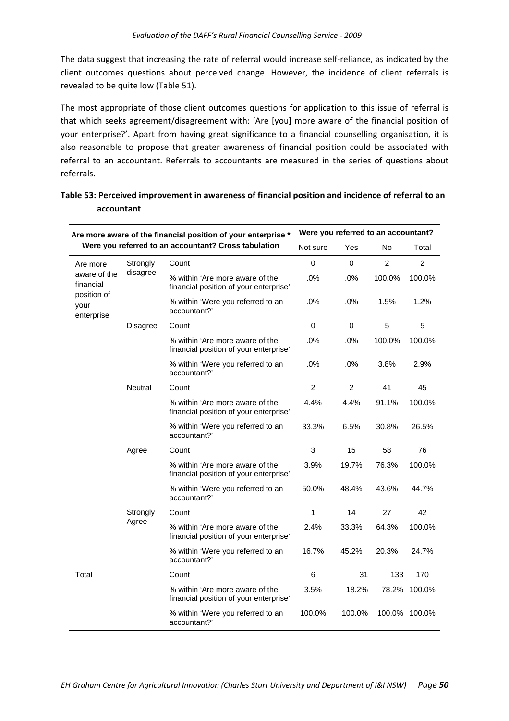The data suggest that increasing the rate of referral would increase self‐reliance, as indicated by the client outcomes questions about perceived change. However, the incidence of client referrals is revealed to be quite low (Table 51).

The most appropriate of those client outcomes questions for application to this issue of referral is that which seeks agreement/disagreement with: 'Are [you] more aware of the financial position of your enterprise?'. Apart from having great significance to a financial counselling organisation, it is also reasonable to propose that greater awareness of financial position could be associated with referral to an accountant. Referrals to accountants are measured in the series of questions about referrals.

| Are more aware of the financial position of your enterprise * |                                                      | Were you referred to an accountant?                                       |                |                |                |                |
|---------------------------------------------------------------|------------------------------------------------------|---------------------------------------------------------------------------|----------------|----------------|----------------|----------------|
|                                                               | Were you referred to an accountant? Cross tabulation |                                                                           | Not sure       | Yes            | No             | Total          |
| Are more                                                      | Strongly                                             | Count                                                                     | 0              | 0              | $\overline{2}$ | $\overline{2}$ |
| aware of the<br>financial                                     | disagree                                             | % within 'Are more aware of the<br>financial position of your enterprise' | .0%            | .0%            | 100.0%         | 100.0%         |
| position of<br>your<br>enterprise                             |                                                      | % within 'Were you referred to an<br>accountant?'                         | .0%            | .0%            | 1.5%           | 1.2%           |
|                                                               | <b>Disagree</b>                                      | Count                                                                     | 0              | 0              | 5              | 5              |
|                                                               |                                                      | % within 'Are more aware of the<br>financial position of your enterprise' | .0%            | .0%            | 100.0%         | 100.0%         |
|                                                               |                                                      | % within 'Were you referred to an<br>accountant?'                         | .0%            | .0%            | 3.8%           | 2.9%           |
|                                                               | <b>Neutral</b>                                       | Count                                                                     | $\overline{c}$ | $\overline{c}$ | 41             | 45             |
|                                                               |                                                      | % within 'Are more aware of the<br>financial position of your enterprise' | 4.4%           | 4.4%           | 91.1%          | 100.0%         |
|                                                               |                                                      | % within 'Were you referred to an<br>accountant?'                         | 33.3%          | 6.5%           | 30.8%          | 26.5%          |
|                                                               | Agree                                                | Count                                                                     | 3              | 15             | 58             | 76             |
|                                                               |                                                      | % within 'Are more aware of the<br>financial position of your enterprise' | 3.9%           | 19.7%          | 76.3%          | 100.0%         |
|                                                               |                                                      | % within 'Were you referred to an<br>accountant?'                         | 50.0%          | 48.4%          | 43.6%          | 44.7%          |
|                                                               | Strongly<br>Agree                                    | Count                                                                     | 1              | 14             | 27             | 42             |
|                                                               |                                                      | % within 'Are more aware of the<br>financial position of your enterprise' | 2.4%           | 33.3%          | 64.3%          | 100.0%         |
|                                                               |                                                      | % within 'Were you referred to an<br>accountant?'                         | 16.7%          | 45.2%          | 20.3%          | 24.7%          |
| Total                                                         |                                                      | Count                                                                     | 6              | 31             | 133            | 170            |
|                                                               |                                                      | % within 'Are more aware of the<br>financial position of your enterprise' | 3.5%           | 18.2%          | 78.2%          | 100.0%         |
|                                                               |                                                      | % within 'Were you referred to an<br>accountant?'                         | 100.0%         | 100.0%         | 100.0%         | 100.0%         |

## **Table 53: Perceived improvement in awareness of financial position and incidence of referral to an accountant**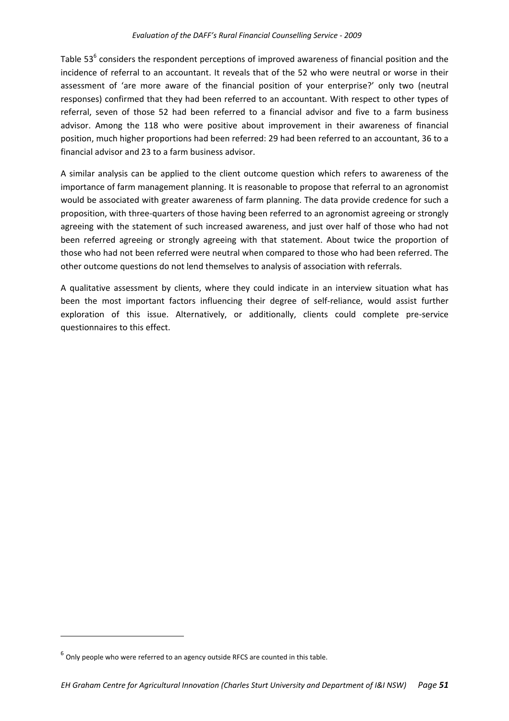Table 53<sup>6</sup> considers the respondent perceptions of improved awareness of financial position and the incidence of referral to an accountant. It reveals that of the 52 who were neutral or worse in their assessment of 'are more aware of the financial position of your enterprise?' only two (neutral responses) confirmed that they had been referred to an accountant. With respect to other types of referral, seven of those 52 had been referred to a financial advisor and five to a farm business advisor. Among the 118 who were positive about improvement in their awareness of financial position, much higher proportions had been referred: 29 had been referred to an accountant, 36 to a financial advisor and 23 to a farm business advisor.

A similar analysis can be applied to the client outcome question which refers to awareness of the importance of farm management planning. It is reasonable to propose that referral to an agronomist would be associated with greater awareness of farm planning. The data provide credence for such a proposition, with three‐quarters of those having been referred to an agronomist agreeing or strongly agreeing with the statement of such increased awareness, and just over half of those who had not been referred agreeing or strongly agreeing with that statement. About twice the proportion of those who had not been referred were neutral when compared to those who had been referred. The other outcome questions do not lend themselves to analysis of association with referrals.

A qualitative assessment by clients, where they could indicate in an interview situation what has been the most important factors influencing their degree of self-reliance, would assist further exploration of this issue. Alternatively, or additionally, clients could complete pre‐service questionnaires to this effect.

 $6$  Only people who were referred to an agency outside RFCS are counted in this table.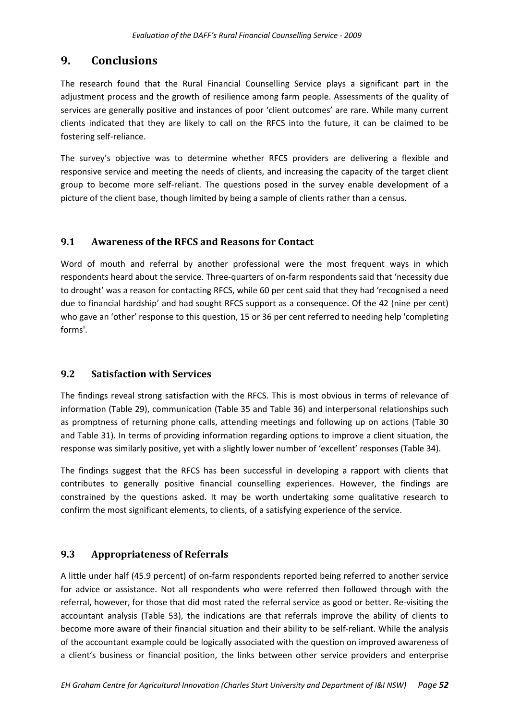# **9. Conclusions**

The research found that the Rural Financial Counselling Service plays a significant part in the adjustment process and the growth of resilience among farm people. Assessments of the quality of services are generally positive and instances of poor 'client outcomes' are rare. While many current clients indicated that they are likely to call on the RFCS into the future, it can be claimed to be fostering self‐reliance.

The survey's objective was to determine whether RFCS providers are delivering a flexible and responsive service and meeting the needs of clients, and increasing the capacity of the target client group to become more self‐reliant. The questions posed in the survey enable development of a picture of the client base, though limited by being a sample of clients rather than a census.

# **9.1 Awareness of the RFCS and Reasons for Contact**

Word of mouth and referral by another professional were the most frequent ways in which respondents heard about the service. Three‐quarters of on‐farm respondents said that 'necessity due to drought' was a reason for contacting RFCS, while 60 per cent said that they had 'recognised a need due to financial hardship' and had sought RFCS support as a consequence. Of the 42 (nine per cent) who gave an 'other' response to this question, 15 or 36 per cent referred to needing help 'completing forms'.

# **9.2 Satisfaction with Services**

The findings reveal strong satisfaction with the RFCS. This is most obvious in terms of relevance of information (Table 29), communication (Table 35 and Table 36) and interpersonal relationships such as promptness of returning phone calls, attending meetings and following up on actions (Table 30 and Table 31). In terms of providing information regarding options to improve a client situation, the response was similarly positive, yet with a slightly lower number of 'excellent' responses (Table 34).

The findings suggest that the RFCS has been successful in developing a rapport with clients that contributes to generally positive financial counselling experiences. However, the findings are constrained by the questions asked. It may be worth undertaking some qualitative research to confirm the most significant elements, to clients, of a satisfying experience of the service.

# **9.3 Appropriateness of Referrals**

A little under half (45.9 percent) of on‐farm respondents reported being referred to another service for advice or assistance. Not all respondents who were referred then followed through with the referral, however, for those that did most rated the referral service as good or better. Re‐visiting the accountant analysis (Table 53), the indications are that referrals improve the ability of clients to become more aware of their financial situation and their ability to be self-reliant. While the analysis of the accountant example could be logically associated with the question on improved awareness of a client's business or financial position, the links between other service providers and enterprise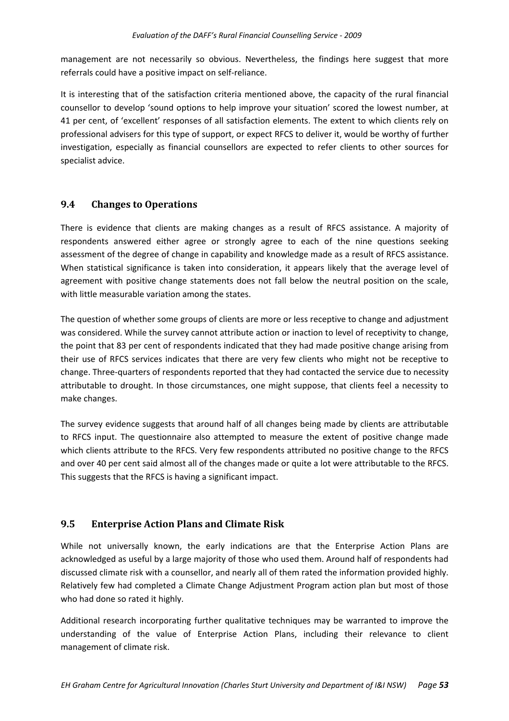management are not necessarily so obvious. Nevertheless, the findings here suggest that more referrals could have a positive impact on self‐reliance.

It is interesting that of the satisfaction criteria mentioned above, the capacity of the rural financial counsellor to develop 'sound options to help improve your situation' scored the lowest number, at 41 per cent, of 'excellent' responses of all satisfaction elements. The extent to which clients rely on professional advisers for this type of support, or expect RFCS to deliver it, would be worthy of further investigation, especially as financial counsellors are expected to refer clients to other sources for specialist advice.

# **9.4 Changes to Operations**

There is evidence that clients are making changes as a result of RFCS assistance. A majority of respondents answered either agree or strongly agree to each of the nine questions seeking assessment of the degree of change in capability and knowledge made as a result of RFCS assistance. When statistical significance is taken into consideration, it appears likely that the average level of agreement with positive change statements does not fall below the neutral position on the scale, with little measurable variation among the states.

The question of whether some groups of clients are more or less receptive to change and adjustment was considered. While the survey cannot attribute action or inaction to level of receptivity to change, the point that 83 per cent of respondents indicated that they had made positive change arising from their use of RFCS services indicates that there are very few clients who might not be receptive to change. Three‐quarters of respondents reported that they had contacted the service due to necessity attributable to drought. In those circumstances, one might suppose, that clients feel a necessity to make changes.

The survey evidence suggests that around half of all changes being made by clients are attributable to RFCS input. The questionnaire also attempted to measure the extent of positive change made which clients attribute to the RFCS. Very few respondents attributed no positive change to the RFCS and over 40 per cent said almost all of the changes made or quite a lot were attributable to the RFCS. This suggests that the RFCS is having a significant impact.

#### **9.5 Enterprise Action Plans and Climate Risk**

While not universally known, the early indications are that the Enterprise Action Plans are acknowledged as useful by a large majority of those who used them. Around half of respondents had discussed climate risk with a counsellor, and nearly all of them rated the information provided highly. Relatively few had completed a Climate Change Adjustment Program action plan but most of those who had done so rated it highly.

Additional research incorporating further qualitative techniques may be warranted to improve the understanding of the value of Enterprise Action Plans, including their relevance to client management of climate risk.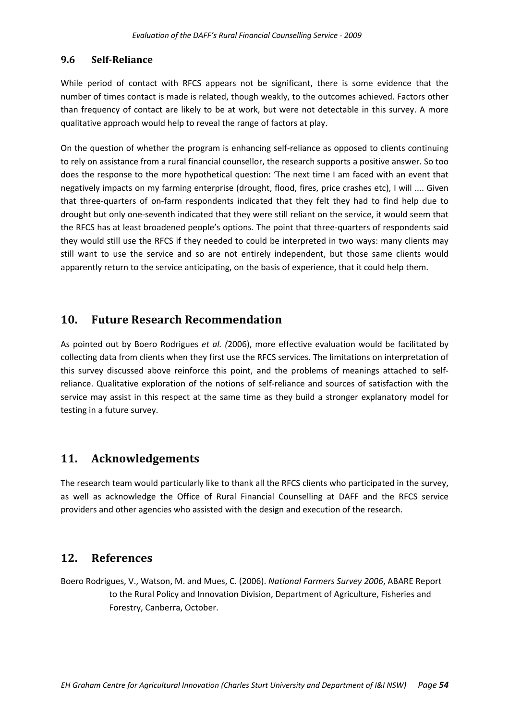### **9.6 SelfReliance**

While period of contact with RFCS appears not be significant, there is some evidence that the number of times contact is made is related, though weakly, to the outcomes achieved. Factors other than frequency of contact are likely to be at work, but were not detectable in this survey. A more qualitative approach would help to reveal the range of factors at play.

On the question of whether the program is enhancing self‐reliance as opposed to clients continuing to rely on assistance from a rural financial counsellor, the research supports a positive answer. So too does the response to the more hypothetical question: 'The next time I am faced with an event that negatively impacts on my farming enterprise (drought, flood, fires, price crashes etc), I will .... Given that three‐quarters of on‐farm respondents indicated that they felt they had to find help due to drought but only one‐seventh indicated that they were still reliant on the service, it would seem that the RFCS has at least broadened people's options. The point that three‐quarters of respondents said they would still use the RFCS if they needed to could be interpreted in two ways: many clients may still want to use the service and so are not entirely independent, but those same clients would apparently return to the service anticipating, on the basis of experience, that it could help them.

# **10. Future Research Recommendation**

As pointed out by Boero Rodrigues *et al. (*2006), more effective evaluation would be facilitated by collecting data from clients when they first use the RFCS services. The limitations on interpretation of this survey discussed above reinforce this point, and the problems of meanings attached to self‐ reliance. Qualitative exploration of the notions of self‐reliance and sources of satisfaction with the service may assist in this respect at the same time as they build a stronger explanatory model for testing in a future survey.

# **11. Acknowledgements**

The research team would particularly like to thank all the RFCS clients who participated in the survey, as well as acknowledge the Office of Rural Financial Counselling at DAFF and the RFCS service providers and other agencies who assisted with the design and execution of the research.

# **12. References**

Boero Rodrigues, V., Watson, M. and Mues, C. (2006). *National Farmers Survey 2006*, ABARE Report to the Rural Policy and Innovation Division, Department of Agriculture, Fisheries and Forestry, Canberra, October.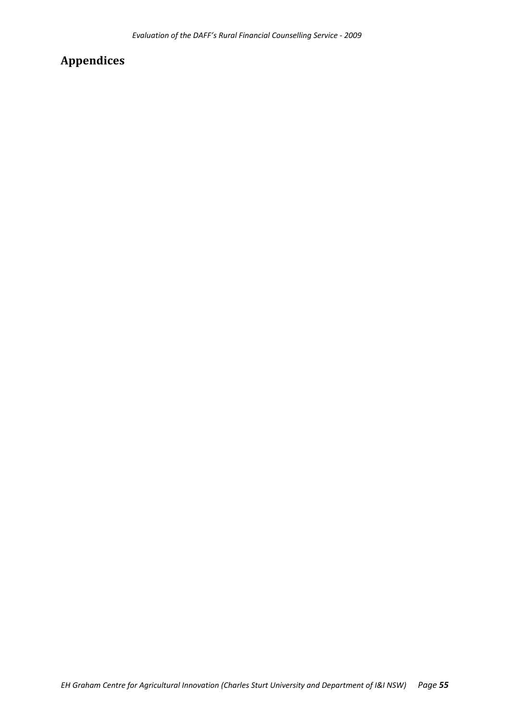# **Appendices**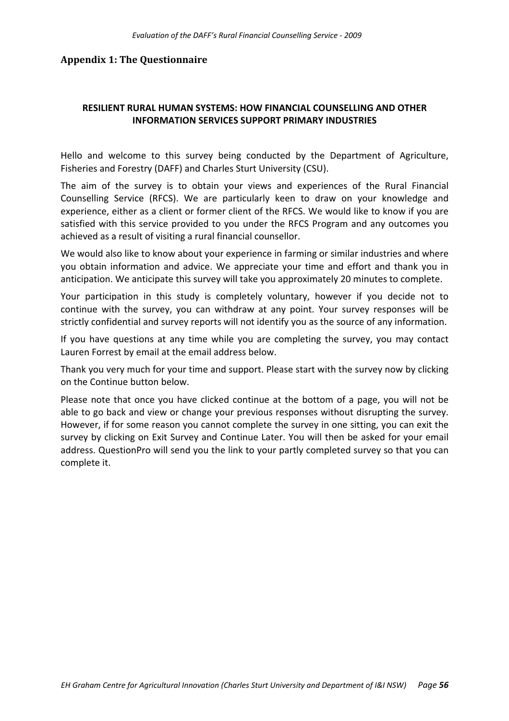#### **Appendix 1: The Questionnaire**

## **RESILIENT RURAL HUMAN SYSTEMS: HOW FINANCIAL COUNSELLING AND OTHER INFORMATION SERVICES SUPPORT PRIMARY INDUSTRIES**

Hello and welcome to this survey being conducted by the Department of Agriculture, Fisheries and Forestry (DAFF) and Charles Sturt University (CSU).

The aim of the survey is to obtain your views and experiences of the Rural Financial Counselling Service (RFCS). We are particularly keen to draw on your knowledge and experience, either as a client or former client of the RFCS. We would like to know if you are satisfied with this service provided to you under the RFCS Program and any outcomes you achieved as a result of visiting a rural financial counsellor.

We would also like to know about your experience in farming or similar industries and where you obtain information and advice. We appreciate your time and effort and thank you in anticipation. We anticipate this survey will take you approximately 20 minutes to complete.

Your participation in this study is completely voluntary, however if you decide not to continue with the survey, you can withdraw at any point. Your survey responses will be strictly confidential and survey reports will not identify you as the source of any information.

If you have questions at any time while you are completing the survey, you may contact Lauren Forrest by email at the email address below.

Thank you very much for your time and support. Please start with the survey now by clicking on the Continue button below.

Please note that once you have clicked continue at the bottom of a page, you will not be able to go back and view or change your previous responses without disrupting the survey. However, if for some reason you cannot complete the survey in one sitting, you can exit the survey by clicking on Exit Survey and Continue Later. You will then be asked for your email address. QuestionPro will send you the link to your partly completed survey so that you can complete it.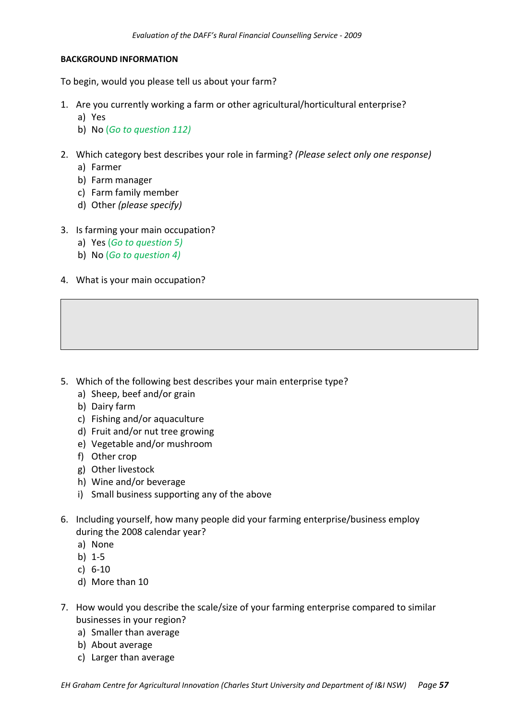#### **BACKGROUND INFORMATION**

To begin, would you please tell us about your farm?

- 1. Are you currently working a farm or other agricultural/horticultural enterprise?
	- a) Yes
	- b) No (*Go to question 112)*
- 2. Which category best describes your role in farming? *(Please select only one response)*
	- a) Farmer
	- b) Farm manager
	- c) Farm family member
	- d) Other *(please specify)*
- 3. Is farming your main occupation?
	- a) Yes (*Go to question 5)*
	- b) No (*Go to question 4)*
- 4. What is your main occupation?

- 5. Which of the following best describes your main enterprise type?
	- a) Sheep, beef and/or grain
	- b) Dairy farm
	- c) Fishing and/or aquaculture
	- d) Fruit and/or nut tree growing
	- e) Vegetable and/or mushroom
	- f) Other crop
	- g) Other livestock
	- h) Wine and/or beverage
	- i) Small business supporting any of the above
- 6. Including yourself, how many people did your farming enterprise/business employ during the 2008 calendar year?
	- a) None
	- b) 1‐5
	- c) 6‐10
	- d) More than 10
- 7. How would you describe the scale/size of your farming enterprise compared to similar businesses in your region?
	- a) Smaller than average
	- b) About average
	- c) Larger than average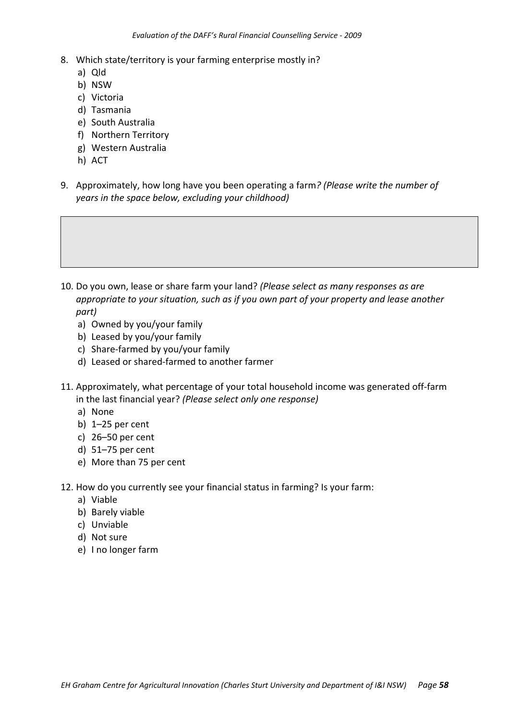- 8. Which state/territory is your farming enterprise mostly in?
	- a) Qld
	- b) NSW
	- c) Victoria
	- d) Tasmania
	- e) South Australia
	- f) Northern Territory
	- g) Western Australia
	- h) ACT
- 9. Approximately, how long have you been operating a farm*? (Please write the number of years in the space below, excluding your childhood)*

- 10. Do you own, lease or share farm your land? *(Please select as many responses as are appropriate to your situation, such as if you own part of your property and lease another part)*
	- a) Owned by you/your family
	- b) Leased by you/your family
	- c) Share‐farmed by you/your family
	- d) Leased or shared‐farmed to another farmer
- 11. Approximately, what percentage of your total household income was generated off‐farm in the last financial year? *(Please select only one response)*
	- a) None
	- b) 1–25 per cent
	- c) 26–50 per cent
	- d) 51–75 per cent
	- e) More than 75 per cent
- 12. How do you currently see your financial status in farming? Is your farm:
	- a) Viable
	- b) Barely viable
	- c) Unviable
	- d) Not sure
	- e) I no longer farm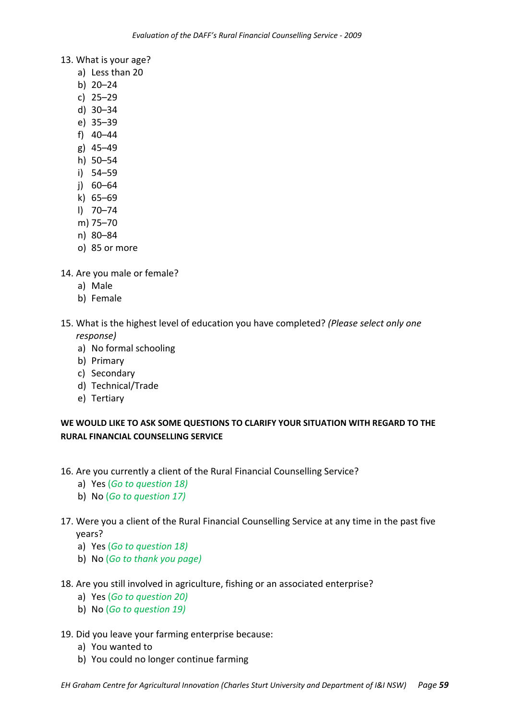- 13. What is your age?
	- a) Less than 20
	- b) 20–24
	- c) 25–29
	- d) 30–34
	- e) 35–39
	- f) 40–44
	- g) 45–49
	- h) 50–54
	- i) 54–59
	- j) 60–64
	- k) 65–69
	- l) 70–74
	- m) 75–70
	- n) 80–84
	- o) 85 or more
- 14. Are you male or female?
	- a) Male
	- b) Female
- 15. What is the highest level of education you have completed? *(Please select only one response)*
	- a) No formal schooling
	- b) Primary
	- c) Secondary
	- d) Technical/Trade
	- e) Tertiary

# **WE WOULD LIKE TO ASK SOME QUESTIONS TO CLARIFY YOUR SITUATION WITH REGARD TO THE RURAL FINANCIAL COUNSELLING SERVICE**

- 16. Are you currently a client of the Rural Financial Counselling Service?
	- a) Yes (*Go to question 18)*
	- b) No (*Go to question 17)*

# 17. Were you a client of the Rural Financial Counselling Service at any time in the past five years?

- a) Yes (*Go to question 18)*
- b) No (*Go to thank you page)*
- 18. Are you still involved in agriculture, fishing or an associated enterprise?
	- a) Yes (*Go to question 20)*
	- b) No (*Go to question 19)*

#### 19. Did you leave your farming enterprise because:

- a) You wanted to
- b) You could no longer continue farming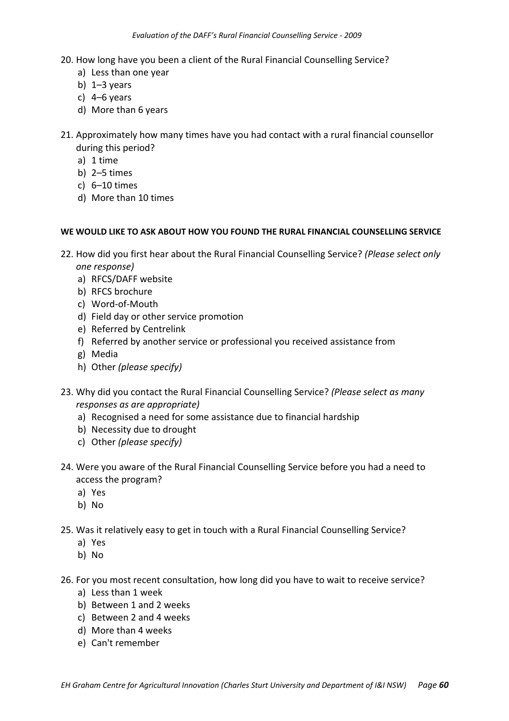- 20. How long have you been a client of the Rural Financial Counselling Service?
	- a) Less than one year
	- b)  $1-3$  years
	- c) 4–6 years
	- d) More than 6 years
- 21. Approximately how many times have you had contact with a rural financial counsellor during this period?
	- a) 1 time
	- b) 2–5 times
	- c) 6–10 times
	- d) More than 10 times

#### **WE WOULD LIKE TO ASK ABOUT HOW YOU FOUND THE RURAL FINANCIAL COUNSELLING SERVICE**

- 22. How did you first hear about the Rural Financial Counselling Service? *(Please select only one response)*
	- a) RFCS/DAFF website
	- b) RFCS brochure
	- c) Word‐of‐Mouth
	- d) Field day or other service promotion
	- e) Referred by Centrelink
	- f) Referred by another service or professional you received assistance from
	- g) Media
	- h) Other *(please specify)*
- 23. Why did you contact the Rural Financial Counselling Service? *(Please select as many responses as are appropriate)*
	- a) Recognised a need for some assistance due to financial hardship
	- b) Necessity due to drought
	- c) Other *(please specify)*
- 24. Were you aware of the Rural Financial Counselling Service before you had a need to access the program?
	- a) Yes
	- b) No
- 25. Was it relatively easy to get in touch with a Rural Financial Counselling Service?
	- a) Yes
	- b) No
- 26. For you most recent consultation, how long did you have to wait to receive service?
	- a) Less than 1 week
	- b) Between 1 and 2 weeks
	- c) Between 2 and 4 weeks
	- d) More than 4 weeks
	- e) Can't remember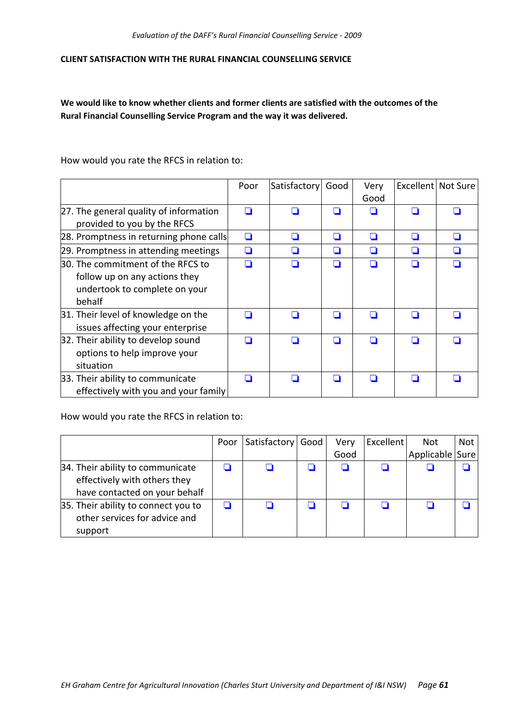#### **CLIENT SATISFACTION WITH THE RURAL FINANCIAL COUNSELLING SERVICE**

**We would like to know whether clients and former clients are satisfied with the outcomes of the Rural Financial Counselling Service Program and the way it was delivered.**

How would you rate the RFCS in relation to:

|                                         | Poor | Satisfactory | Good | Very | Excellent Not Sure |   |
|-----------------------------------------|------|--------------|------|------|--------------------|---|
|                                         |      |              |      | Good |                    |   |
| 27. The general quality of information  | n    | H            |      |      |                    |   |
| provided to you by the RFCS             |      |              |      |      |                    |   |
| 28. Promptness in returning phone calls | ◘    | H            | H    | n    |                    |   |
| 29. Promptness in attending meetings    | ◘    | H            | H    | n    |                    | H |
| 30. The commitment of the RFCS to       |      |              |      |      |                    |   |
| follow up on any actions they           |      |              |      |      |                    |   |
| undertook to complete on your           |      |              |      |      |                    |   |
| behalf                                  |      |              |      |      |                    |   |
| 31. Their level of knowledge on the     | n    | П            | H    | l 1  |                    |   |
| issues affecting your enterprise        |      |              |      |      |                    |   |
| 32. Their ability to develop sound      |      |              |      |      |                    |   |
| options to help improve your            |      |              |      |      |                    |   |
| situation                               |      |              |      |      |                    |   |
| 33. Their ability to communicate        |      | H            |      |      |                    |   |
| effectively with you and your family    |      |              |      |      |                    |   |

How would you rate the RFCS in relation to:

|                                                                                                   | Poor | Satisfactory   Good | Very | Excellent | <b>Not</b>      | Not |
|---------------------------------------------------------------------------------------------------|------|---------------------|------|-----------|-----------------|-----|
|                                                                                                   |      |                     | Good |           | Applicable Sure |     |
| 34. Their ability to communicate<br>effectively with others they<br>have contacted on your behalf |      |                     |      |           |                 |     |
| 35. Their ability to connect you to<br>other services for advice and<br>support                   |      |                     |      |           |                 |     |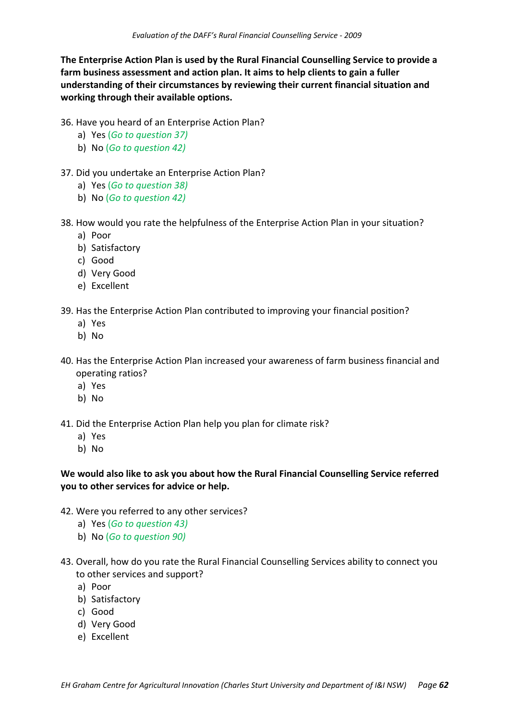**The Enterprise Action Plan is used by the Rural Financial Counselling Service to provide a farm business assessment and action plan. It aims to help clients to gain a fuller understanding of their circumstances by reviewing their current financial situation and working through their available options.** 

- 36. Have you heard of an Enterprise Action Plan?
	- a) Yes (*Go to question 37)*
	- b) No (*Go to question 42)*
- 37. Did you undertake an Enterprise Action Plan?
	- a) Yes (*Go to question 38)*
	- b) No (*Go to question 42)*
- 38. How would you rate the helpfulness of the Enterprise Action Plan in your situation?
	- a) Poor
	- b) Satisfactory
	- c) Good
	- d) Very Good
	- e) Excellent
- 39. Has the Enterprise Action Plan contributed to improving your financial position?
	- a) Yes
	- b) No
- 40. Has the Enterprise Action Plan increased your awareness of farm business financial and operating ratios?
	- a) Yes
	- b) No
- 41. Did the Enterprise Action Plan help you plan for climate risk?
	- a) Yes
	- b) No

# **We would also like to ask you about how the Rural Financial Counselling Service referred you to other services for advice or help.**

- 42. Were you referred to any other services?
	- a) Yes (*Go to question 43)*
	- b) No (*Go to question 90)*
- 43. Overall, how do you rate the Rural Financial Counselling Services ability to connect you to other services and support?
	- a) Poor
	- b) Satisfactory
	- c) Good
	- d) Very Good
	- e) Excellent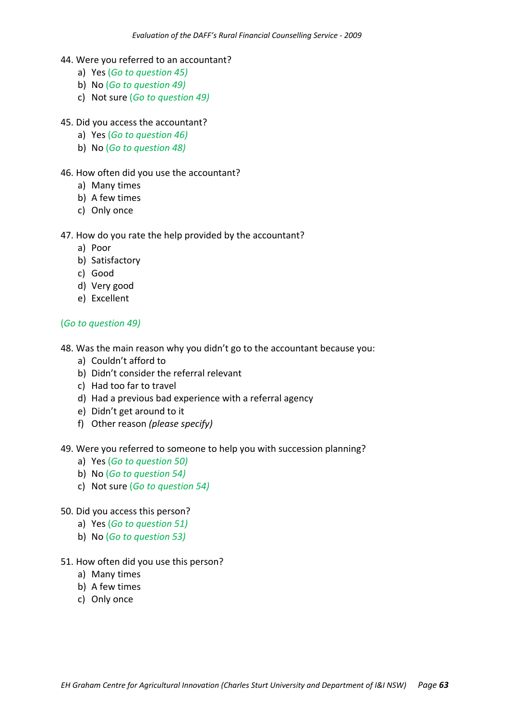- 44. Were you referred to an accountant?
	- a) Yes (*Go to question 45)*
	- b) No (*Go to question 49)*
	- c) Not sure (*Go to question 49)*
- 45. Did you access the accountant?
	- a) Yes (*Go to question 46)*
	- b) No (*Go to question 48)*
- 46. How often did you use the accountant?
	- a) Many times
	- b) A few times
	- c) Only once

#### 47. How do you rate the help provided by the accountant?

- a) Poor
- b) Satisfactory
- c) Good
- d) Very good
- e) Excellent

# (*Go to question 49)*

- 48. Was the main reason why you didn't go to the accountant because you:
	- a) Couldn't afford to
	- b) Didn't consider the referral relevant
	- c) Had too far to travel
	- d) Had a previous bad experience with a referral agency
	- e) Didn't get around to it
	- f) Other reason *(please specify)*
- 49. Were you referred to someone to help you with succession planning?
	- a) Yes (*Go to question 50)*
	- b) No (*Go to question 54)*
	- c) Not sure (*Go to question 54)*
- 50. Did you access this person?
	- a) Yes (*Go to question 51)*
	- b) No (*Go to question 53)*
- 51. How often did you use this person?
	- a) Many times
	- b) A few times
	- c) Only once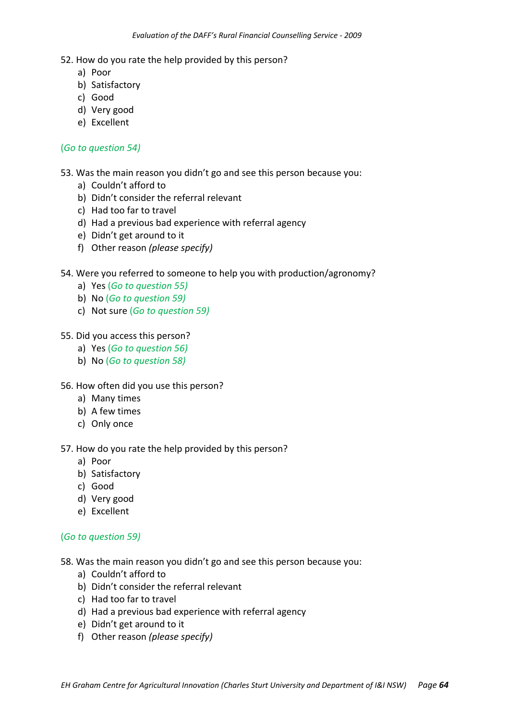- a) Poor
- b) Satisfactory
- c) Good
- d) Very good
- e) Excellent

#### (*Go to question 54)*

53. Was the main reason you didn't go and see this person because you:

- a) Couldn't afford to
- b) Didn't consider the referral relevant
- c) Had too far to travel
- d) Had a previous bad experience with referral agency
- e) Didn't get around to it
- f) Other reason *(please specify)*

#### 54. Were you referred to someone to help you with production/agronomy?

- a) Yes (*Go to question 55)*
- b) No (*Go to question 59)*
- c) Not sure (*Go to question 59)*

#### 55. Did you access this person?

- a) Yes (*Go to question 56)*
- b) No (*Go to question 58)*
- 56. How often did you use this person?
	- a) Many times
	- b) A few times
	- c) Only once

#### 57. How do you rate the help provided by this person?

- a) Poor
- b) Satisfactory
- c) Good
- d) Very good
- e) Excellent

#### (*Go to question 59)*

- 58. Was the main reason you didn't go and see this person because you:
	- a) Couldn't afford to
	- b) Didn't consider the referral relevant
	- c) Had too far to travel
	- d) Had a previous bad experience with referral agency
	- e) Didn't get around to it
	- f) Other reason *(please specify)*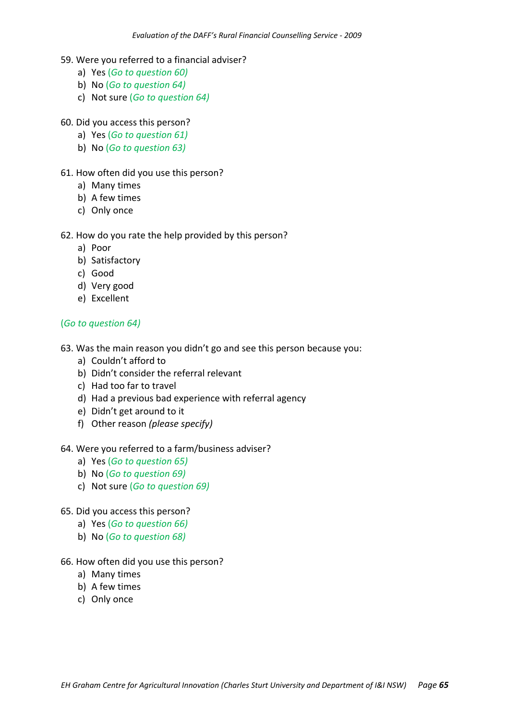- 59. Were you referred to a financial adviser?
	- a) Yes (*Go to question 60)*
	- b) No (*Go to question 64)*
	- c) Not sure (*Go to question 64)*

#### 60. Did you access this person?

- a) Yes (*Go to question 61)*
- b) No (*Go to question 63)*

#### 61. How often did you use this person?

- a) Many times
- b) A few times
- c) Only once

#### 62. How do you rate the help provided by this person?

- a) Poor
- b) Satisfactory
- c) Good
- d) Very good
- e) Excellent

# (*Go to question 64)*

- 63. Was the main reason you didn't go and see this person because you:
	- a) Couldn't afford to
	- b) Didn't consider the referral relevant
	- c) Had too far to travel
	- d) Had a previous bad experience with referral agency
	- e) Didn't get around to it
	- f) Other reason *(please specify)*

#### 64. Were you referred to a farm/business adviser?

- a) Yes (*Go to question 65)*
- b) No (*Go to question 69)*
- c) Not sure (*Go to question 69)*

#### 65. Did you access this person?

- a) Yes (*Go to question 66)*
- b) No (*Go to question 68)*

#### 66. How often did you use this person?

- a) Many times
- b) A few times
- c) Only once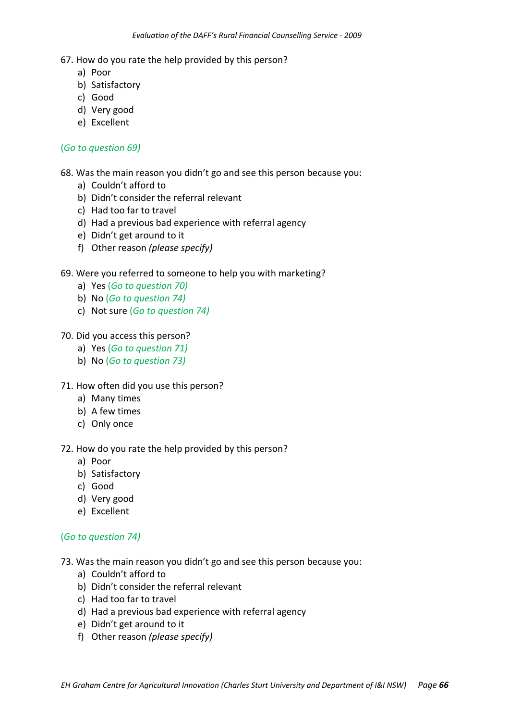- a) Poor
- b) Satisfactory
- c) Good
- d) Very good
- e) Excellent

#### (*Go to question 69)*

68. Was the main reason you didn't go and see this person because you:

- a) Couldn't afford to
- b) Didn't consider the referral relevant
- c) Had too far to travel
- d) Had a previous bad experience with referral agency
- e) Didn't get around to it
- f) Other reason *(please specify)*

#### 69. Were you referred to someone to help you with marketing?

- a) Yes (*Go to question 70)*
- b) No (*Go to question 74)*
- c) Not sure (*Go to question 74)*

#### 70. Did you access this person?

- a) Yes (*Go to question 71)*
- b) No (*Go to question 73)*
- 71. How often did you use this person?
	- a) Many times
	- b) A few times
	- c) Only once

#### 72. How do you rate the help provided by this person?

- a) Poor
- b) Satisfactory
- c) Good
- d) Very good
- e) Excellent

#### (*Go to question 74)*

- 73. Was the main reason you didn't go and see this person because you:
	- a) Couldn't afford to
	- b) Didn't consider the referral relevant
	- c) Had too far to travel
	- d) Had a previous bad experience with referral agency
	- e) Didn't get around to it
	- f) Other reason *(please specify)*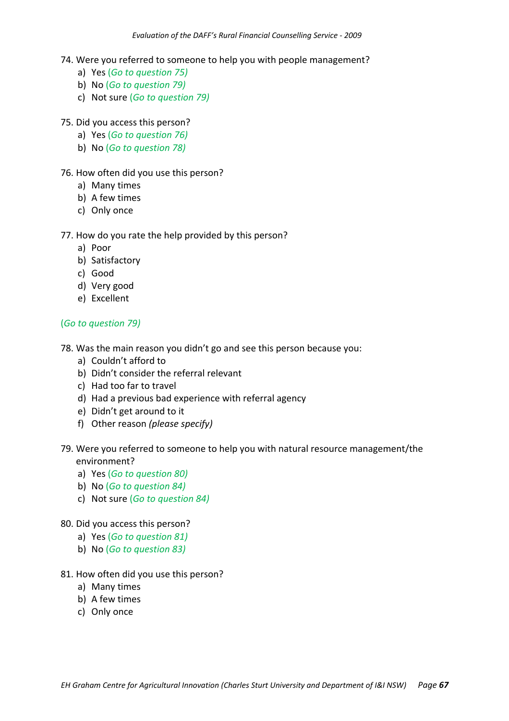- 74. Were you referred to someone to help you with people management?
	- a) Yes (*Go to question 75)*
	- b) No (*Go to question 79)*
	- c) Not sure (*Go to question 79)*
- 75. Did you access this person?
	- a) Yes (*Go to question 76)*
	- b) No (*Go to question 78)*
- 76. How often did you use this person?
	- a) Many times
	- b) A few times
	- c) Only once

- a) Poor
- b) Satisfactory
- c) Good
- d) Very good
- e) Excellent

#### (*Go to question 79)*

- 78. Was the main reason you didn't go and see this person because you:
	- a) Couldn't afford to
	- b) Didn't consider the referral relevant
	- c) Had too far to travel
	- d) Had a previous bad experience with referral agency
	- e) Didn't get around to it
	- f) Other reason *(please specify)*
- 79. Were you referred to someone to help you with natural resource management/the environment?
	- a) Yes (*Go to question 80)*
	- b) No (*Go to question 84)*
	- c) Not sure (*Go to question 84)*
- 80. Did you access this person?
	- a) Yes (*Go to question 81)*
	- b) No (*Go to question 83)*

#### 81. How often did you use this person?

- a) Many times
- b) A few times
- c) Only once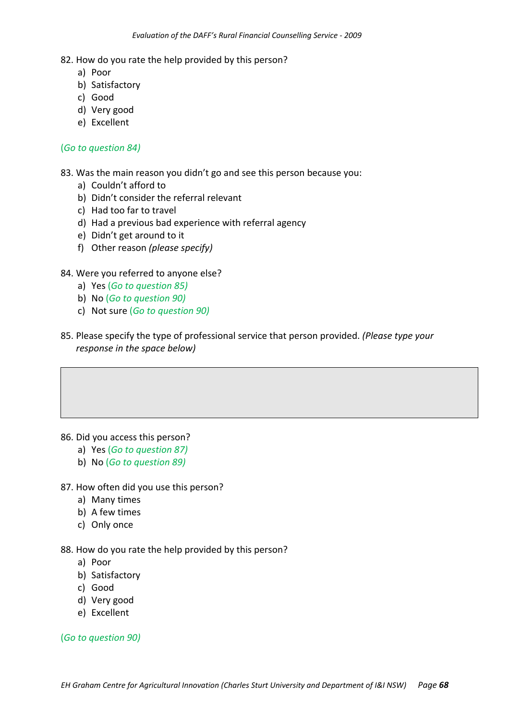- a) Poor
- b) Satisfactory
- c) Good
- d) Very good
- e) Excellent

#### (*Go to question 84)*

83. Was the main reason you didn't go and see this person because you:

- a) Couldn't afford to
- b) Didn't consider the referral relevant
- c) Had too far to travel
- d) Had a previous bad experience with referral agency
- e) Didn't get around to it
- f) Other reason *(please specify)*

#### 84. Were you referred to anyone else?

- a) Yes (*Go to question 85)*
- b) No (*Go to question 90)*
- c) Not sure (*Go to question 90)*
- 85. Please specify the type of professional service that person provided. *(Please type your response in the space below)*

- 86. Did you access this person?
	- a) Yes (*Go to question 87)*
	- b) No (*Go to question 89)*
- 87. How often did you use this person?
	- a) Many times
	- b) A few times
	- c) Only once

#### 88. How do you rate the help provided by this person?

- a) Poor
- b) Satisfactory
- c) Good
- d) Very good
- e) Excellent

(*Go to question 90)*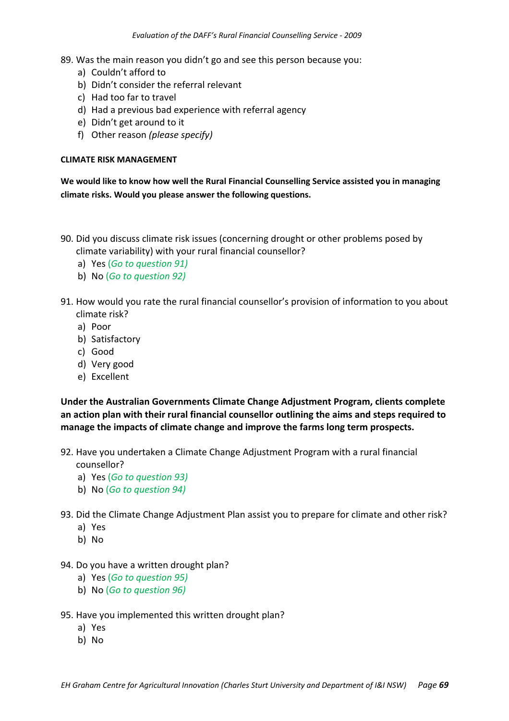89. Was the main reason you didn't go and see this person because you:

- a) Couldn't afford to
- b) Didn't consider the referral relevant
- c) Had too far to travel
- d) Had a previous bad experience with referral agency
- e) Didn't get around to it
- f) Other reason *(please specify)*

#### **CLIMATE RISK MANAGEMENT**

**We would like to know how well the Rural Financial Counselling Service assisted you in managing climate risks. Would you please answer the following questions.**

- 90. Did you discuss climate risk issues (concerning drought or other problems posed by climate variability) with your rural financial counsellor?
	- a) Yes (*Go to question 91)*
	- b) No (*Go to question 92)*
- 91. How would you rate the rural financial counsellor's provision of information to you about climate risk?
	- a) Poor
	- b) Satisfactory
	- c) Good
	- d) Very good
	- e) Excellent

**Under the Australian Governments Climate Change Adjustment Program, clients complete an action plan with their rural financial counsellor outlining the aims and steps required to manage the impacts of climate change and improve the farms long term prospects.**

- 92. Have you undertaken a Climate Change Adjustment Program with a rural financial
	- counsellor?
	- a) Yes (*Go to question 93)*
	- b) No (*Go to question 94)*
- 93. Did the Climate Change Adjustment Plan assist you to prepare for climate and other risk?
	- a) Yes
	- b) No
- 94. Do you have a written drought plan?
	- a) Yes (*Go to question 95)*
	- b) No (*Go to question 96)*
- 95. Have you implemented this written drought plan?
	- a) Yes
	- b) No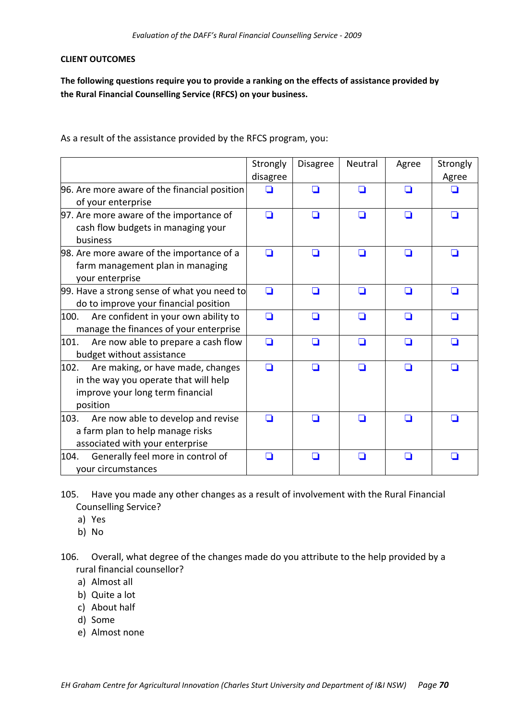#### **CLIENT OUTCOMES**

**The following questions require you to provide a ranking on the effects of assistance provided by the Rural Financial Counselling Service (RFCS) on your business.**

As a result of the assistance provided by the RFCS program, you:

|                                                                                                                                    | Strongly<br>disagree | <b>Disagree</b> | Neutral | Agree | Strongly<br>Agree |
|------------------------------------------------------------------------------------------------------------------------------------|----------------------|-----------------|---------|-------|-------------------|
| 96. Are more aware of the financial position<br>of your enterprise                                                                 |                      | ∩               | n       | ◘     |                   |
| 97. Are more aware of the importance of<br>cash flow budgets in managing your<br>business                                          | n                    | n               | n       | ◘     |                   |
| 98. Are more aware of the importance of a<br>farm management plan in managing<br>your enterprise                                   | n                    | ◘               | □       | ◘     | □                 |
| 99. Have a strong sense of what you need to<br>do to improve your financial position                                               | □                    | n               | ◘       | ◘     |                   |
| Are confident in your own ability to<br>100.<br>manage the finances of your enterprise                                             | □                    | n               | n       | ◘     |                   |
| 101.<br>Are now able to prepare a cash flow<br>budget without assistance                                                           | ∩                    | П               | n       | ◘     |                   |
| 102.<br>Are making, or have made, changes<br>in the way you operate that will help<br>improve your long term financial<br>position | n                    | ◘               | n       | ◘     | n                 |
| Are now able to develop and revise<br>103.<br>a farm plan to help manage risks<br>associated with your enterprise                  | n                    | H               | - 1     | I I   | H                 |
| Generally feel more in control of<br>104.<br>your circumstances                                                                    | - 1                  | ◘               | ◘       | ◘     | n                 |

- 105. Have you made any other changes as a result of involvement with the Rural Financial Counselling Service?
	- a) Yes
	- b) No
- 106. Overall, what degree of the changes made do you attribute to the help provided by a rural financial counsellor?
	- a) Almost all
	- b) Quite a lot
	- c) About half
	- d) Some
	- e) Almost none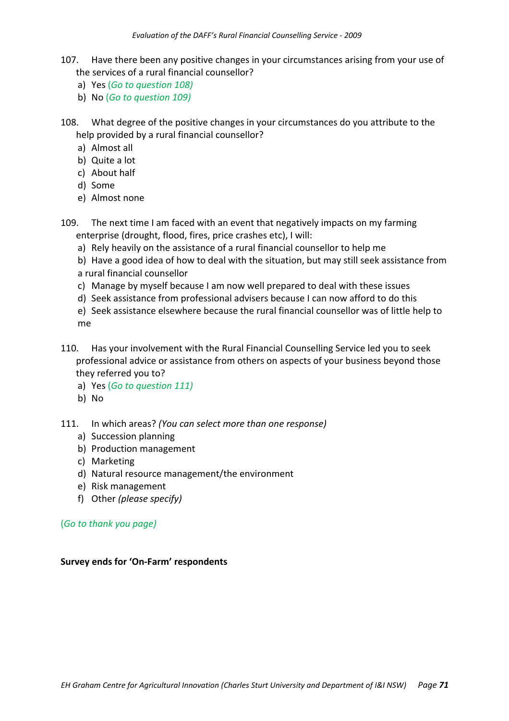- 107. Have there been any positive changes in your circumstances arising from your use of the services of a rural financial counsellor?
	- a) Yes (*Go to question 108)*
	- b) No (*Go to question 109)*
- 108. What degree of the positive changes in your circumstances do you attribute to the help provided by a rural financial counsellor?
	- a) Almost all
	- b) Quite a lot
	- c) About half
	- d) Some
	- e) Almost none
- 109. The next time I am faced with an event that negatively impacts on my farming enterprise (drought, flood, fires, price crashes etc), I will:
	- a) Rely heavily on the assistance of a rural financial counsellor to help me
	- b) Have a good idea of how to deal with the situation, but may still seek assistance from a rural financial counsellor
	- c) Manage by myself because I am now well prepared to deal with these issues
	- d) Seek assistance from professional advisers because I can now afford to do this
	- e) Seek assistance elsewhere because the rural financial counsellor was of little help to me
- 110. Has your involvement with the Rural Financial Counselling Service led you to seek professional advice or assistance from others on aspects of your business beyond those they referred you to?
	- a) Yes (*Go to question 111)*
	- b) No
- 111. In which areas? *(You can select more than one response)*
	- a) Succession planning
	- b) Production management
	- c) Marketing
	- d) Natural resource management/the environment
	- e) Risk management
	- f) Other *(please specify)*

(*Go to thank you page)*

#### **Survey ends for 'On‐Farm' respondents**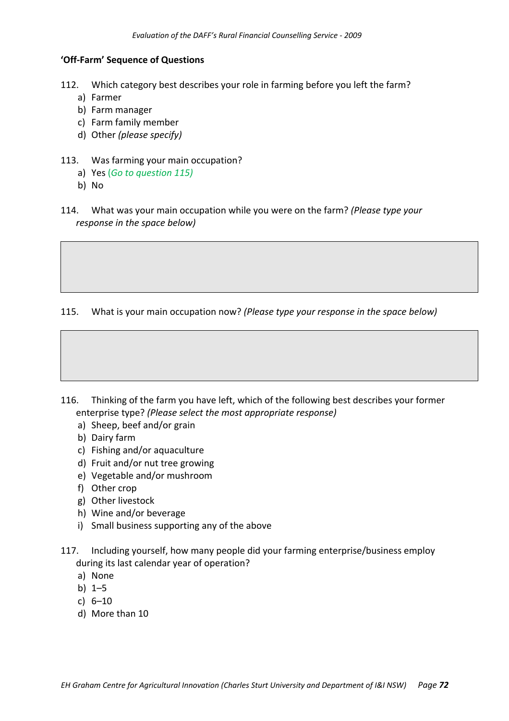### **'Off‐Farm' Sequence of Questions**

- 112. Which category best describes your role in farming before you left the farm?
	- a) Farmer
	- b) Farm manager
	- c) Farm family member
	- d) Other *(please specify)*
- 113. Was farming your main occupation?
	- a) Yes (*Go to question 115)*
	- b) No
- 114. What was your main occupation while you were on the farm? *(Please type your response in the space below)*

115. What is your main occupation now? *(Please type your response in the space below)*



- a) Sheep, beef and/or grain
- b) Dairy farm
- c) Fishing and/or aquaculture
- d) Fruit and/or nut tree growing
- e) Vegetable and/or mushroom
- f) Other crop
- g) Other livestock
- h) Wine and/or beverage
- i) Small business supporting any of the above
- 117. Including yourself, how many people did your farming enterprise/business employ during its last calendar year of operation?
	- a) None
	- b) 1–5
	- c) 6–10
	- d) More than 10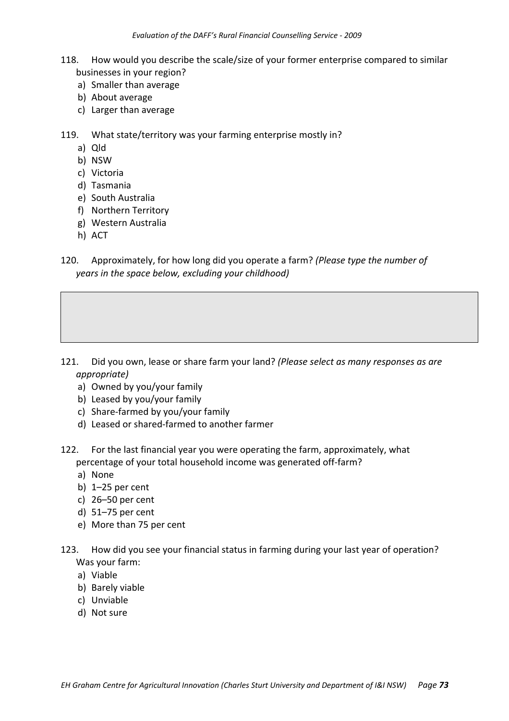- 118. How would you describe the scale/size of your former enterprise compared to similar businesses in your region?
	- a) Smaller than average
	- b) About average
	- c) Larger than average
- 119. What state/territory was your farming enterprise mostly in?
	- a) Qld
	- b) NSW
	- c) Victoria
	- d) Tasmania
	- e) South Australia
	- f) Northern Territory
	- g) Western Australia
	- h) ACT

120. Approximately, for how long did you operate a farm? *(Please type the number of years in the space below, excluding your childhood)*

- 121. Did you own, lease or share farm your land? *(Please select as many responses as are appropriate)*
	- a) Owned by you/your family
	- b) Leased by you/your family
	- c) Share‐farmed by you/your family
	- d) Leased or shared‐farmed to another farmer
- 122. For the last financial year you were operating the farm, approximately, what percentage of your total household income was generated off‐farm?
	- a) None
	- b) 1–25 per cent
	- c) 26–50 per cent
	- d) 51–75 per cent
	- e) More than 75 per cent
- 123. How did you see your financial status in farming during your last year of operation? Was your farm:
	- a) Viable
	- b) Barely viable
	- c) Unviable
	- d) Not sure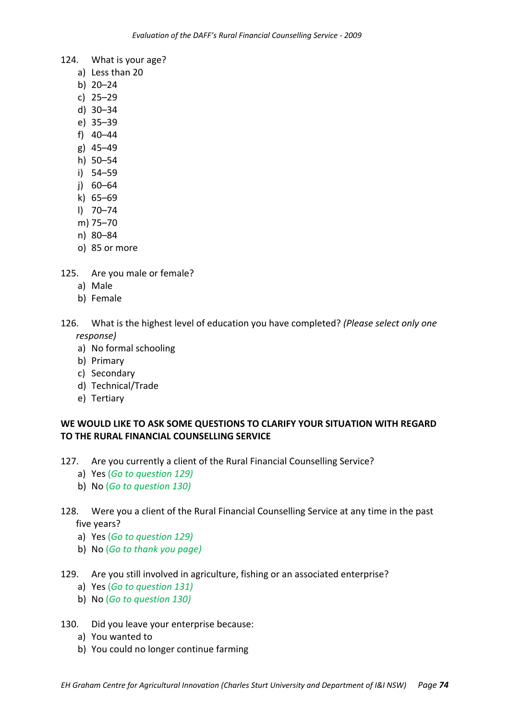- 124. What is your age?
	- a) Less than 20
	- b) 20–24
	- c) 25–29
	- d) 30–34
	- e) 35–39
	- f) 40–44
	- g) 45–49
	- h) 50–54
	- i) 54–59
	- j) 60–64
	- k) 65–69
	- l) 70–74
	- m) 75–70
	- n) 80–84
	- o) 85 or more
- 125. Are you male or female?
	- a) Male
	- b) Female
- 126. What is the highest level of education you have completed? *(Please select only one response)*
	- a) No formal schooling
	- b) Primary
	- c) Secondary
	- d) Technical/Trade
	- e) Tertiary

## **WE WOULD LIKE TO ASK SOME QUESTIONS TO CLARIFY YOUR SITUATION WITH REGARD TO THE RURAL FINANCIAL COUNSELLING SERVICE**

- 127. Are you currently a client of the Rural Financial Counselling Service?
	- a) Yes (*Go to question 129)*
	- b) No (*Go to question 130)*

## 128. Were you a client of the Rural Financial Counselling Service at any time in the past five years?

- a) Yes (*Go to question 129)*
- b) No (*Go to thank you page)*
- 129. Are you still involved in agriculture, fishing or an associated enterprise?
	- a) Yes (*Go to question 131)*
	- b) No (*Go to question 130)*
- 130. Did you leave your enterprise because:
	- a) You wanted to
	- b) You could no longer continue farming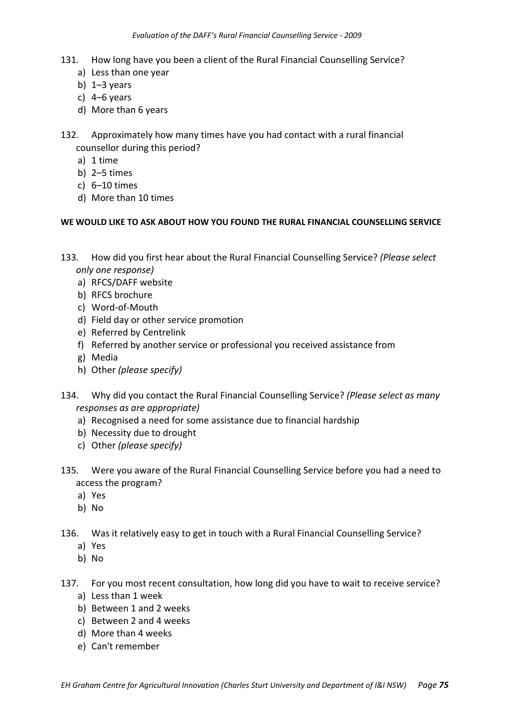- 131. How long have you been a client of the Rural Financial Counselling Service?
	- a) Less than one year
	- b)  $1-3$  years
	- c) 4–6 years
	- d) More than 6 years
- 132. Approximately how many times have you had contact with a rural financial counsellor during this period?
	- a) 1 time
	- b) 2–5 times
	- c) 6–10 times
	- d) More than 10 times

### **WE WOULD LIKE TO ASK ABOUT HOW YOU FOUND THE RURAL FINANCIAL COUNSELLING SERVICE**

- 133. How did you first hear about the Rural Financial Counselling Service? *(Please select only one response)*
	- a) RFCS/DAFF website
	- b) RFCS brochure
	- c) Word‐of‐Mouth
	- d) Field day or other service promotion
	- e) Referred by Centrelink
	- f) Referred by another service or professional you received assistance from
	- g) Media
	- h) Other *(please specify)*
- 134. Why did you contact the Rural Financial Counselling Service? *(Please select as many responses as are appropriate)*
	- a) Recognised a need for some assistance due to financial hardship
	- b) Necessity due to drought
	- c) Other *(please specify)*
- 135. Were you aware of the Rural Financial Counselling Service before you had a need to access the program?
	- a) Yes
	- b) No
- 136. Was it relatively easy to get in touch with a Rural Financial Counselling Service?
	- a) Yes
	- b) No
- 137. For you most recent consultation, how long did you have to wait to receive service?
	- a) Less than 1 week
	- b) Between 1 and 2 weeks
	- c) Between 2 and 4 weeks
	- d) More than 4 weeks
	- e) Can't remember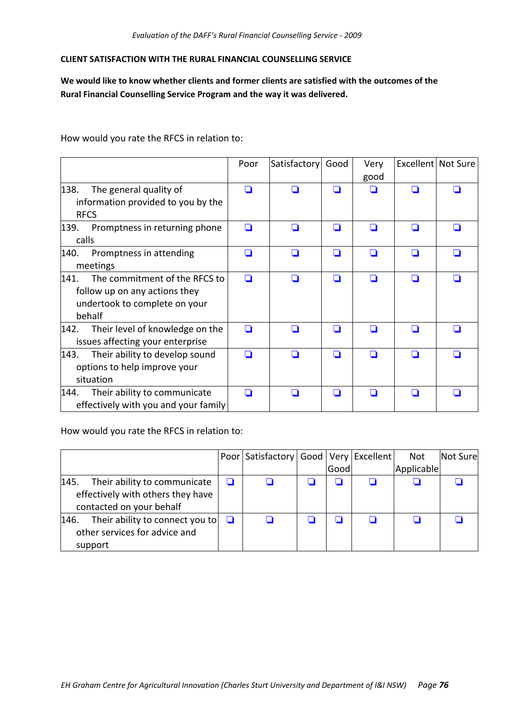### **CLIENT SATISFACTION WITH THE RURAL FINANCIAL COUNSELLING SERVICE**

**We would like to know whether clients and former clients are satisfied with the outcomes of the Rural Financial Counselling Service Program and the way it was delivered.** 

How would you rate the RFCS in relation to:

|                                                                                                                   | Poor | Satisfactory             | Good | Very<br>good |   | Excellent Not Sure |
|-------------------------------------------------------------------------------------------------------------------|------|--------------------------|------|--------------|---|--------------------|
| 138.<br>The general quality of<br>information provided to you by the                                              |      |                          |      |              |   |                    |
| <b>RFCS</b>                                                                                                       |      |                          |      |              |   |                    |
| 139.<br>Promptness in returning phone<br>calls                                                                    |      | $\overline{\phantom{a}}$ |      | П            |   |                    |
| Promptness in attending<br>140.<br>meetings                                                                       | n    | n                        | H    | П            | n |                    |
| The commitment of the RFCS to<br>141.<br>follow up on any actions they<br>undertook to complete on your<br>behalf | n    |                          |      |              |   |                    |
| 142.<br>Their level of knowledge on the<br>issues affecting your enterprise                                       | n    | H                        | H    |              | П |                    |
| Their ability to develop sound<br>143.<br>options to help improve your<br>situation                               |      |                          |      |              |   |                    |
| 144.<br>Their ability to communicate<br>effectively with you and your family                                      |      |                          |      |              |   |                    |

How would you rate the RFCS in relation to:

|                                                                                                       |   | Poor   Satisfactory   Good   Very   Excellent |      | Not        | Not Sure |
|-------------------------------------------------------------------------------------------------------|---|-----------------------------------------------|------|------------|----------|
|                                                                                                       |   |                                               | Good | Applicable |          |
| 145.<br>Their ability to communicate<br>effectively with others they have<br>contacted on your behalf | ❏ |                                               |      |            |          |
| Their ability to connect you to<br>146.<br>other services for advice and<br>support                   | ◘ |                                               |      |            |          |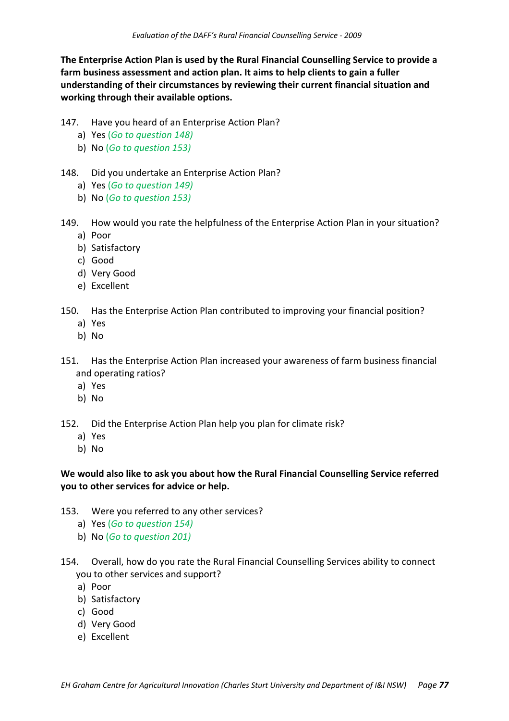**The Enterprise Action Plan is used by the Rural Financial Counselling Service to provide a farm business assessment and action plan. It aims to help clients to gain a fuller understanding of their circumstances by reviewing their current financial situation and working through their available options.**

- 147. Have you heard of an Enterprise Action Plan?
	- a) Yes (*Go to question 148)*
	- b) No (*Go to question 153)*
- 148. Did you undertake an Enterprise Action Plan?
	- a) Yes (*Go to question 149)*
	- b) No (*Go to question 153)*
- 149. How would you rate the helpfulness of the Enterprise Action Plan in your situation? a) Poor
	- b) Satisfactory
	- c) Good
	- d) Very Good
	- e) Excellent
- 150. Has the Enterprise Action Plan contributed to improving your financial position?
	- a) Yes
	- b) No
- 151. Has the Enterprise Action Plan increased your awareness of farm business financial and operating ratios?
	- a) Yes
	- b) No
- 152. Did the Enterprise Action Plan help you plan for climate risk?
	- a) Yes
	- b) No

## **We would also like to ask you about how the Rural Financial Counselling Service referred you to other services for advice or help.**

- 153. Were you referred to any other services?
	- a) Yes (*Go to question 154)*
	- b) No (*Go to question 201)*
- 154. Overall, how do you rate the Rural Financial Counselling Services ability to connect you to other services and support?
	- a) Poor
	- b) Satisfactory
	- c) Good
	- d) Very Good
	- e) Excellent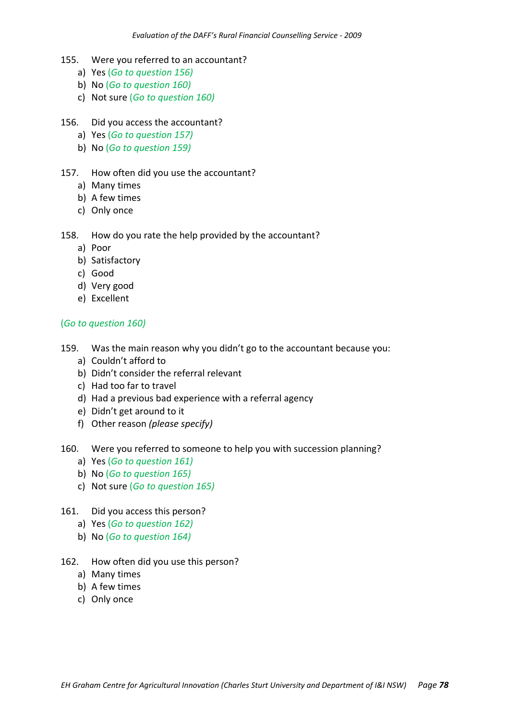- 155. Were you referred to an accountant?
	- a) Yes (*Go to question 156)*
	- b) No (*Go to question 160)*
	- c) Not sure (*Go to question 160)*
- 156. Did you access the accountant?
	- a) Yes (*Go to question 157)*
	- b) No (*Go to question 159)*

### 157. How often did you use the accountant?

- a) Many times
- b) A few times
- c) Only once

### 158. How do you rate the help provided by the accountant?

- a) Poor
- b) Satisfactory
- c) Good
- d) Very good
- e) Excellent

### (*Go to question 160)*

- 159. Was the main reason why you didn't go to the accountant because you:
	- a) Couldn't afford to
	- b) Didn't consider the referral relevant
	- c) Had too far to travel
	- d) Had a previous bad experience with a referral agency
	- e) Didn't get around to it
	- f) Other reason *(please specify)*
- 160. Were you referred to someone to help you with succession planning?
	- a) Yes (*Go to question 161)*
	- b) No (*Go to question 165)*
	- c) Not sure (*Go to question 165)*
- 161. Did you access this person?
	- a) Yes (*Go to question 162)*
	- b) No (*Go to question 164)*
- 162. How often did you use this person?
	- a) Many times
	- b) A few times
	- c) Only once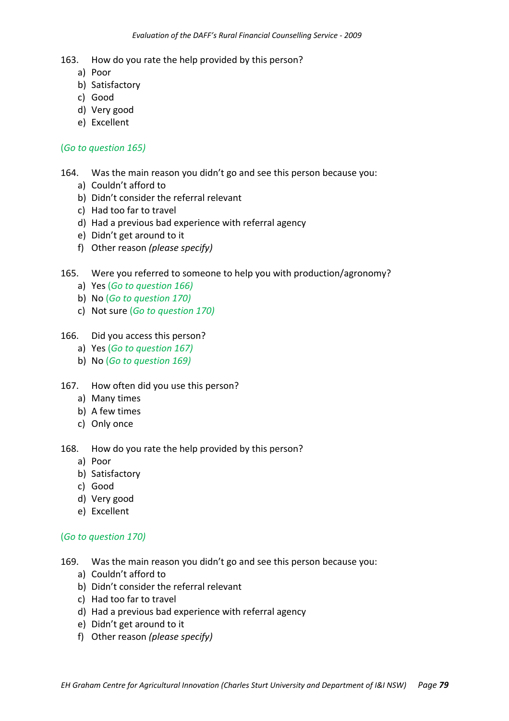- a) Poor
- b) Satisfactory
- c) Good
- d) Very good
- e) Excellent

### (*Go to question 165)*

- 164. Was the main reason you didn't go and see this person because you:
	- a) Couldn't afford to
	- b) Didn't consider the referral relevant
	- c) Had too far to travel
	- d) Had a previous bad experience with referral agency
	- e) Didn't get around to it
	- f) Other reason *(please specify)*

## 165. Were you referred to someone to help you with production/agronomy?

- a) Yes (*Go to question 166)*
- b) No (*Go to question 170)*
- c) Not sure (*Go to question 170)*

### 166. Did you access this person?

- a) Yes (*Go to question 167)*
- b) No (*Go to question 169)*
- 167. How often did you use this person?
	- a) Many times
	- b) A few times
	- c) Only once
- 168. How do you rate the help provided by this person?
	- a) Poor
	- b) Satisfactory
	- c) Good
	- d) Very good
	- e) Excellent

### (*Go to question 170)*

- 169. Was the main reason you didn't go and see this person because you:
	- a) Couldn't afford to
	- b) Didn't consider the referral relevant
	- c) Had too far to travel
	- d) Had a previous bad experience with referral agency
	- e) Didn't get around to it
	- f) Other reason *(please specify)*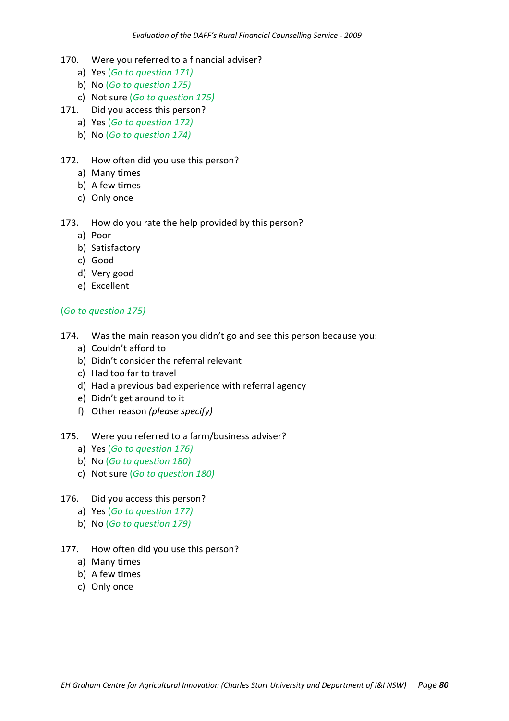- 170. Were you referred to a financial adviser?
	- a) Yes (*Go to question 171)*
	- b) No (*Go to question 175)*
	- c) Not sure (*Go to question 175)*
- 171. Did you access this person?
	- a) Yes (*Go to question 172)*
	- b) No (*Go to question 174)*

### 172. How often did you use this person?

- a) Many times
- b) A few times
- c) Only once

## 173. How do you rate the help provided by this person?

- a) Poor
- b) Satisfactory
- c) Good
- d) Very good
- e) Excellent

## (*Go to question 175)*

- 174. Was the main reason you didn't go and see this person because you:
	- a) Couldn't afford to
	- b) Didn't consider the referral relevant
	- c) Had too far to travel
	- d) Had a previous bad experience with referral agency
	- e) Didn't get around to it
	- f) Other reason *(please specify)*
- 175. Were you referred to a farm/business adviser?
	- a) Yes (*Go to question 176)*
	- b) No (*Go to question 180)*
	- c) Not sure (*Go to question 180)*

### 176. Did you access this person?

- a) Yes (*Go to question 177)*
- b) No (*Go to question 179)*
- 177. How often did you use this person?
	- a) Many times
	- b) A few times
	- c) Only once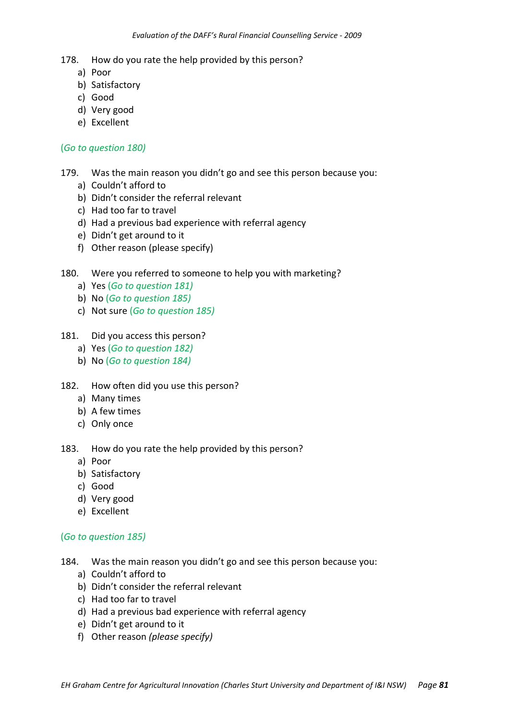- a) Poor
- b) Satisfactory
- c) Good
- d) Very good
- e) Excellent

### (*Go to question 180)*

- 179. Was the main reason you didn't go and see this person because you:
	- a) Couldn't afford to
	- b) Didn't consider the referral relevant
	- c) Had too far to travel
	- d) Had a previous bad experience with referral agency
	- e) Didn't get around to it
	- f) Other reason (please specify)

## 180. Were you referred to someone to help you with marketing?

- a) Yes (*Go to question 181)*
- b) No (*Go to question 185)*
- c) Not sure (*Go to question 185)*

### 181. Did you access this person?

- a) Yes (*Go to question 182)*
- b) No (*Go to question 184)*
- 182. How often did you use this person?
	- a) Many times
	- b) A few times
	- c) Only once
- 183. How do you rate the help provided by this person?
	- a) Poor
	- b) Satisfactory
	- c) Good
	- d) Very good
	- e) Excellent

### (*Go to question 185)*

- 184. Was the main reason you didn't go and see this person because you:
	- a) Couldn't afford to
	- b) Didn't consider the referral relevant
	- c) Had too far to travel
	- d) Had a previous bad experience with referral agency
	- e) Didn't get around to it
	- f) Other reason *(please specify)*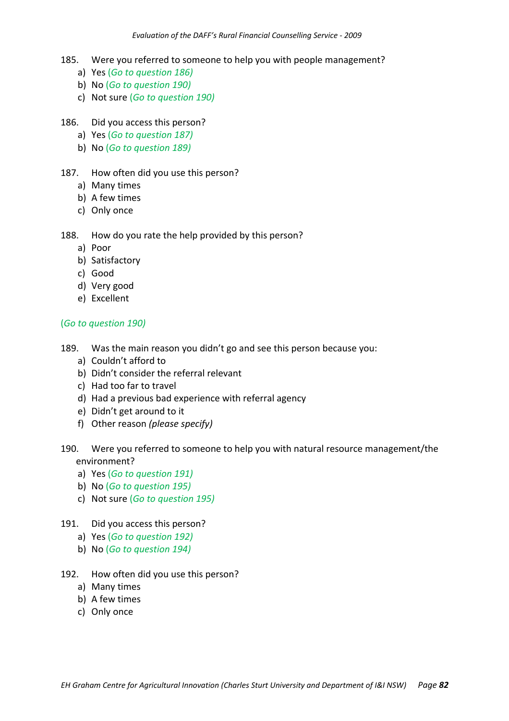- 185. Were you referred to someone to help you with people management?
	- a) Yes (*Go to question 186)*
	- b) No (*Go to question 190)*
	- c) Not sure (*Go to question 190)*
- 186. Did you access this person?
	- a) Yes (*Go to question 187)*
	- b) No (*Go to question 189)*
- 187. How often did you use this person?
	- a) Many times
	- b) A few times
	- c) Only once

- a) Poor
- b) Satisfactory
- c) Good
- d) Very good
- e) Excellent

## (*Go to question 190)*

- 189. Was the main reason you didn't go and see this person because you:
	- a) Couldn't afford to
	- b) Didn't consider the referral relevant
	- c) Had too far to travel
	- d) Had a previous bad experience with referral agency
	- e) Didn't get around to it
	- f) Other reason *(please specify)*
- 190. Were you referred to someone to help you with natural resource management/the environment?
	- a) Yes (*Go to question 191)*
	- b) No (*Go to question 195)*
	- c) Not sure (*Go to question 195)*
- 191. Did you access this person?
	- a) Yes (*Go to question 192)*
	- b) No (*Go to question 194)*
- 192. How often did you use this person?
	- a) Many times
	- b) A few times
	- c) Only once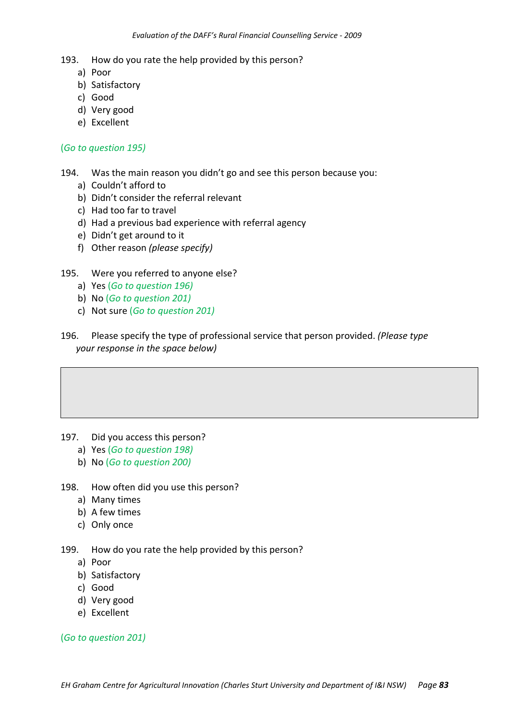- a) Poor
- b) Satisfactory
- c) Good
- d) Very good
- e) Excellent

### (*Go to question 195)*

194. Was the main reason you didn't go and see this person because you:

- a) Couldn't afford to
- b) Didn't consider the referral relevant
- c) Had too far to travel
- d) Had a previous bad experience with referral agency
- e) Didn't get around to it
- f) Other reason *(please specify)*

### 195. Were you referred to anyone else?

- a) Yes (*Go to question 196)*
- b) No (*Go to question 201)*
- c) Not sure (*Go to question 201)*
- 196. Please specify the type of professional service that person provided. *(Please type your response in the space below)*

- 197. Did you access this person?
	- a) Yes (*Go to question 198)*
	- b) No (*Go to question 200)*
- 198. How often did you use this person?
	- a) Many times
	- b) A few times
	- c) Only once

199. How do you rate the help provided by this person?

- a) Poor
- b) Satisfactory
- c) Good
- d) Very good
- e) Excellent

(*Go to question 201)*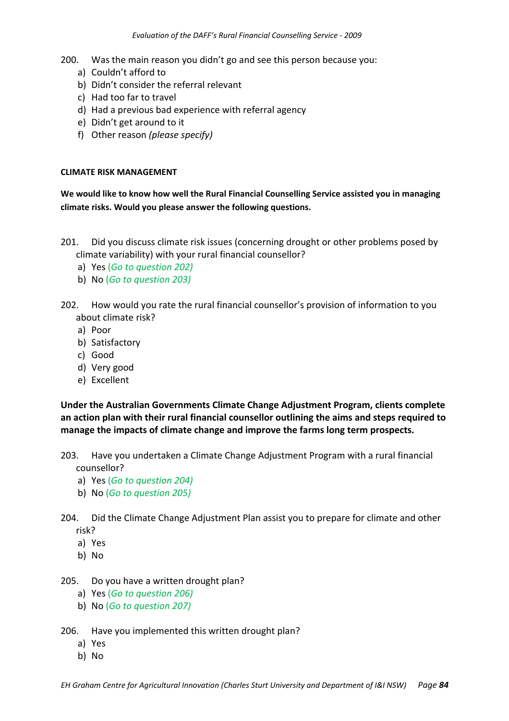200. Was the main reason you didn't go and see this person because you:

- a) Couldn't afford to
- b) Didn't consider the referral relevant
- c) Had too far to travel
- d) Had a previous bad experience with referral agency
- e) Didn't get around to it
- f) Other reason *(please specify)*

### **CLIMATE RISK MANAGEMENT**

**We would like to know how well the Rural Financial Counselling Service assisted you in managing climate risks. Would you please answer the following questions.**

- 201. Did you discuss climate risk issues (concerning drought or other problems posed by climate variability) with your rural financial counsellor?
	- a) Yes (*Go to question 202)*
	- b) No (*Go to question 203)*
- 202. How would you rate the rural financial counsellor's provision of information to you about climate risk?
	- a) Poor
	- b) Satisfactory
	- c) Good
	- d) Very good
	- e) Excellent

**Under the Australian Governments Climate Change Adjustment Program, clients complete an action plan with their rural financial counsellor outlining the aims and steps required to manage the impacts of climate change and improve the farms long term prospects.**

- 203. Have you undertaken a Climate Change Adjustment Program with a rural financial counsellor?
	- a) Yes (*Go to question 204)*
	- b) No (*Go to question 205)*
- 204. Did the Climate Change Adjustment Plan assist you to prepare for climate and other risk?
	- a) Yes
	- b) No
- 205. Do you have a written drought plan?
	- a) Yes (*Go to question 206)*
	- b) No (*Go to question 207)*
- 206. Have you implemented this written drought plan?
	- a) Yes
	- b) No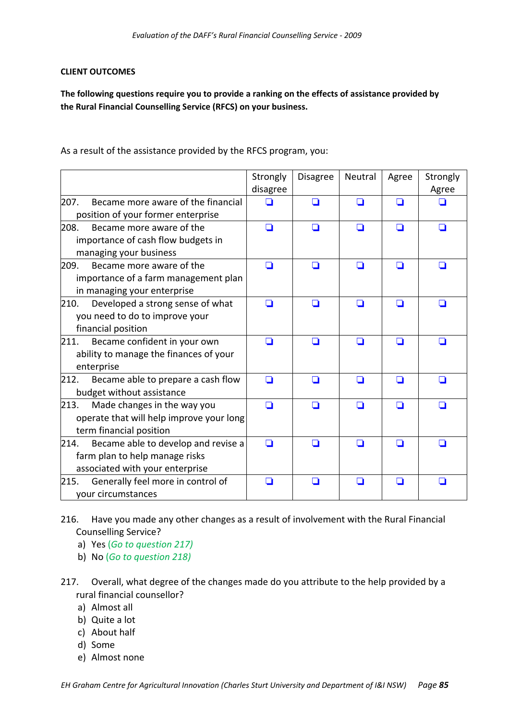### **CLIENT OUTCOMES**

**The following questions require you to provide a ranking on the effects of assistance provided by the Rural Financial Counselling Service (RFCS) on your business.**

As a result of the assistance provided by the RFCS program, you:

|                                                                                                                  | Strongly<br>disagree | <b>Disagree</b> | Neutral | Agree | Strongly<br>Agree |
|------------------------------------------------------------------------------------------------------------------|----------------------|-----------------|---------|-------|-------------------|
| 207.<br>Became more aware of the financial<br>position of your former enterprise                                 |                      | n               | n       | ◘     |                   |
| 208.<br>Became more aware of the<br>importance of cash flow budgets in<br>managing your business                 | ◘                    | ◘               | ◘       | ◘     | ◘                 |
| 209.<br>Became more aware of the<br>importance of a farm management plan<br>in managing your enterprise          | n                    | H               | H       | ◘     | H                 |
| 210.<br>Developed a strong sense of what<br>you need to do to improve your<br>financial position                 | ◘                    | ◘               | ◘       | ◘     | □                 |
| 211.<br>Became confident in your own<br>ability to manage the finances of your<br>enterprise                     | n                    | ∩               | n       | ◘     | ◘                 |
| Became able to prepare a cash flow<br>212.<br>budget without assistance                                          | ◘                    | H               | H       | ⊔     | l 1               |
| 213.<br>Made changes in the way you<br>operate that will help improve your long<br>term financial position       | ◘                    | n               | n       | П     | П                 |
| 214.<br>Became able to develop and revise a<br>farm plan to help manage risks<br>associated with your enterprise | ◘                    | ΙI              | H       | ◘     | ◘                 |
| Generally feel more in control of<br>215.<br>your circumstances                                                  | ◘                    | n               |         |       | П                 |

- 216. Have you made any other changes as a result of involvement with the Rural Financial Counselling Service?
	- a) Yes (*Go to question 217)*
	- b) No (*Go to question 218)*
- 217. Overall, what degree of the changes made do you attribute to the help provided by a rural financial counsellor?
	- a) Almost all
	- b) Quite a lot
	- c) About half
	- d) Some
	- e) Almost none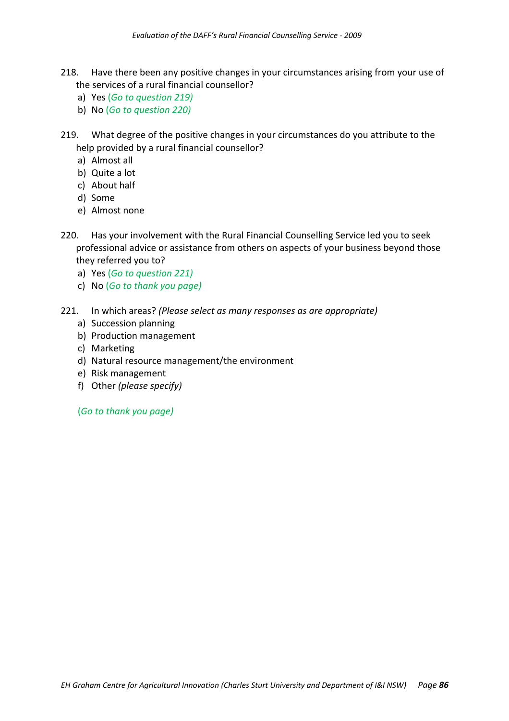- 218. Have there been any positive changes in your circumstances arising from your use of the services of a rural financial counsellor?
	- a) Yes (*Go to question 219)*
	- b) No (*Go to question 220)*
- 219. What degree of the positive changes in your circumstances do you attribute to the help provided by a rural financial counsellor?
	- a) Almost all
	- b) Quite a lot
	- c) About half
	- d) Some
	- e) Almost none
- 220. Has your involvement with the Rural Financial Counselling Service led you to seek professional advice or assistance from others on aspects of your business beyond those they referred you to?
	- a) Yes (*Go to question 221)*
	- c) No (*Go to thank you page)*
- 221. In which areas? *(Please select as many responses as are appropriate)*
	- a) Succession planning
	- b) Production management
	- c) Marketing
	- d) Natural resource management/the environment
	- e) Risk management
	- f) Other *(please specify)*

(*Go to thank you page)*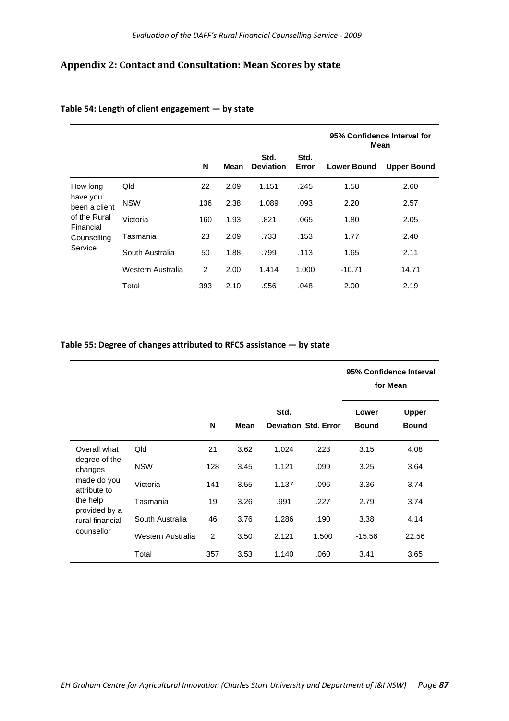# **Appendix 2: Contact and Consultation: Mean Scores by state**

|                                                                                                     |                   |     |      | 95% Confidence Interval for<br>Mean |               |                    |                    |
|-----------------------------------------------------------------------------------------------------|-------------------|-----|------|-------------------------------------|---------------|--------------------|--------------------|
|                                                                                                     |                   | N   | Mean | Std.<br><b>Deviation</b>            | Std.<br>Error | <b>Lower Bound</b> | <b>Upper Bound</b> |
| How long<br>Qld<br>have you<br><b>NSW</b><br>been a client<br>of the Rural<br>Victoria<br>Financial |                   | 22  | 2.09 | 1.151                               | .245          | 1.58               | 2.60               |
|                                                                                                     |                   | 136 | 2.38 | 1.089                               | .093          | 2.20               | 2.57               |
|                                                                                                     |                   | 160 | 1.93 | .821                                | .065          | 1.80               | 2.05               |
| Counselling                                                                                         | Tasmania          | 23  | 2.09 | .733                                | .153          | 1.77               | 2.40               |
| Service                                                                                             | South Australia   | 50  | 1.88 | .799                                | .113          | 1.65               | 2.11               |
|                                                                                                     | Western Australia | 2   | 2.00 | 1.414                               | 1.000         | $-10.71$           | 14.71              |
|                                                                                                     | Total             | 393 | 2.10 | .956                                | .048          | 2.00               | 2.19               |

### **Table 54: Length of client engagement — by state**

### **Table 55: Degree of changes attributed to RFCS assistance — by state**

|                                          |                   |     |             |       |                             |                       | 95% Confidence Interval<br>for Mean |
|------------------------------------------|-------------------|-----|-------------|-------|-----------------------------|-----------------------|-------------------------------------|
|                                          |                   | N   | <b>Mean</b> | Std.  | <b>Deviation Std. Error</b> | Lower<br><b>Bound</b> | <b>Upper</b><br><b>Bound</b>        |
| Overall what<br>degree of the<br>changes | Qld               | 21  | 3.62        | 1.024 | .223                        | 3.15                  | 4.08                                |
|                                          | <b>NSW</b>        | 128 | 3.45        | 1.121 | .099                        | 3.25                  | 3.64                                |
| made do you<br>attribute to              | Victoria          | 141 | 3.55        | 1.137 | .096                        | 3.36                  | 3.74                                |
| the help                                 | Tasmania          | 19  | 3.26        | .991  | .227                        | 2.79                  | 3.74                                |
| provided by a<br>rural financial         | South Australia   | 46  | 3.76        | 1.286 | .190                        | 3.38                  | 4.14                                |
| counsellor                               | Western Australia | 2   | 3.50        | 2.121 | 1.500                       | $-15.56$              | 22.56                               |
|                                          | Total             | 357 | 3.53        | 1.140 | .060                        | 3.41                  | 3.65                                |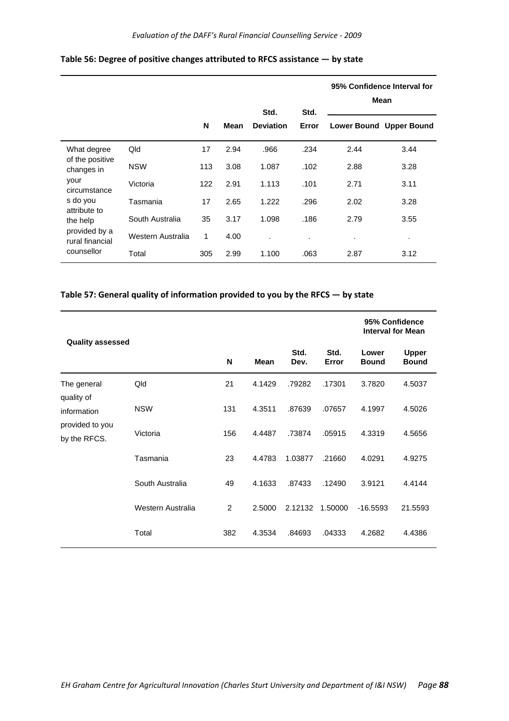|                                                                                           |                   | Std.<br>Std. |      |                  |                |      | 95% Confidence Interval for<br>Mean |
|-------------------------------------------------------------------------------------------|-------------------|--------------|------|------------------|----------------|------|-------------------------------------|
|                                                                                           |                   | N            | Mean | <b>Deviation</b> | Error          |      | Lower Bound Upper Bound             |
| What degree<br>Qld<br>of the positive<br><b>NSW</b><br>changes in<br>your<br>circumstance |                   | 17           | 2.94 | .966             | .234           | 2.44 | 3.44                                |
|                                                                                           |                   | 113          | 3.08 | 1.087            | .102           | 2.88 | 3.28                                |
|                                                                                           | Victoria          | 122          | 2.91 | 1.113            | .101           | 2.71 | 3.11                                |
| s do you                                                                                  | Tasmania          | 17           | 2.65 | 1.222            | .296           | 2.02 | 3.28                                |
| attribute to<br>the help<br>provided by a<br>rural financial<br>counsellor                | South Australia   | 35           | 3.17 | 1.098            | .186           | 2.79 | 3.55                                |
|                                                                                           | Western Australia | 1            | 4.00 | ٠                | $\blacksquare$ | ٠    | ٠                                   |
|                                                                                           | Total             | 305          | 2.99 | 1.100            | .063           | 2.87 | 3.12                                |

### **Table 56: Degree of positive changes attributed to RFCS assistance — by state**

#### **Table 57: General quality of information provided to you by the RFCS — by state**

|                                                |                   |     |        |              |               |                       | 95% Confidence<br><b>Interval for Mean</b> |  |
|------------------------------------------------|-------------------|-----|--------|--------------|---------------|-----------------------|--------------------------------------------|--|
| <b>Quality assessed</b>                        |                   | N   | Mean   | Std.<br>Dev. | Std.<br>Error | Lower<br><b>Bound</b> | <b>Upper</b><br><b>Bound</b>               |  |
| The general<br>quality of                      | Qld               | 21  | 4.1429 | .79282       | .17301        | 3.7820                | 4.5037                                     |  |
| information<br>provided to you<br>by the RFCS. | <b>NSW</b>        | 131 | 4.3511 | .87639       | .07657        | 4.1997                | 4.5026                                     |  |
|                                                | Victoria          | 156 | 4.4487 | .73874       | .05915        | 4.3319                | 4.5656                                     |  |
|                                                | Tasmania          | 23  | 4.4783 | 1.03877      | .21660        | 4.0291                | 4.9275                                     |  |
|                                                | South Australia   | 49  | 4.1633 | .87433       | .12490        | 3.9121                | 4.4144                                     |  |
|                                                | Western Australia | 2   | 2.5000 | 2.12132      | 1.50000       | $-16.5593$            | 21.5593                                    |  |
|                                                | Total             | 382 | 4.3534 | .84693       | .04333        | 4.2682                | 4.4386                                     |  |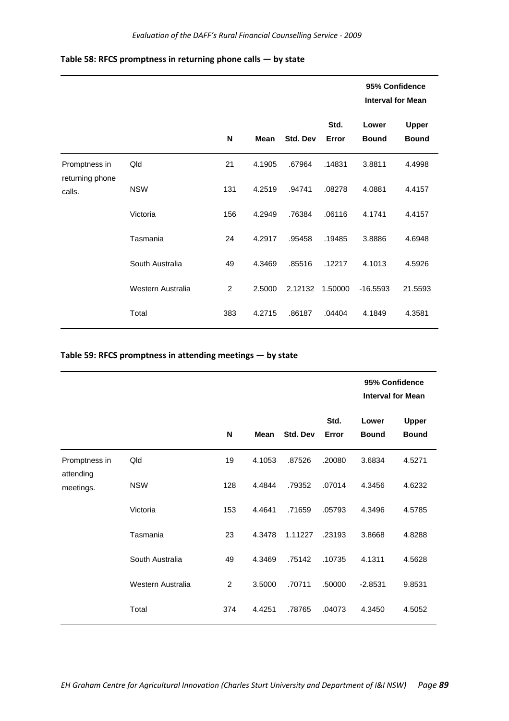| Table 58: RFCS promptness in returning phone calls $-$ by state |  |  |
|-----------------------------------------------------------------|--|--|
|-----------------------------------------------------------------|--|--|

|                                            |                   |     |             |          |               | 95% Confidence<br><b>Interval for Mean</b> |                              |
|--------------------------------------------|-------------------|-----|-------------|----------|---------------|--------------------------------------------|------------------------------|
|                                            |                   | N   | <b>Mean</b> | Std. Dev | Std.<br>Error | Lower<br><b>Bound</b>                      | <b>Upper</b><br><b>Bound</b> |
| Promptness in<br>returning phone<br>calls. | Qld               | 21  | 4.1905      | .67964   | .14831        | 3.8811                                     | 4.4998                       |
|                                            | <b>NSW</b>        | 131 | 4.2519      | .94741   | .08278        | 4.0881                                     | 4.4157                       |
|                                            | Victoria          | 156 | 4.2949      | .76384   | .06116        | 4.1741                                     | 4.4157                       |
|                                            | Tasmania          | 24  | 4.2917      | .95458   | .19485        | 3.8886                                     | 4.6948                       |
|                                            | South Australia   | 49  | 4.3469      | .85516   | .12217        | 4.1013                                     | 4.5926                       |
|                                            | Western Australia | 2   | 2.5000      | 2.12132  | 1.50000       | $-16.5593$                                 | 21.5593                      |
|                                            | Total             | 383 | 4.2715      | .86187   | .04404        | 4.1849                                     | 4.3581                       |

# **Table 59: RFCS promptness in attending meetings — by state**

|                                         |                   |     |             |          |               | 95% Confidence<br><b>Interval for Mean</b> |                              |  |
|-----------------------------------------|-------------------|-----|-------------|----------|---------------|--------------------------------------------|------------------------------|--|
|                                         |                   | N   | <b>Mean</b> | Std. Dev | Std.<br>Error | Lower<br><b>Bound</b>                      | <b>Upper</b><br><b>Bound</b> |  |
| Promptness in<br>attending<br>meetings. | Qld               | 19  | 4.1053      | .87526   | .20080        | 3.6834                                     | 4.5271                       |  |
|                                         | <b>NSW</b>        | 128 | 4.4844      | .79352   | .07014        | 4.3456                                     | 4.6232                       |  |
|                                         | Victoria          | 153 | 4.4641      | .71659   | .05793        | 4.3496                                     | 4.5785                       |  |
|                                         | Tasmania          | 23  | 4.3478      | 1.11227  | .23193        | 3.8668                                     | 4.8288                       |  |
|                                         | South Australia   | 49  | 4.3469      | .75142   | .10735        | 4.1311                                     | 4.5628                       |  |
|                                         | Western Australia | 2   | 3.5000      | .70711   | .50000        | $-2.8531$                                  | 9.8531                       |  |
|                                         | Total             | 374 | 4.4251      | .78765   | .04073        | 4.3450                                     | 4.5052                       |  |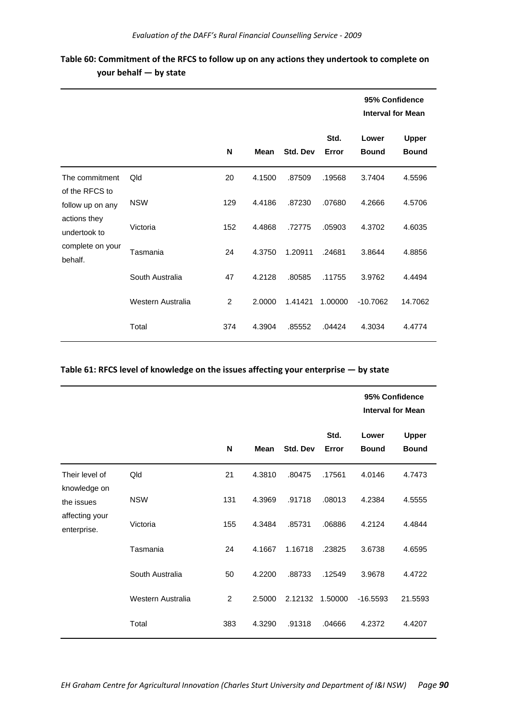|                                                                                                                     |                   |     |             |                 |               | 95% Confidence<br><b>Interval for Mean</b> |                       |
|---------------------------------------------------------------------------------------------------------------------|-------------------|-----|-------------|-----------------|---------------|--------------------------------------------|-----------------------|
|                                                                                                                     |                   | N   | <b>Mean</b> | <b>Std. Dev</b> | Std.<br>Error | Lower<br><b>Bound</b>                      | Upper<br><b>Bound</b> |
| The commitment<br>of the RFCS to<br>follow up on any<br>actions they<br>undertook to<br>complete on your<br>behalf. | Qld               | 20  | 4.1500      | .87509          | .19568        | 3.7404                                     | 4.5596                |
|                                                                                                                     | <b>NSW</b>        | 129 | 4.4186      | .87230          | .07680        | 4.2666                                     | 4.5706                |
|                                                                                                                     | Victoria          | 152 | 4.4868      | .72775          | .05903        | 4.3702                                     | 4.6035                |
|                                                                                                                     | Tasmania          | 24  | 4.3750      | 1.20911         | .24681        | 3.8644                                     | 4.8856                |
|                                                                                                                     | South Australia   | 47  | 4.2128      | .80585          | .11755        | 3.9762                                     | 4.4494                |
|                                                                                                                     | Western Australia | 2   | 2.0000      | 1.41421         | 1.00000       | $-10.7062$                                 | 14.7062               |
|                                                                                                                     | Total             | 374 | 4.3904      | .85552          | .04424        | 4.3034                                     | 4.4774                |

# **Table 60: Commitment of the RFCS to follow up on any actions they undertook to complete on your behalf — by state**

#### **Table 61: RFCS level of knowledge on the issues affecting your enterprise — by state**

|                                                                               |                   |     |             | 95% Confidence<br><b>Interval for Mean</b> |               |                       |                              |
|-------------------------------------------------------------------------------|-------------------|-----|-------------|--------------------------------------------|---------------|-----------------------|------------------------------|
|                                                                               |                   | N   | <b>Mean</b> | Std. Dev                                   | Std.<br>Error | Lower<br><b>Bound</b> | <b>Upper</b><br><b>Bound</b> |
| Their level of<br>knowledge on<br>the issues<br>affecting your<br>enterprise. | Qld               | 21  | 4.3810      | .80475                                     | .17561        | 4.0146                | 4.7473                       |
|                                                                               | <b>NSW</b>        | 131 | 4.3969      | .91718                                     | .08013        | 4.2384                | 4.5555                       |
|                                                                               | Victoria          | 155 | 4.3484      | .85731                                     | .06886        | 4.2124                | 4.4844                       |
|                                                                               | Tasmania          | 24  | 4.1667      | 1.16718                                    | .23825        | 3.6738                | 4.6595                       |
|                                                                               | South Australia   | 50  | 4.2200      | .88733                                     | .12549        | 3.9678                | 4.4722                       |
|                                                                               | Western Australia | 2   | 2.5000      | 2.12132                                    | 1.50000       | $-16.5593$            | 21.5593                      |
|                                                                               | Total             | 383 | 4.3290      | .91318                                     | .04666        | 4.2372                | 4.4207                       |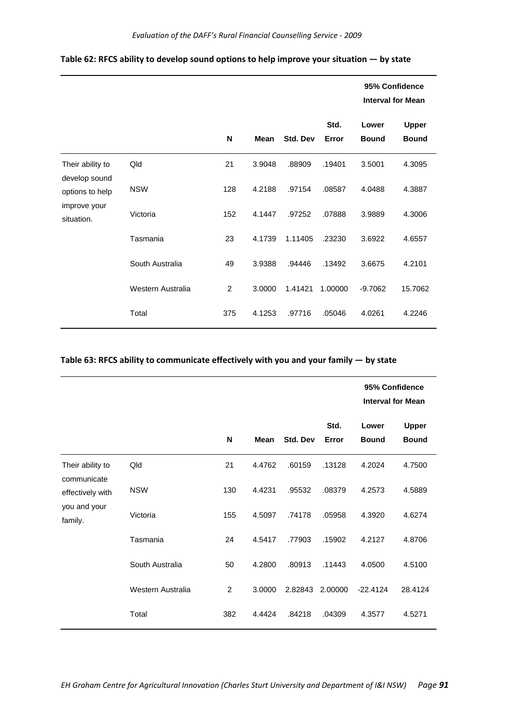|                                                                                    |                   |                |        |          |               |                       | 95% Confidence<br><b>Interval for Mean</b> |
|------------------------------------------------------------------------------------|-------------------|----------------|--------|----------|---------------|-----------------------|--------------------------------------------|
|                                                                                    |                   | N              | Mean   | Std. Dev | Std.<br>Error | Lower<br><b>Bound</b> | <b>Upper</b><br><b>Bound</b>               |
| Their ability to<br>develop sound<br>options to help<br>improve your<br>situation. | Qld               | 21             | 3.9048 | .88909   | .19401        | 3.5001                | 4.3095                                     |
|                                                                                    | <b>NSW</b>        | 128            | 4.2188 | .97154   | .08587        | 4.0488                | 4.3887                                     |
|                                                                                    | Victoria          | 152            | 4.1447 | .97252   | .07888        | 3.9889                | 4.3006                                     |
|                                                                                    | Tasmania          | 23             | 4.1739 | 1.11405  | .23230        | 3.6922                | 4.6557                                     |
|                                                                                    | South Australia   | 49             | 3.9388 | .94446   | .13492        | 3.6675                | 4.2101                                     |
|                                                                                    | Western Australia | $\overline{2}$ | 3.0000 | 1.41421  | 1.00000       | $-9.7062$             | 15.7062                                    |
|                                                                                    | Total             | 375            | 4.1253 | .97716   | .05046        | 4.0261                | 4.2246                                     |

### **Table 62: RFCS ability to develop sound options to help improve your situation — by state**

### **Table 63: RFCS ability to communicate effectively with you and your family — by state**

|                                                                                |                   |     |             |          |               | 95% Confidence<br><b>Interval for Mean</b> |                              |
|--------------------------------------------------------------------------------|-------------------|-----|-------------|----------|---------------|--------------------------------------------|------------------------------|
|                                                                                |                   | N   | <b>Mean</b> | Std. Dev | Std.<br>Error | Lower<br><b>Bound</b>                      | <b>Upper</b><br><b>Bound</b> |
| Their ability to<br>communicate<br>effectively with<br>you and your<br>family. | Qld               | 21  | 4.4762      | .60159   | .13128        | 4.2024                                     | 4.7500                       |
|                                                                                | <b>NSW</b>        | 130 | 4.4231      | .95532   | .08379        | 4.2573                                     | 4.5889                       |
|                                                                                | Victoria          | 155 | 4.5097      | .74178   | .05958        | 4.3920                                     | 4.6274                       |
|                                                                                | Tasmania          | 24  | 4.5417      | .77903   | .15902        | 4.2127                                     | 4.8706                       |
|                                                                                | South Australia   | 50  | 4.2800      | .80913   | .11443        | 4.0500                                     | 4.5100                       |
|                                                                                | Western Australia | 2   | 3.0000      | 2.82843  | 2.00000       | $-22.4124$                                 | 28.4124                      |
|                                                                                | Total             | 382 | 4.4424      | .84218   | .04309        | 4.3577                                     | 4.5271                       |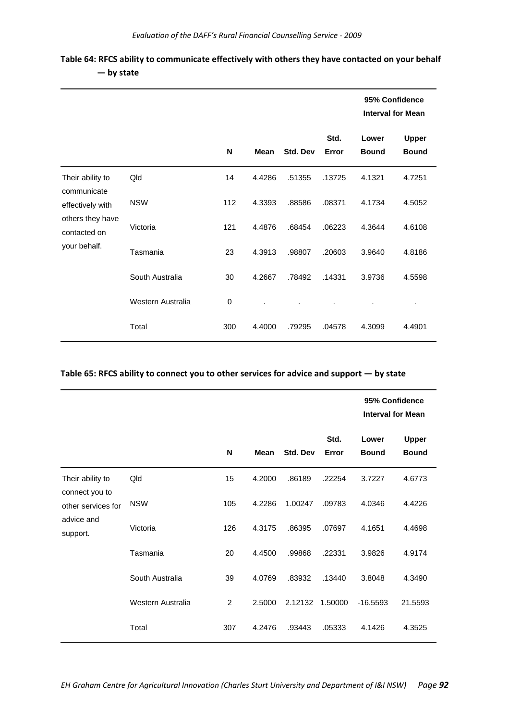|                                                     |                   |     |             |          |               |                       | 95% Confidence<br><b>Interval for Mean</b> |  |
|-----------------------------------------------------|-------------------|-----|-------------|----------|---------------|-----------------------|--------------------------------------------|--|
|                                                     |                   | N   | <b>Mean</b> | Std. Dev | Std.<br>Error | Lower<br><b>Bound</b> | <b>Upper</b><br><b>Bound</b>               |  |
| Their ability to<br>communicate<br>effectively with | Qld               | 14  | 4.4286      | .51355   | .13725        | 4.1321                | 4.7251                                     |  |
|                                                     | <b>NSW</b>        | 112 | 4.3393      | .88586   | .08371        | 4.1734                | 4.5052                                     |  |
| others they have<br>contacted on                    | Victoria          | 121 | 4.4876      | .68454   | .06223        | 4.3644                | 4.6108                                     |  |
| your behalf.                                        | Tasmania          | 23  | 4.3913      | .98807   | .20603        | 3.9640                | 4.8186                                     |  |
|                                                     | South Australia   | 30  | 4.2667      | .78492   | .14331        | 3.9736                | 4.5598                                     |  |
|                                                     | Western Australia | 0   |             |          |               |                       | $\cdot$                                    |  |
|                                                     | Total             | 300 | 4.4000      | .79295   | .04578        | 4.3099                | 4.4901                                     |  |

## **Table 64: RFCS ability to communicate effectively with others they have contacted on your behalf — by state**

#### **Table 65: RFCS ability to connect you to other services for advice and support — by state**

|                                                                                    |                   |     |             |          |               | 95% Confidence<br><b>Interval for Mean</b> |                              |
|------------------------------------------------------------------------------------|-------------------|-----|-------------|----------|---------------|--------------------------------------------|------------------------------|
|                                                                                    |                   | N   | <b>Mean</b> | Std. Dev | Std.<br>Error | Lower<br><b>Bound</b>                      | <b>Upper</b><br><b>Bound</b> |
| Their ability to<br>connect you to<br>other services for<br>advice and<br>support. | Qld               | 15  | 4.2000      | .86189   | .22254        | 3.7227                                     | 4.6773                       |
|                                                                                    | <b>NSW</b>        | 105 | 4.2286      | 1.00247  | .09783        | 4.0346                                     | 4.4226                       |
|                                                                                    | Victoria          | 126 | 4.3175      | .86395   | .07697        | 4.1651                                     | 4.4698                       |
|                                                                                    | Tasmania          | 20  | 4.4500      | .99868   | .22331        | 3.9826                                     | 4.9174                       |
|                                                                                    | South Australia   | 39  | 4.0769      | .83932   | .13440        | 3.8048                                     | 4.3490                       |
|                                                                                    | Western Australia | 2   | 2.5000      | 2.12132  | 1.50000       | $-16.5593$                                 | 21.5593                      |
|                                                                                    | Total             | 307 | 4.2476      | .93443   | .05333        | 4.1426                                     | 4.3525                       |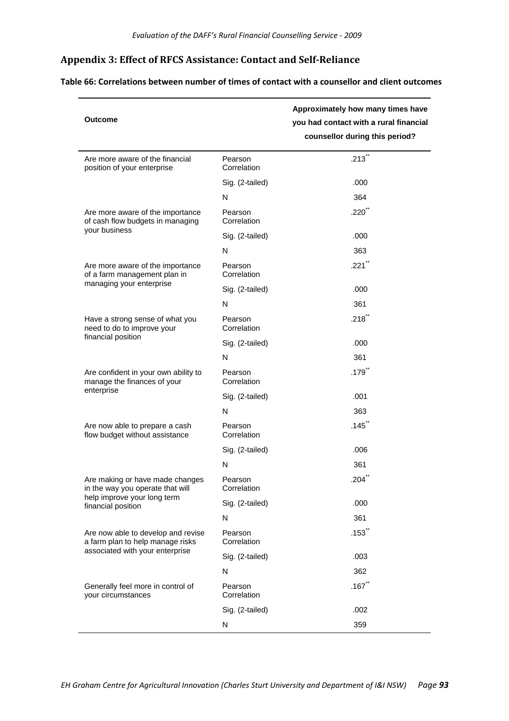# **Appendix 3: Effect of RFCS Assistance: Contact and SelfReliance**

**Table 66: Correlations between number of times of contact with a counsellor and client outcomes**

| <b>Outcome</b>                                                         |                        | Approximately how many times have<br>you had contact with a rural financial<br>counsellor during this period? |
|------------------------------------------------------------------------|------------------------|---------------------------------------------------------------------------------------------------------------|
| Are more aware of the financial<br>position of your enterprise         | Pearson<br>Correlation | $.213$ **                                                                                                     |
|                                                                        | Sig. (2-tailed)        | .000                                                                                                          |
|                                                                        | N                      | 364                                                                                                           |
| Are more aware of the importance<br>of cash flow budgets in managing   | Pearson<br>Correlation | $.220^{11}$                                                                                                   |
| your business                                                          | Sig. (2-tailed)        | .000                                                                                                          |
|                                                                        | N                      | 363                                                                                                           |
| Are more aware of the importance<br>of a farm management plan in       | Pearson<br>Correlation | $.221$ **                                                                                                     |
| managing your enterprise                                               | Sig. (2-tailed)        | .000                                                                                                          |
|                                                                        | N                      | 361                                                                                                           |
| Have a strong sense of what you<br>need to do to improve your          | Pearson<br>Correlation | .218                                                                                                          |
| financial position                                                     | Sig. (2-tailed)        | .000                                                                                                          |
|                                                                        | N                      | 361                                                                                                           |
| Are confident in your own ability to<br>manage the finances of your    | Pearson<br>Correlation | .179                                                                                                          |
| enterprise                                                             | Sig. (2-tailed)        | .001                                                                                                          |
|                                                                        | N                      | 363                                                                                                           |
| Are now able to prepare a cash<br>flow budget without assistance       | Pearson<br>Correlation | .145                                                                                                          |
|                                                                        | Sig. (2-tailed)        | .006                                                                                                          |
|                                                                        | N                      | 361                                                                                                           |
| Are making or have made changes<br>in the way you operate that will    | Pearson<br>Correlation | .204                                                                                                          |
| help improve your long term<br>financial position                      | Sig. (2-tailed)        | .000                                                                                                          |
|                                                                        | N                      | 361                                                                                                           |
| Are now able to develop and revise<br>a farm plan to help manage risks | Pearson<br>Correlation | $.153$ <sup>**</sup>                                                                                          |
| associated with your enterprise                                        | Sig. (2-tailed)        | .003                                                                                                          |
|                                                                        | N                      | 362                                                                                                           |
| Generally feel more in control of<br>your circumstances                | Pearson<br>Correlation | .167                                                                                                          |
|                                                                        | Sig. (2-tailed)        | .002                                                                                                          |
|                                                                        | ${\sf N}$              | 359                                                                                                           |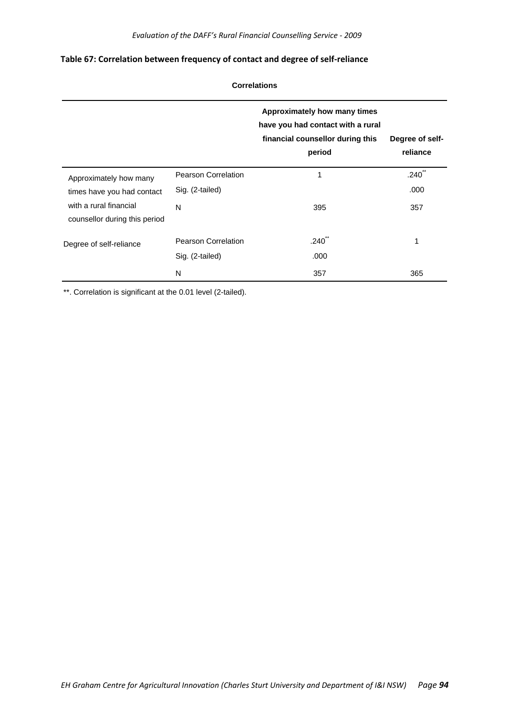### **Table 67: Correlation between frequency of contact and degree of self‐reliance**

|                                                         | <b>Correlations</b>        |                                                                                                                 |                             |  |  |  |  |  |
|---------------------------------------------------------|----------------------------|-----------------------------------------------------------------------------------------------------------------|-----------------------------|--|--|--|--|--|
|                                                         |                            | Approximately how many times<br>have you had contact with a rural<br>financial counsellor during this<br>period | Degree of self-<br>reliance |  |  |  |  |  |
| Approximately how many                                  | <b>Pearson Correlation</b> | 1                                                                                                               | .240 <sup>°</sup>           |  |  |  |  |  |
| times have you had contact                              | Sig. (2-tailed)            |                                                                                                                 | .000                        |  |  |  |  |  |
| with a rural financial<br>counsellor during this period | N                          | 395                                                                                                             | 357                         |  |  |  |  |  |
| Degree of self-reliance                                 | <b>Pearson Correlation</b> | .240                                                                                                            | 1                           |  |  |  |  |  |
|                                                         | Sig. (2-tailed)            | .000                                                                                                            |                             |  |  |  |  |  |
|                                                         | N                          | 357                                                                                                             | 365                         |  |  |  |  |  |

\*\*. Correlation is significant at the 0.01 level (2-tailed).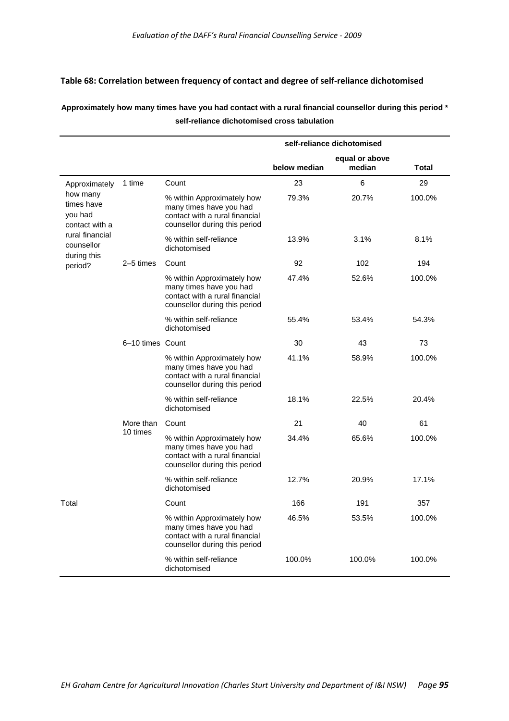### **Table 68: Correlation between frequency of contact and degree of self‐reliance dichotomised**

## **Approximately how many times have you had contact with a rural financial counsellor during this period \* self-reliance dichotomised cross tabulation**

|                                                     |                  |                                                                                                                          |              | self-reliance dichotomised |              |
|-----------------------------------------------------|------------------|--------------------------------------------------------------------------------------------------------------------------|--------------|----------------------------|--------------|
|                                                     |                  |                                                                                                                          | below median | equal or above<br>median   | <b>Total</b> |
| Approximately                                       | 1 time           | Count                                                                                                                    | 23           | 6                          | 29           |
| how many<br>times have<br>you had<br>contact with a |                  | % within Approximately how<br>many times have you had<br>contact with a rural financial<br>counsellor during this period | 79.3%        | 20.7%                      | 100.0%       |
| rural financial<br>counsellor<br>during this        |                  | % within self-reliance<br>dichotomised                                                                                   | 13.9%        | 3.1%                       | 8.1%         |
| period?                                             | 2-5 times        | Count                                                                                                                    | 92           | 102                        | 194          |
|                                                     |                  | % within Approximately how<br>many times have you had<br>contact with a rural financial<br>counsellor during this period | 47.4%        | 52.6%                      | 100.0%       |
|                                                     |                  | % within self-reliance<br>dichotomised                                                                                   | 55.4%        | 53.4%                      | 54.3%        |
|                                                     | 6-10 times Count |                                                                                                                          | 30           | 43                         | 73           |
|                                                     |                  | % within Approximately how<br>many times have you had<br>contact with a rural financial<br>counsellor during this period | 41.1%        | 58.9%                      | 100.0%       |
|                                                     |                  | % within self-reliance<br>dichotomised                                                                                   | 18.1%        | 22.5%                      | 20.4%        |
|                                                     | More than        | Count                                                                                                                    | 21           | 40                         | 61           |
|                                                     | 10 times         | % within Approximately how<br>many times have you had<br>contact with a rural financial<br>counsellor during this period | 34.4%        | 65.6%                      | 100.0%       |
|                                                     |                  | % within self-reliance<br>dichotomised                                                                                   | 12.7%        | 20.9%                      | 17.1%        |
| Total                                               |                  | Count                                                                                                                    | 166          | 191                        | 357          |
|                                                     |                  | % within Approximately how<br>many times have you had<br>contact with a rural financial<br>counsellor during this period | 46.5%        | 53.5%                      | 100.0%       |
|                                                     |                  | % within self-reliance<br>dichotomised                                                                                   | 100.0%       | 100.0%                     | 100.0%       |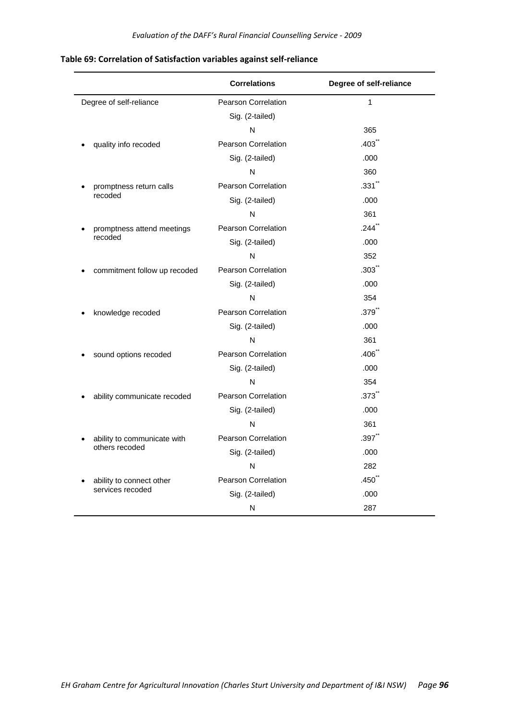|                              | <b>Correlations</b>        | Degree of self-reliance |
|------------------------------|----------------------------|-------------------------|
| Degree of self-reliance      | <b>Pearson Correlation</b> | $\mathbf{1}$            |
|                              | Sig. (2-tailed)            |                         |
|                              | N                          | 365                     |
| quality info recoded         | <b>Pearson Correlation</b> | $.403$ <sup>**</sup>    |
|                              | Sig. (2-tailed)            | .000                    |
|                              | N                          | 360                     |
| promptness return calls      | <b>Pearson Correlation</b> | $.331$ <sup>**</sup>    |
| recoded                      | Sig. (2-tailed)            | .000                    |
|                              | N                          | 361                     |
| promptness attend meetings   | <b>Pearson Correlation</b> | $.244$ <sup>**</sup>    |
| recoded                      | Sig. (2-tailed)            | .000                    |
|                              | N                          | 352                     |
| commitment follow up recoded | <b>Pearson Correlation</b> | $.303$ <sup>**</sup>    |
|                              | Sig. (2-tailed)            | .000                    |
|                              | N                          | 354                     |
| knowledge recoded            | Pearson Correlation        | $.379$ <sup>**</sup>    |
|                              | Sig. (2-tailed)            | .000                    |
|                              | N                          | 361                     |
| sound options recoded        | <b>Pearson Correlation</b> | .406                    |
|                              | Sig. (2-tailed)            | .000                    |
|                              | N                          | 354                     |
| ability communicate recoded  | <b>Pearson Correlation</b> | .373                    |
|                              | Sig. (2-tailed)            | .000                    |
|                              | N                          | 361                     |
| ability to communicate with  | Pearson Correlation        | .397                    |
| others recoded               | Sig. (2-tailed)            | .000                    |
|                              | N                          | 282                     |
| ability to connect other     | Pearson Correlation        | $.450^{''}$             |
| services recoded             | Sig. (2-tailed)            | .000                    |
|                              | N                          | 287                     |

# **Table 69: Correlation of Satisfaction variables against self‐reliance**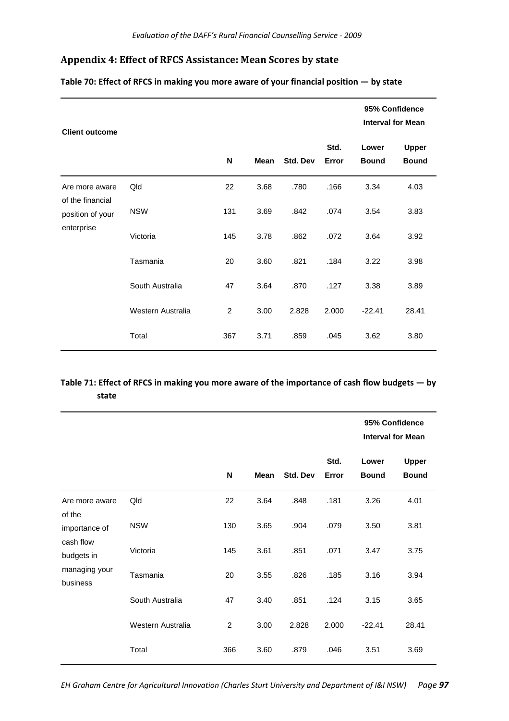# **Appendix 4: Effect of RFCS Assistance: Mean Scores by state**

| <b>Client outcome</b>                                                |                   |                |             |          | 95% Confidence<br><b>Interval for Mean</b> |                       |                              |
|----------------------------------------------------------------------|-------------------|----------------|-------------|----------|--------------------------------------------|-----------------------|------------------------------|
|                                                                      |                   | N              | <b>Mean</b> | Std. Dev | Std.<br>Error                              | Lower<br><b>Bound</b> | <b>Upper</b><br><b>Bound</b> |
| Are more aware<br>of the financial<br>position of your<br>enterprise | Qld               | 22             | 3.68        | .780     | .166                                       | 3.34                  | 4.03                         |
|                                                                      | <b>NSW</b>        | 131            | 3.69        | .842     | .074                                       | 3.54                  | 3.83                         |
|                                                                      | Victoria          | 145            | 3.78        | .862     | .072                                       | 3.64                  | 3.92                         |
|                                                                      | Tasmania          | 20             | 3.60        | .821     | .184                                       | 3.22                  | 3.98                         |
|                                                                      | South Australia   | 47             | 3.64        | .870     | .127                                       | 3.38                  | 3.89                         |
|                                                                      | Western Australia | $\overline{c}$ | 3.00        | 2.828    | 2.000                                      | $-22.41$              | 28.41                        |
|                                                                      | Total             | 367            | 3.71        | .859     | .045                                       | 3.62                  | 3.80                         |

### **Table 70: Effect of RFCS in making you more aware of your financial position — by state**

## Table 71: Effect of RFCS in making you more aware of the importance of cash flow budgets - by **state**

|                                                                      |                   |                |             |          |               |                       | 95% Confidence<br><b>Interval for Mean</b> |
|----------------------------------------------------------------------|-------------------|----------------|-------------|----------|---------------|-----------------------|--------------------------------------------|
|                                                                      |                   | N              | <b>Mean</b> | Std. Dev | Std.<br>Error | Lower<br><b>Bound</b> | <b>Upper</b><br><b>Bound</b>               |
| Are more aware<br>of the<br>importance of<br>cash flow<br>budgets in | Qld               | 22             | 3.64        | .848     | .181          | 3.26                  | 4.01                                       |
|                                                                      | <b>NSW</b>        | 130            | 3.65        | .904     | .079          | 3.50                  | 3.81                                       |
|                                                                      | Victoria          | 145            | 3.61        | .851     | .071          | 3.47                  | 3.75                                       |
| managing your<br>business                                            | Tasmania          | 20             | 3.55        | .826     | .185          | 3.16                  | 3.94                                       |
|                                                                      | South Australia   | 47             | 3.40        | .851     | .124          | 3.15                  | 3.65                                       |
|                                                                      | Western Australia | $\overline{2}$ | 3.00        | 2.828    | 2.000         | $-22.41$              | 28.41                                      |
|                                                                      | Total             | 366            | 3.60        | .879     | .046          | 3.51                  | 3.69                                       |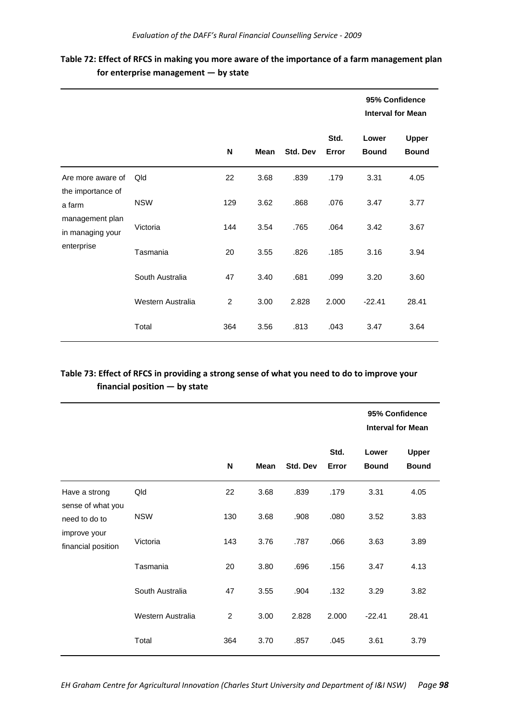|                                                                                                       |                   |                |             |          |               | 95% Confidence<br><b>Interval for Mean</b> |                              |
|-------------------------------------------------------------------------------------------------------|-------------------|----------------|-------------|----------|---------------|--------------------------------------------|------------------------------|
|                                                                                                       |                   | N              | <b>Mean</b> | Std. Dev | Std.<br>Error | Lower<br><b>Bound</b>                      | <b>Upper</b><br><b>Bound</b> |
| Are more aware of<br>the importance of<br>a farm<br>management plan<br>in managing your<br>enterprise | Qld               | 22             | 3.68        | .839     | .179          | 3.31                                       | 4.05                         |
|                                                                                                       | <b>NSW</b>        | 129            | 3.62        | .868     | .076          | 3.47                                       | 3.77                         |
|                                                                                                       | Victoria          | 144            | 3.54        | .765     | .064          | 3.42                                       | 3.67                         |
|                                                                                                       | Tasmania          | 20             | 3.55        | .826     | .185          | 3.16                                       | 3.94                         |
|                                                                                                       | South Australia   | 47             | 3.40        | .681     | .099          | 3.20                                       | 3.60                         |
|                                                                                                       | Western Australia | $\overline{c}$ | 3.00        | 2.828    | 2.000         | $-22.41$                                   | 28.41                        |
|                                                                                                       | Total             | 364            | 3.56        | .813     | .043          | 3.47                                       | 3.64                         |

# **Table 72: Effect of RFCS in making you more aware of the importance of a farm management plan for enterprise management — by state**

# **Table 73: Effect of RFCS in providing a strong sense of what you need to do to improve your financial position — by state**

|                                                     |                   |                |             |          |               | 95% Confidence<br><b>Interval for Mean</b> |                              |
|-----------------------------------------------------|-------------------|----------------|-------------|----------|---------------|--------------------------------------------|------------------------------|
|                                                     |                   | N              | <b>Mean</b> | Std. Dev | Std.<br>Error | Lower<br><b>Bound</b>                      | <b>Upper</b><br><b>Bound</b> |
| Have a strong<br>sense of what you<br>need to do to | Qld               | 22             | 3.68        | .839     | .179          | 3.31                                       | 4.05                         |
|                                                     | <b>NSW</b>        | 130            | 3.68        | .908     | .080          | 3.52                                       | 3.83                         |
| improve your<br>financial position                  | Victoria          | 143            | 3.76        | .787     | .066          | 3.63                                       | 3.89                         |
|                                                     | Tasmania          | 20             | 3.80        | .696     | .156          | 3.47                                       | 4.13                         |
|                                                     | South Australia   | 47             | 3.55        | .904     | .132          | 3.29                                       | 3.82                         |
|                                                     | Western Australia | $\overline{2}$ | 3.00        | 2.828    | 2.000         | $-22.41$                                   | 28.41                        |
|                                                     | Total             | 364            | 3.70        | .857     | .045          | 3.61                                       | 3.79                         |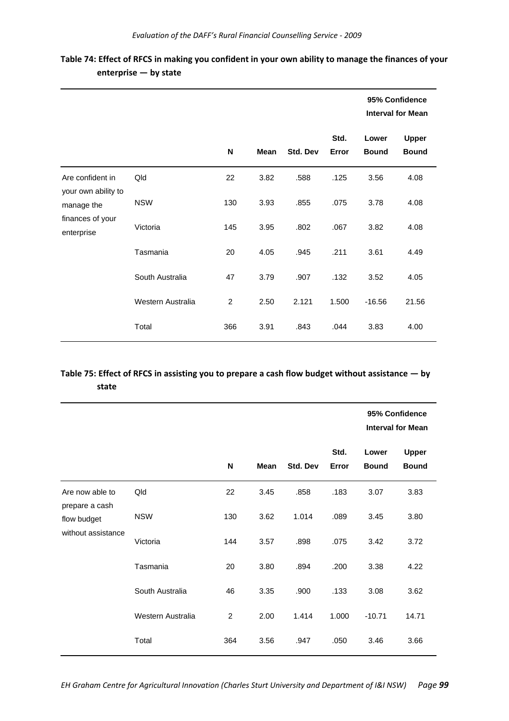|                                                                                         |                   |                |             |          |               |                       | 95% Confidence<br><b>Interval for Mean</b> |  |  |
|-----------------------------------------------------------------------------------------|-------------------|----------------|-------------|----------|---------------|-----------------------|--------------------------------------------|--|--|
|                                                                                         |                   | N              | <b>Mean</b> | Std. Dev | Std.<br>Error | Lower<br><b>Bound</b> | <b>Upper</b><br><b>Bound</b>               |  |  |
| Are confident in<br>your own ability to<br>manage the<br>finances of your<br>enterprise | Qld               | 22             | 3.82        | .588     | .125          | 3.56                  | 4.08                                       |  |  |
|                                                                                         | <b>NSW</b>        | 130            | 3.93        | .855     | .075          | 3.78                  | 4.08                                       |  |  |
|                                                                                         | Victoria          | 145            | 3.95        | .802     | .067          | 3.82                  | 4.08                                       |  |  |
|                                                                                         | Tasmania          | 20             | 4.05        | .945     | .211          | 3.61                  | 4.49                                       |  |  |
|                                                                                         | South Australia   | 47             | 3.79        | .907     | .132          | 3.52                  | 4.05                                       |  |  |
|                                                                                         | Western Australia | $\overline{c}$ | 2.50        | 2.121    | 1.500         | $-16.56$              | 21.56                                      |  |  |
|                                                                                         | Total             | 366            | 3.91        | .843     | .044          | 3.83                  | 4.00                                       |  |  |

Table 74: Effect of RFCS in making you confident in your own ability to manage the finances of your **enterprise — by state**

# **Table 75: Effect of RFCS in assisting you to prepare a cash flow budget without assistance — by state**

|                                                                        |                   |                |      |          |               | 95% Confidence<br><b>Interval for Mean</b> |                              |  |
|------------------------------------------------------------------------|-------------------|----------------|------|----------|---------------|--------------------------------------------|------------------------------|--|
|                                                                        |                   | N              | Mean | Std. Dev | Std.<br>Error | Lower<br><b>Bound</b>                      | <b>Upper</b><br><b>Bound</b> |  |
| Are now able to<br>prepare a cash<br>flow budget<br>without assistance | Qld               | 22             | 3.45 | .858     | .183          | 3.07                                       | 3.83                         |  |
|                                                                        | <b>NSW</b>        | 130            | 3.62 | 1.014    | .089          | 3.45                                       | 3.80                         |  |
|                                                                        | Victoria          | 144            | 3.57 | .898     | .075          | 3.42                                       | 3.72                         |  |
|                                                                        | Tasmania          | 20             | 3.80 | .894     | .200          | 3.38                                       | 4.22                         |  |
|                                                                        | South Australia   | 46             | 3.35 | .900     | .133          | 3.08                                       | 3.62                         |  |
|                                                                        | Western Australia | $\overline{2}$ | 2.00 | 1.414    | 1.000         | $-10.71$                                   | 14.71                        |  |
|                                                                        | Total             | 364            | 3.56 | .947     | .050          | 3.46                                       | 3.66                         |  |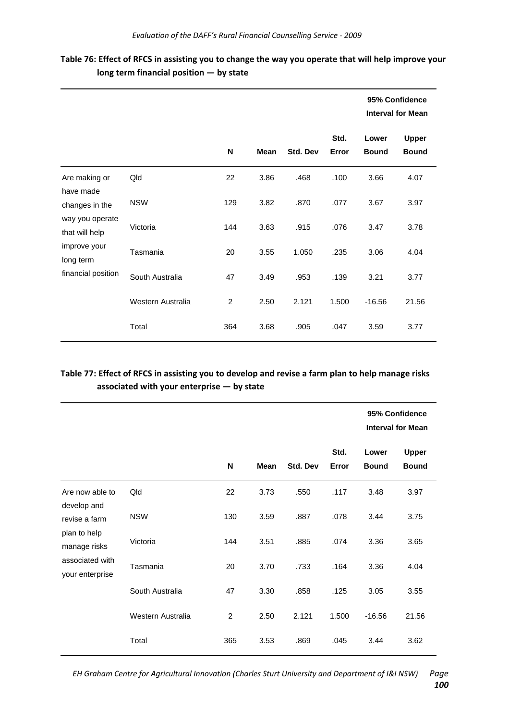| Table 76: Effect of RFCS in assisting you to change the way you operate that will help improve your |  |
|-----------------------------------------------------------------------------------------------------|--|
| $long$ term financial position $-$ by state                                                         |  |

|                                                                                                        |                   |                |             |          |               | 95% Confidence<br><b>Interval for Mean</b> |                              |
|--------------------------------------------------------------------------------------------------------|-------------------|----------------|-------------|----------|---------------|--------------------------------------------|------------------------------|
|                                                                                                        |                   | N              | <b>Mean</b> | Std. Dev | Std.<br>Error | Lower<br><b>Bound</b>                      | <b>Upper</b><br><b>Bound</b> |
| Are making or<br>have made                                                                             | Qld               | 22             | 3.86        | .468     | .100          | 3.66                                       | 4.07                         |
| changes in the<br>way you operate<br>that will help<br>improve your<br>long term<br>financial position | <b>NSW</b>        | 129            | 3.82        | .870     | .077          | 3.67                                       | 3.97                         |
|                                                                                                        | Victoria          | 144            | 3.63        | .915     | .076          | 3.47                                       | 3.78                         |
|                                                                                                        | Tasmania          | 20             | 3.55        | 1.050    | .235          | 3.06                                       | 4.04                         |
|                                                                                                        | South Australia   | 47             | 3.49        | .953     | .139          | 3.21                                       | 3.77                         |
|                                                                                                        | Western Australia | $\overline{2}$ | 2.50        | 2.121    | 1.500         | $-16.56$                                   | 21.56                        |
|                                                                                                        | Total             | 364            | 3.68        | .905     | .047          | 3.59                                       | 3.77                         |

# Table 77: Effect of RFCS in assisting you to develop and revise a farm plan to help manage risks **associated with your enterprise — by state**

|                                                                                                                       |                   |                |             |          |               | 95% Confidence<br><b>Interval for Mean</b> |                              |
|-----------------------------------------------------------------------------------------------------------------------|-------------------|----------------|-------------|----------|---------------|--------------------------------------------|------------------------------|
|                                                                                                                       |                   | N              | <b>Mean</b> | Std. Dev | Std.<br>Error | Lower<br><b>Bound</b>                      | <b>Upper</b><br><b>Bound</b> |
| Are now able to<br>develop and<br>revise a farm<br>plan to help<br>manage risks<br>associated with<br>your enterprise | Qld               | 22             | 3.73        | .550     | .117          | 3.48                                       | 3.97                         |
|                                                                                                                       | <b>NSW</b>        | 130            | 3.59        | .887     | .078          | 3.44                                       | 3.75                         |
|                                                                                                                       | Victoria          | 144            | 3.51        | .885     | .074          | 3.36                                       | 3.65                         |
|                                                                                                                       | Tasmania          | 20             | 3.70        | .733     | .164          | 3.36                                       | 4.04                         |
|                                                                                                                       | South Australia   | 47             | 3.30        | .858     | .125          | 3.05                                       | 3.55                         |
|                                                                                                                       | Western Australia | $\overline{2}$ | 2.50        | 2.121    | 1.500         | $-16.56$                                   | 21.56                        |
|                                                                                                                       | Total             | 365            | 3.53        | .869     | .045          | 3.44                                       | 3.62                         |